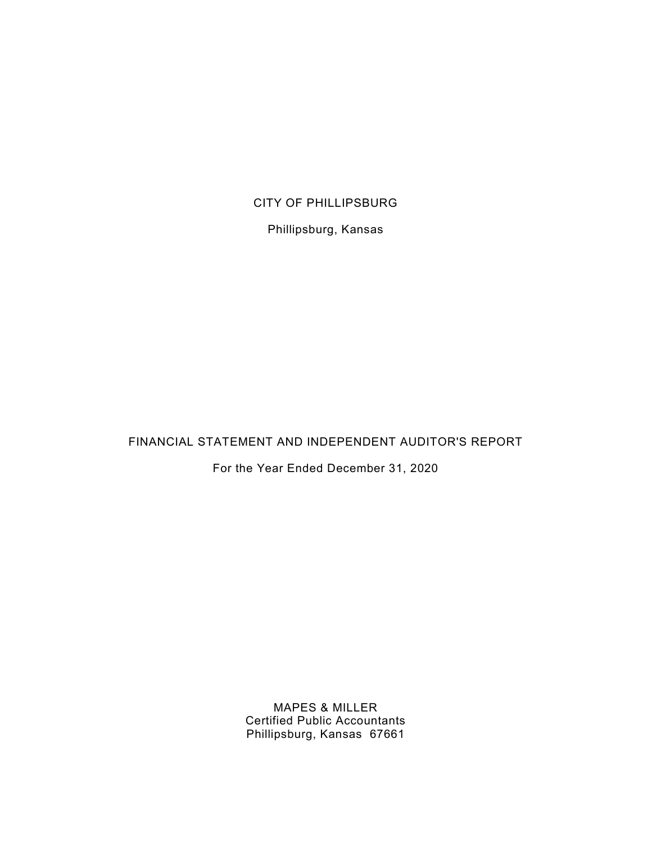#### CITY OF PHILLIPSBURG

Phillipsburg, Kansas

FINANCIAL STATEMENT AND INDEPENDENT AUDITOR'S REPORT

For the Year Ended December 31, 2020

MAPES & MILLER Certified Public Accountants Phillipsburg, Kansas 67661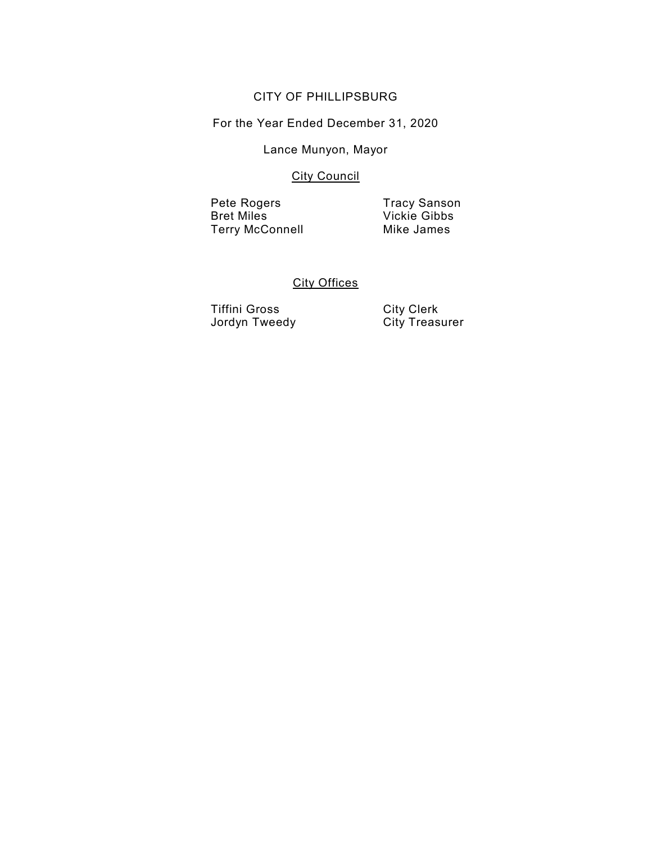#### CITY OF PHILLIPSBURG

For the Year Ended December 31, 2020

#### Lance Munyon, Mayor

#### **City Council**

Pete Rogers Tracy Sanson **Terry McConnell** 

Vickie Gibbs<br>Mike James

#### **City Offices**

Tiffini Gross City Clerk Jordyn Tweedy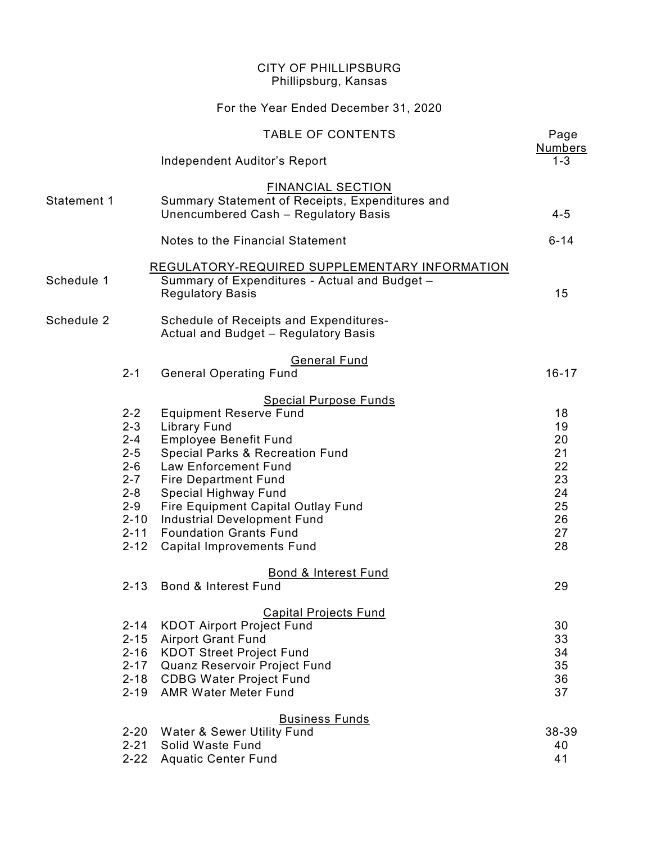|             |                                                                                                                                                  | <b>CITY OF PHILLIPSBURG</b><br>Phillipsburg, Kansas                                                                                                                                                                                                                                                                                                                                                                                                                                                                               |                                                                            |
|-------------|--------------------------------------------------------------------------------------------------------------------------------------------------|-----------------------------------------------------------------------------------------------------------------------------------------------------------------------------------------------------------------------------------------------------------------------------------------------------------------------------------------------------------------------------------------------------------------------------------------------------------------------------------------------------------------------------------|----------------------------------------------------------------------------|
|             |                                                                                                                                                  | For the Year Ended December 31, 2020                                                                                                                                                                                                                                                                                                                                                                                                                                                                                              |                                                                            |
|             |                                                                                                                                                  | <b>TABLE OF CONTENTS</b>                                                                                                                                                                                                                                                                                                                                                                                                                                                                                                          | Page<br><b>Numbers</b>                                                     |
|             |                                                                                                                                                  | <b>Independent Auditor's Report</b>                                                                                                                                                                                                                                                                                                                                                                                                                                                                                               | $1 - 3$                                                                    |
| Statement 1 |                                                                                                                                                  | <b>FINANCIAL SECTION</b><br>Summary Statement of Receipts, Expenditures and<br>Unencumbered Cash - Regulatory Basis                                                                                                                                                                                                                                                                                                                                                                                                               | $4 - 5$                                                                    |
|             |                                                                                                                                                  | Notes to the Financial Statement                                                                                                                                                                                                                                                                                                                                                                                                                                                                                                  | $6 - 14$                                                                   |
| Schedule 1  |                                                                                                                                                  | REGULATORY-REQUIRED SUPPLEMENTARY INFORMATION<br>Summary of Expenditures - Actual and Budget -<br><b>Regulatory Basis</b>                                                                                                                                                                                                                                                                                                                                                                                                         | 15                                                                         |
| Schedule 2  |                                                                                                                                                  | Schedule of Receipts and Expenditures-<br>Actual and Budget - Regulatory Basis                                                                                                                                                                                                                                                                                                                                                                                                                                                    |                                                                            |
|             | $2 - 1$                                                                                                                                          | <b>General Fund</b><br><b>General Operating Fund</b>                                                                                                                                                                                                                                                                                                                                                                                                                                                                              | $16 - 17$                                                                  |
|             | $2 - 2$<br>$2 - 3$<br>$2 - 4$<br>$2 - 5$<br>$2 - 6$<br>$2 - 7$<br>$2 - 8$<br>$2 - 9$<br>$2 - 10$<br>$2 - 11$<br>$2 - 12$<br>$2 - 13$<br>$2 - 14$ | <b>Special Purpose Funds</b><br><b>Equipment Reserve Fund</b><br><b>Library Fund</b><br><b>Employee Benefit Fund</b><br><b>Special Parks &amp; Recreation Fund</b><br><b>Law Enforcement Fund</b><br><b>Fire Department Fund</b><br>Special Highway Fund<br>Fire Equipment Capital Outlay Fund<br>Industrial Development Fund<br><b>Foundation Grants Fund</b><br><b>Capital Improvements Fund</b><br><b>Bond &amp; Interest Fund</b><br>Bond & Interest Fund<br><b>Capital Projects Fund</b><br><b>KDOT Airport Project Fund</b> | 18<br>19<br>20<br>21<br>22<br>23<br>24<br>25<br>26<br>27<br>28<br>29<br>30 |
|             | $2 - 15$<br>$2 - 16$<br>$2 - 17$                                                                                                                 | <b>Airport Grant Fund</b><br><b>KDOT Street Project Fund</b><br>Quanz Reservoir Project Fund<br>2-18 CDBG Water Project Fund<br>2-19 AMR Water Meter Fund                                                                                                                                                                                                                                                                                                                                                                         | 33<br>34<br>35<br>36<br>37                                                 |
|             | $2 - 20$<br>$2 - 21$<br>$2 - 22$                                                                                                                 | <b>Business Funds</b><br>Water & Sewer Utility Fund<br>Solid Waste Fund<br><b>Aquatic Center Fund</b>                                                                                                                                                                                                                                                                                                                                                                                                                             | 38-39<br>40<br>41                                                          |
|             |                                                                                                                                                  |                                                                                                                                                                                                                                                                                                                                                                                                                                                                                                                                   |                                                                            |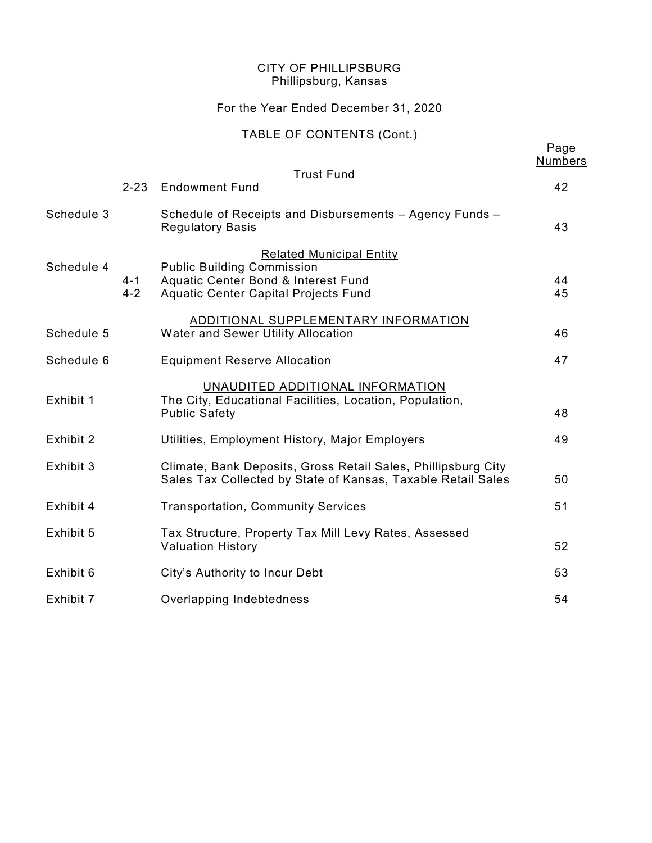### For the Year Ended December 31, 2020

### TABLE OF CONTENTS (Cont.)

|            |                    |                                                                                                                                                     | Page<br><b>Numbers</b> |
|------------|--------------------|-----------------------------------------------------------------------------------------------------------------------------------------------------|------------------------|
|            | $2 - 23$           | <b>Trust Fund</b><br><b>Endowment Fund</b>                                                                                                          | 42                     |
| Schedule 3 |                    | Schedule of Receipts and Disbursements - Agency Funds -<br><b>Regulatory Basis</b>                                                                  | 43                     |
| Schedule 4 | $4 - 1$<br>$4 - 2$ | <b>Related Municipal Entity</b><br><b>Public Building Commission</b><br>Aquatic Center Bond & Interest Fund<br>Aquatic Center Capital Projects Fund | 44<br>45               |
| Schedule 5 |                    | ADDITIONAL SUPPLEMENTARY INFORMATION<br>Water and Sewer Utility Allocation                                                                          | 46                     |
| Schedule 6 |                    | <b>Equipment Reserve Allocation</b>                                                                                                                 | 47                     |
| Exhibit 1  |                    | UNAUDITED ADDITIONAL INFORMATION<br>The City, Educational Facilities, Location, Population,<br><b>Public Safety</b>                                 | 48                     |
| Exhibit 2  |                    | Utilities, Employment History, Major Employers                                                                                                      | 49                     |
| Exhibit 3  |                    | Climate, Bank Deposits, Gross Retail Sales, Phillipsburg City<br>Sales Tax Collected by State of Kansas, Taxable Retail Sales                       | 50                     |
| Exhibit 4  |                    | <b>Transportation, Community Services</b>                                                                                                           | 51                     |
| Exhibit 5  |                    | Tax Structure, Property Tax Mill Levy Rates, Assessed<br><b>Valuation History</b>                                                                   | 52                     |
| Exhibit 6  |                    | City's Authority to Incur Debt                                                                                                                      | 53                     |
| Exhibit 7  |                    | Overlapping Indebtedness                                                                                                                            | 54                     |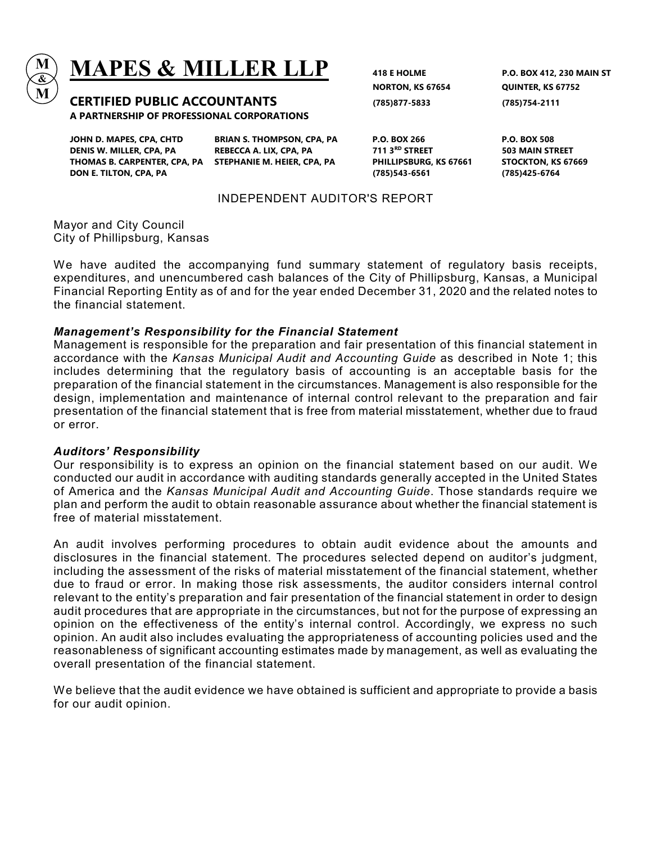

# $\mathbf{MAPES}$   $\mathbf{\&}$   $\mathbf{MILLER}\text{ LLP}$   $_{\scriptscriptstyle 418\text{ E HOLME}}$  p.o. box 412, 230 main st

CERTIFIED PUBLIC ACCOUNTANTS (785)877-5833 (785)754-2111 A PARTNERSHIP OF PROFESSIONAL CORPORATIONS

DENIS W. MILLER, CPA, PA REBECCA A. LIX, CPA, PA 711 3RD STREET 503 MAIN STREET THOMAS B. CARPENTER, CPA, PA STEPHANIE M. HEIER, CPA, PA PHILLIPSBURG, KS 67661 STOCKTON, KS 67669 DON E. TILTON, CPA, PA (785)543-6561 (785)425-6764

JOHN D. MAPES, CPA, CHTD BRIAN S. THOMPSON, CPA, PA P.O. BOX 266 P.O. BOX 508

NORTON, KS 67654 QUINTER, KS 67752

#### INDEPENDENT AUDITOR'S REPORT

Mayor and City Council City of Phillipsburg, Kansas

We have audited the accompanying fund summary statement of regulatory basis receipts, expenditures, and unencumbered cash balances of the City of Phillipsburg, Kansas, a Municipal Financial Reporting Entity as of and for the year ended December 31, 2020 and the related notes to the financial statement.

#### Management's Responsibility for the Financial Statement

Management is responsible for the preparation and fair presentation of this financial statement in accordance with the Kansas Municipal Audit and Accounting Guide as described in Note 1; this includes determining that the regulatory basis of accounting is an acceptable basis for the preparation of the financial statement in the circumstances. Management is also responsible for the design, implementation and maintenance of internal control relevant to the preparation and fair presentation of the financial statement that is free from material misstatement, whether due to fraud or error.

#### Auditors' Responsibility

Our responsibility is to express an opinion on the financial statement based on our audit. We conducted our audit in accordance with auditing standards generally accepted in the United States of America and the Kansas Municipal Audit and Accounting Guide. Those standards require we plan and perform the audit to obtain reasonable assurance about whether the financial statement is free of material misstatement.

An audit involves performing procedures to obtain audit evidence about the amounts and disclosures in the financial statement. The procedures selected depend on auditor's judgment, including the assessment of the risks of material misstatement of the financial statement, whether due to fraud or error. In making those risk assessments, the auditor considers internal control relevant to the entity's preparation and fair presentation of the financial statement in order to design audit procedures that are appropriate in the circumstances, but not for the purpose of expressing an opinion on the effectiveness of the entity's internal control. Accordingly, we express no such opinion. An audit also includes evaluating the appropriateness of accounting policies used and the reasonableness of significant accounting estimates made by management, as well as evaluating the overall presentation of the financial statement.

We believe that the audit evidence we have obtained is sufficient and appropriate to provide a basis for our audit opinion.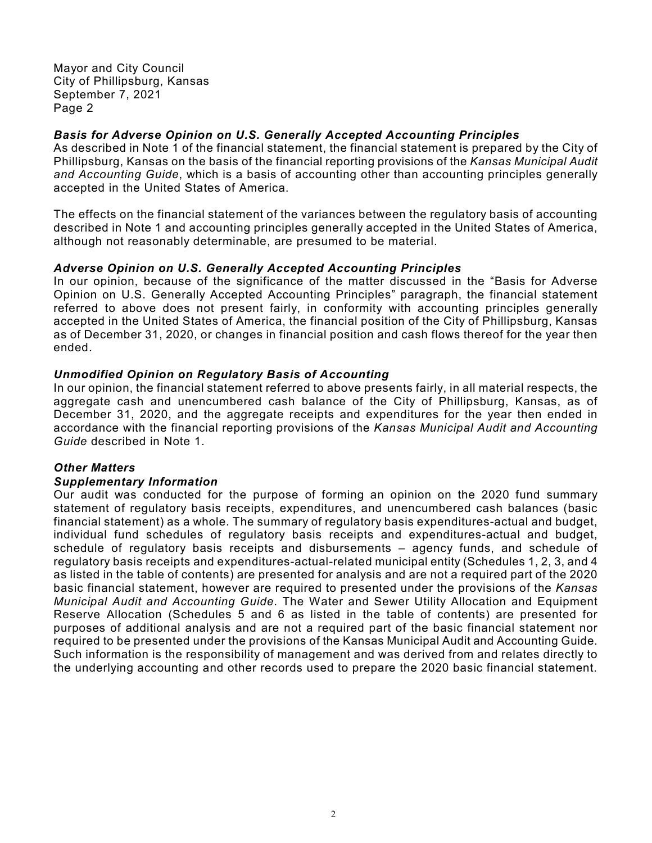Mayor and City Council City of Phillipsburg, Kansas September 7, 2021 Page 2

#### Basis for Adverse Opinion on U.S. Generally Accepted Accounting Principles

As described in Note 1 of the financial statement, the financial statement is prepared by the City of Phillipsburg, Kansas on the basis of the financial reporting provisions of the Kansas Municipal Audit and Accounting Guide, which is a basis of accounting other than accounting principles generally accepted in the United States of America.

The effects on the financial statement of the variances between the regulatory basis of accounting described in Note 1 and accounting principles generally accepted in the United States of America, although not reasonably determinable, are presumed to be material.

#### Adverse Opinion on U.S. Generally Accepted Accounting Principles

In our opinion, because of the significance of the matter discussed in the "Basis for Adverse Opinion on U.S. Generally Accepted Accounting Principles" paragraph, the financial statement referred to above does not present fairly, in conformity with accounting principles generally accepted in the United States of America, the financial position of the City of Phillipsburg, Kansas as of December 31, 2020, or changes in financial position and cash flows thereof for the year then ended.

#### Unmodified Opinion on Regulatory Basis of Accounting

In our opinion, the financial statement referred to above presents fairly, in all material respects, the aggregate cash and unencumbered cash balance of the City of Phillipsburg, Kansas, as of December 31, 2020, and the aggregate receipts and expenditures for the year then ended in accordance with the financial reporting provisions of the Kansas Municipal Audit and Accounting Guide described in Note 1.

#### Other Matters

#### Supplementary Information

Our audit was conducted for the purpose of forming an opinion on the 2020 fund summary statement of regulatory basis receipts, expenditures, and unencumbered cash balances (basic financial statement) as a whole. The summary of regulatory basis expenditures-actual and budget, individual fund schedules of regulatory basis receipts and expenditures-actual and budget, schedule of regulatory basis receipts and disbursements – agency funds, and schedule of regulatory basis receipts and expenditures-actual-related municipal entity (Schedules 1, 2, 3, and 4 as listed in the table of contents) are presented for analysis and are not a required part of the 2020 basic financial statement, however are required to presented under the provisions of the Kansas Municipal Audit and Accounting Guide. The Water and Sewer Utility Allocation and Equipment Reserve Allocation (Schedules 5 and 6 as listed in the table of contents) are presented for purposes of additional analysis and are not a required part of the basic financial statement nor required to be presented under the provisions of the Kansas Municipal Audit and Accounting Guide. Such information is the responsibility of management and was derived from and relates directly to the underlying accounting and other records used to prepare the 2020 basic financial statement.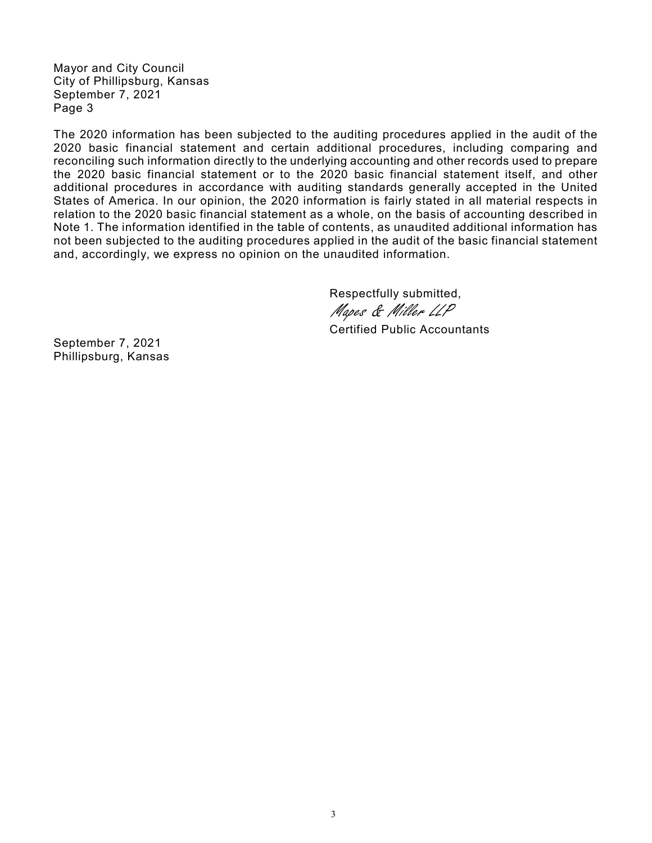Mayor and City Council City of Phillipsburg, Kansas September 7, 2021 Page 3

The 2020 information has been subjected to the auditing procedures applied in the audit of the 2020 basic financial statement and certain additional procedures, including comparing and reconciling such information directly to the underlying accounting and other records used to prepare the 2020 basic financial statement or to the 2020 basic financial statement itself, and other additional procedures in accordance with auditing standards generally accepted in the United States of America. In our opinion, the 2020 information is fairly stated in all material respects in relation to the 2020 basic financial statement as a whole, on the basis of accounting described in Note 1. The information identified in the table of contents, as unaudited additional information has not been subjected to the auditing procedures applied in the audit of the basic financial statement and, accordingly, we express no opinion on the unaudited information.

Respectfully submitted,

Mapes & Miller LLP

Certified Public Accountants

September 7, 2021 Phillipsburg, Kansas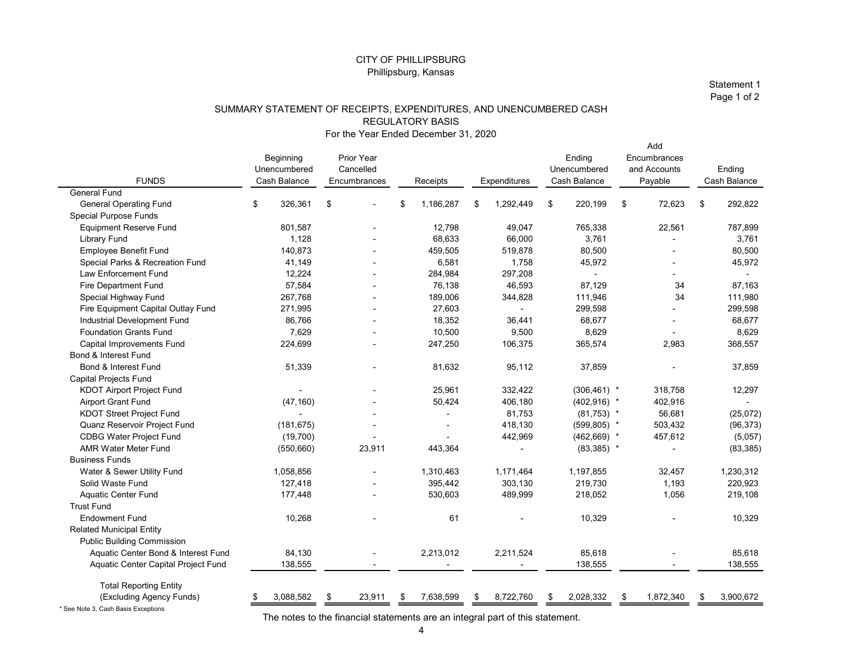#### SUMMARY STATEMENT OF RECEIPTS, EXPENDITURES, AND UNENCUMBERED CASH REGULATORY BASIS For the Year Ended December 31, 2020

|                                                                |                                                                    |                          | <b>CITY OF PHILLIPSBURG</b>          |                          |                                |                                     |                            |
|----------------------------------------------------------------|--------------------------------------------------------------------|--------------------------|--------------------------------------|--------------------------|--------------------------------|-------------------------------------|----------------------------|
|                                                                |                                                                    |                          | Phillipsburg, Kansas                 |                          |                                |                                     |                            |
|                                                                |                                                                    |                          |                                      |                          |                                |                                     | Statement 1<br>Page 1 of 2 |
|                                                                | SUMMARY STATEMENT OF RECEIPTS, EXPENDITURES, AND UNENCUMBERED CASH |                          |                                      |                          |                                |                                     |                            |
|                                                                |                                                                    |                          | <b>REGULATORY BASIS</b>              |                          |                                |                                     |                            |
|                                                                |                                                                    |                          | For the Year Ended December 31, 2020 |                          |                                |                                     |                            |
|                                                                |                                                                    |                          |                                      |                          |                                | Add                                 |                            |
|                                                                | Beginning<br>Unencumbered                                          | Prior Year<br>Cancelled  |                                      |                          | Ending<br>Unencumbered         | Encumbrances<br>and Accounts        | Ending                     |
| <b>FUNDS</b>                                                   | Cash Balance                                                       | Encumbrances             | Receipts                             | Expenditures             | Cash Balance                   | Payable                             | Cash Balance               |
| <b>General Fund</b>                                            |                                                                    |                          |                                      |                          |                                |                                     |                            |
| <b>General Operating Fund</b><br>Special Purpose Funds         | 326,361<br>\$                                                      | \$                       | 1,186,287<br>\$                      | 1,292,449<br>- \$        | 220,199<br>-\$                 | - \$<br>72,623                      | 292,822<br>-\$             |
| <b>Equipment Reserve Fund</b>                                  | 801,587                                                            |                          | 12,798                               | 49,047                   | 765,338                        | 22,561                              | 787,899                    |
| <b>Library Fund</b>                                            | 1,128                                                              | $\overline{\phantom{a}}$ | 68,633                               | 66,000                   | 3,761                          | $\sim$                              | 3,761                      |
| Employee Benefit Fund                                          | 140,873                                                            | $\sim$                   | 459,505                              | 519,878                  | 80,500                         | $\overline{\phantom{a}}$            | 80,500                     |
| Special Parks & Recreation Fund                                | 41,149                                                             | $\overline{\phantom{a}}$ | 6,581                                | 1,758                    | 45,972                         | $\overline{\phantom{a}}$            | 45,972                     |
| Law Enforcement Fund                                           | 12,224                                                             | $\overline{a}$           | 284,984                              | 297,208                  | $\overline{\phantom{a}}$       | $\sim$                              | $\overline{\phantom{a}}$   |
| Fire Department Fund<br>Special Highway Fund                   | 57,584<br>267,768                                                  | $\overline{a}$<br>$\sim$ | 76,138<br>189,006                    | 46,593<br>344,828        | 87,129<br>111,946              | 34<br>34                            | 87,163<br>111,980          |
| Fire Equipment Capital Outlay Fund                             | 271,995                                                            | $\sim$                   | 27,603                               | $\sim$                   | 299,598                        | $\sim$                              | 299,598                    |
| Industrial Development Fund                                    | 86,766                                                             | $\sim$                   | 18,352                               | 36,441                   | 68,677                         | $\overline{\phantom{a}}$            | 68,677                     |
| <b>Foundation Grants Fund</b>                                  | 7,629                                                              |                          | 10,500                               | 9,500                    | 8,629                          | $\overline{\phantom{a}}$            | 8,629                      |
| Capital Improvements Fund                                      | 224,699                                                            | $\overline{\phantom{a}}$ | 247,250                              | 106,375                  | 365,574                        | 2,983                               | 368,557                    |
| Bond & Interest Fund<br>Bond & Interest Fund                   | 51,339                                                             |                          | 81,632                               | 95,112                   | 37,859                         |                                     | 37,859                     |
| Capital Projects Fund                                          |                                                                    |                          |                                      |                          |                                | $\overline{\phantom{a}}$            |                            |
| <b>KDOT Airport Project Fund</b>                               | $\sim$                                                             |                          | 25,961                               | 332,422                  | $(306, 461)$ *                 | 318,758                             | 12,297                     |
| <b>Airport Grant Fund</b>                                      | (47, 160)                                                          |                          | 50,424                               | 406,180                  | $(402,916)$ *                  | 402,916                             | $\sim$                     |
| <b>KDOT Street Project Fund</b>                                | $\sim$                                                             | $\overline{\phantom{a}}$ | $\overline{\phantom{a}}$             | 81,753                   | $(81,753)$ *                   | 56,681                              | (25,072)                   |
| Quanz Reservoir Project Fund<br><b>CDBG Water Project Fund</b> | (181, 675)                                                         |                          | $\blacksquare$                       | 418,130<br>442,969       | $(599, 805)$ *                 | 503,432                             | (96, 373)                  |
| <b>AMR Water Meter Fund</b>                                    | (19,700)<br>(550, 660)                                             | $\sim$<br>23,911         | $\overline{\phantom{a}}$<br>443,364  | $\overline{\phantom{a}}$ | $(462, 669)$ *<br>$(83,385)$ * | 457,612<br>$\overline{\phantom{a}}$ | (5,057)<br>(83, 385)       |
| <b>Business Funds</b>                                          |                                                                    |                          |                                      |                          |                                |                                     |                            |
| Water & Sewer Utility Fund                                     | 1,058,856                                                          | $\sim$                   | 1,310,463                            | 1,171,464                | 1,197,855                      | 32,457                              | 1,230,312                  |
| Solid Waste Fund                                               | 127,418                                                            | $\overline{a}$           | 395,442                              | 303,130                  | 219,730                        | 1,193                               | 220,923                    |
| Aquatic Center Fund                                            | 177,448                                                            | $\sim$                   | 530,603                              | 489,999                  | 218,052                        | 1,056                               | 219,108                    |
| <b>Trust Fund</b><br><b>Endowment Fund</b>                     | 10,268                                                             |                          | 61                                   |                          | 10,329                         |                                     | 10,329                     |
| <b>Related Municipal Entity</b>                                |                                                                    |                          |                                      |                          |                                |                                     |                            |
| <b>Public Building Commission</b>                              |                                                                    |                          |                                      |                          |                                |                                     |                            |
| Aquatic Center Bond & Interest Fund                            | 84,130                                                             |                          | 2,213,012                            | 2,211,524                | 85,618                         |                                     | 85,618                     |
| Aquatic Center Capital Project Fund                            | 138,555                                                            | $\sim$                   | $\overline{\phantom{a}}$             | $\sim$                   | 138,555                        | $\sim$                              | 138,555                    |
| <b>Total Reporting Entity</b>                                  |                                                                    |                          |                                      |                          |                                |                                     |                            |
| (Excluding Agency Funds)                                       | 3,088,582                                                          | 23,911<br>- \$           | 7,638,599<br>\$                      | 8,722,760<br>\$          | 2,028,332<br>\$                | 1,872,340<br>- \$                   | 3,900,672<br>\$            |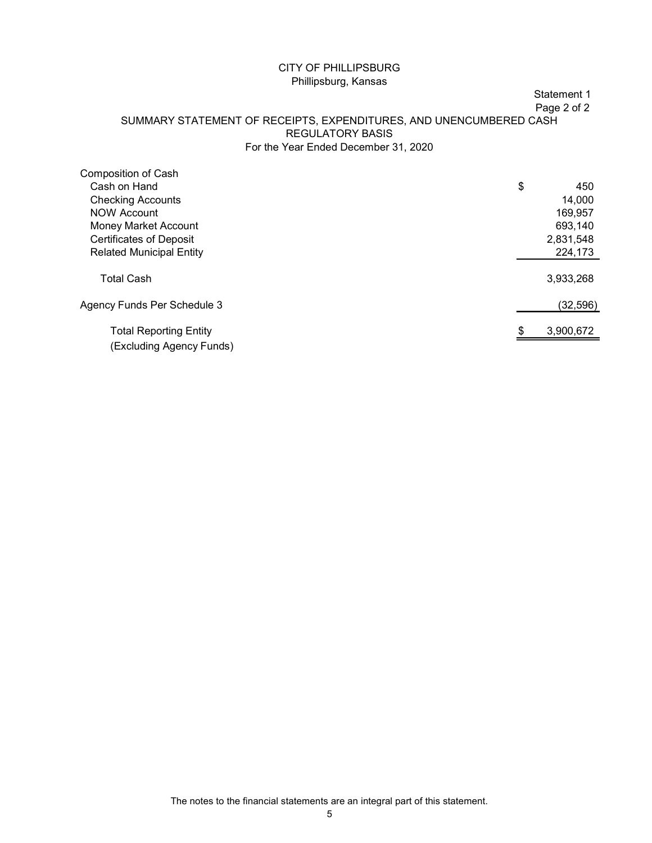#### Statement 1

#### SUMMARY STATEMENT OF RECEIPTS, EXPENDITURES, AND UNENCUMBERED CASH REGULATORY BASIS For the Year Ended December 31, 2020

| <b>CITY OF PHILLIPSBURG</b>                                        |                   |
|--------------------------------------------------------------------|-------------------|
| Phillipsburg, Kansas                                               |                   |
|                                                                    | Statement 1       |
|                                                                    | Page 2 of 2       |
| SUMMARY STATEMENT OF RECEIPTS, EXPENDITURES, AND UNENCUMBERED CASH |                   |
| <b>REGULATORY BASIS</b><br>For the Year Ended December 31, 2020    |                   |
|                                                                    |                   |
| Composition of Cash                                                |                   |
| Cash on Hand                                                       | \$<br>450         |
| <b>Checking Accounts</b><br><b>NOW Account</b>                     | 14,000<br>169,957 |
| Money Market Account                                               | 693,140           |
| <b>Certificates of Deposit</b>                                     | 2,831,548         |
| <b>Related Municipal Entity</b>                                    | 224,173           |
|                                                                    |                   |
| <b>Total Cash</b>                                                  | 3,933,268         |
| Agency Funds Per Schedule 3                                        | (32, 596)         |
| <b>Total Reporting Entity</b>                                      | 3,900,672         |

The notes to the financial statements are an integral part of this statement.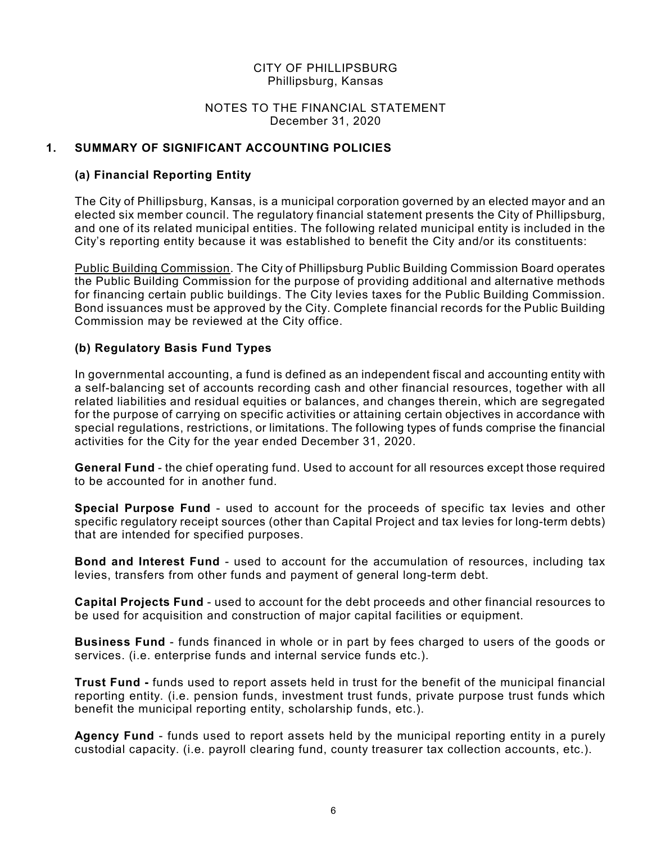#### NOTES TO THE FINANCIAL STATEMENT December 31, 2020

#### 1. SUMMARY OF SIGNIFICANT ACCOUNTING POLICIES

#### (a) Financial Reporting Entity

 The City of Phillipsburg, Kansas, is a municipal corporation governed by an elected mayor and an elected six member council. The regulatory financial statement presents the City of Phillipsburg, and one of its related municipal entities. The following related municipal entity is included in the City's reporting entity because it was established to benefit the City and/or its constituents:

 Public Building Commission. The City of Phillipsburg Public Building Commission Board operates the Public Building Commission for the purpose of providing additional and alternative methods for financing certain public buildings. The City levies taxes for the Public Building Commission. Bond issuances must be approved by the City. Complete financial records for the Public Building Commission may be reviewed at the City office.

#### (b) Regulatory Basis Fund Types

 In governmental accounting, a fund is defined as an independent fiscal and accounting entity with a self-balancing set of accounts recording cash and other financial resources, together with all related liabilities and residual equities or balances, and changes therein, which are segregated for the purpose of carrying on specific activities or attaining certain objectives in accordance with special regulations, restrictions, or limitations. The following types of funds comprise the financial activities for the City for the year ended December 31, 2020.

General Fund - the chief operating fund. Used to account for all resources except those required to be accounted for in another fund.

Special Purpose Fund - used to account for the proceeds of specific tax levies and other specific regulatory receipt sources (other than Capital Project and tax levies for long-term debts) that are intended for specified purposes.

Bond and Interest Fund - used to account for the accumulation of resources, including tax levies, transfers from other funds and payment of general long-term debt.

Capital Projects Fund - used to account for the debt proceeds and other financial resources to be used for acquisition and construction of major capital facilities or equipment.

Business Fund - funds financed in whole or in part by fees charged to users of the goods or services. (i.e. enterprise funds and internal service funds etc.).

Trust Fund - funds used to report assets held in trust for the benefit of the municipal financial reporting entity. (i.e. pension funds, investment trust funds, private purpose trust funds which benefit the municipal reporting entity, scholarship funds, etc.).

Agency Fund - funds used to report assets held by the municipal reporting entity in a purely custodial capacity. (i.e. payroll clearing fund, county treasurer tax collection accounts, etc.).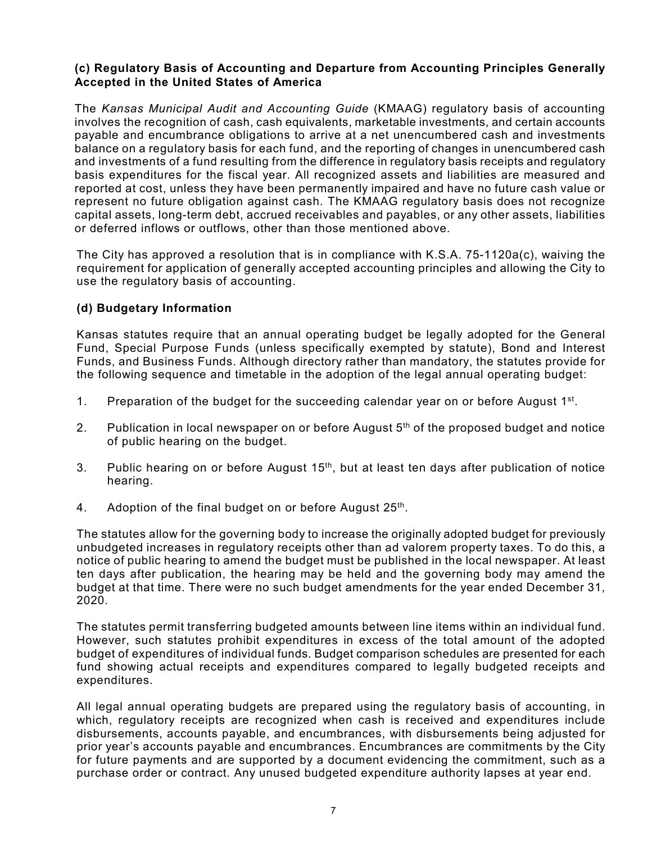#### (c) Regulatory Basis of Accounting and Departure from Accounting Principles Generally Accepted in the United States of America

The Kansas Municipal Audit and Accounting Guide (KMAAG) regulatory basis of accounting involves the recognition of cash, cash equivalents, marketable investments, and certain accounts payable and encumbrance obligations to arrive at a net unencumbered cash and investments balance on a regulatory basis for each fund, and the reporting of changes in unencumbered cash and investments of a fund resulting from the difference in regulatory basis receipts and regulatory basis expenditures for the fiscal year. All recognized assets and liabilities are measured and reported at cost, unless they have been permanently impaired and have no future cash value or represent no future obligation against cash. The KMAAG regulatory basis does not recognize capital assets, long-term debt, accrued receivables and payables, or any other assets, liabilities or deferred inflows or outflows, other than those mentioned above.

The City has approved a resolution that is in compliance with K.S.A. 75-1120a(c), waiving the requirement for application of generally accepted accounting principles and allowing the City to use the regulatory basis of accounting.

#### (d) Budgetary Information

Kansas statutes require that an annual operating budget be legally adopted for the General Fund, Special Purpose Funds (unless specifically exempted by statute), Bond and Interest Funds, and Business Funds. Although directory rather than mandatory, the statutes provide for the following sequence and timetable in the adoption of the legal annual operating budget:

- 1. Preparation of the budget for the succeeding calendar year on or before August 1st.
- 2. Publication in local newspaper on or before August  $5<sup>th</sup>$  of the proposed budget and notice of public hearing on the budget.
- 3. Public hearing on or before August 15<sup>th</sup>, but at least ten days after publication of notice hearing.
- 4. Adoption of the final budget on or before August  $25<sup>th</sup>$ .

The statutes allow for the governing body to increase the originally adopted budget for previously unbudgeted increases in regulatory receipts other than ad valorem property taxes. To do this, a notice of public hearing to amend the budget must be published in the local newspaper. At least ten days after publication, the hearing may be held and the governing body may amend the budget at that time. There were no such budget amendments for the year ended December 31, 2020.

The statutes permit transferring budgeted amounts between line items within an individual fund. However, such statutes prohibit expenditures in excess of the total amount of the adopted budget of expenditures of individual funds. Budget comparison schedules are presented for each fund showing actual receipts and expenditures compared to legally budgeted receipts and expenditures.

All legal annual operating budgets are prepared using the regulatory basis of accounting, in which, regulatory receipts are recognized when cash is received and expenditures include disbursements, accounts payable, and encumbrances, with disbursements being adjusted for prior year's accounts payable and encumbrances. Encumbrances are commitments by the City for future payments and are supported by a document evidencing the commitment, such as a purchase order or contract. Any unused budgeted expenditure authority lapses at year end.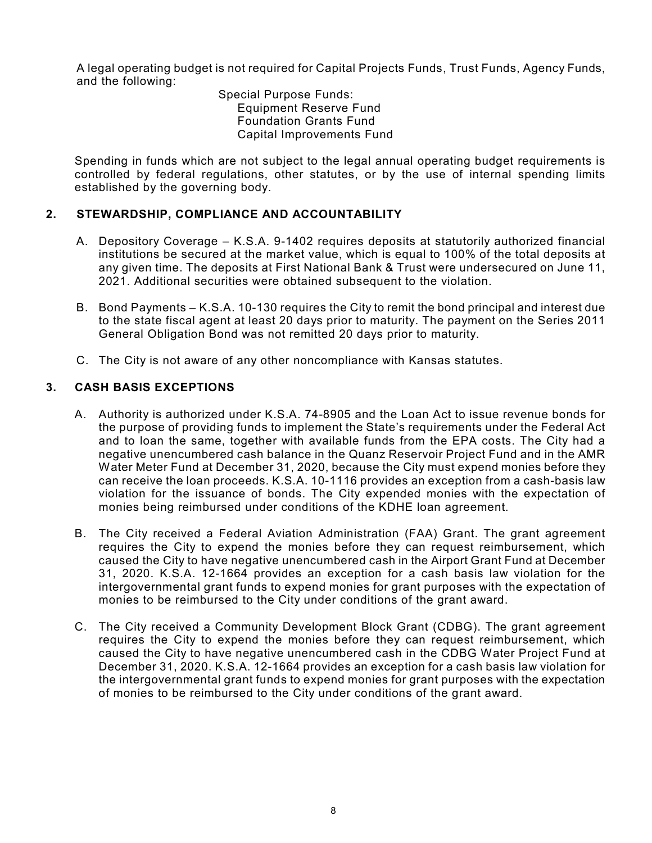A legal operating budget is not required for Capital Projects Funds, Trust Funds, Agency Funds, and the following:

 Special Purpose Funds: Equipment Reserve Fund Foundation Grants Fund Capital Improvements Fund

Spending in funds which are not subject to the legal annual operating budget requirements is controlled by federal regulations, other statutes, or by the use of internal spending limits established by the governing body.

#### 2. STEWARDSHIP, COMPLIANCE AND ACCOUNTABILITY

- A. Depository Coverage K.S.A. 9-1402 requires deposits at statutorily authorized financial institutions be secured at the market value, which is equal to 100% of the total deposits at any given time. The deposits at First National Bank & Trust were undersecured on June 11, 2021. Additional securities were obtained subsequent to the violation.
- B. Bond Payments K.S.A. 10-130 requires the City to remit the bond principal and interest due to the state fiscal agent at least 20 days prior to maturity. The payment on the Series 2011 General Obligation Bond was not remitted 20 days prior to maturity.
- C. The City is not aware of any other noncompliance with Kansas statutes.

#### 3. CASH BASIS EXCEPTIONS

- A. Authority is authorized under K.S.A. 74-8905 and the Loan Act to issue revenue bonds for the purpose of providing funds to implement the State's requirements under the Federal Act and to loan the same, together with available funds from the EPA costs. The City had a negative unencumbered cash balance in the Quanz Reservoir Project Fund and in the AMR Water Meter Fund at December 31, 2020, because the City must expend monies before they can receive the loan proceeds. K.S.A. 10-1116 provides an exception from a cash-basis law violation for the issuance of bonds. The City expended monies with the expectation of monies being reimbursed under conditions of the KDHE loan agreement.
- B. The City received a Federal Aviation Administration (FAA) Grant. The grant agreement requires the City to expend the monies before they can request reimbursement, which caused the City to have negative unencumbered cash in the Airport Grant Fund at December 31, 2020. K.S.A. 12-1664 provides an exception for a cash basis law violation for the intergovernmental grant funds to expend monies for grant purposes with the expectation of monies to be reimbursed to the City under conditions of the grant award.
- C. The City received a Community Development Block Grant (CDBG). The grant agreement requires the City to expend the monies before they can request reimbursement, which caused the City to have negative unencumbered cash in the CDBG Water Project Fund at December 31, 2020. K.S.A. 12-1664 provides an exception for a cash basis law violation for the intergovernmental grant funds to expend monies for grant purposes with the expectation of monies to be reimbursed to the City under conditions of the grant award.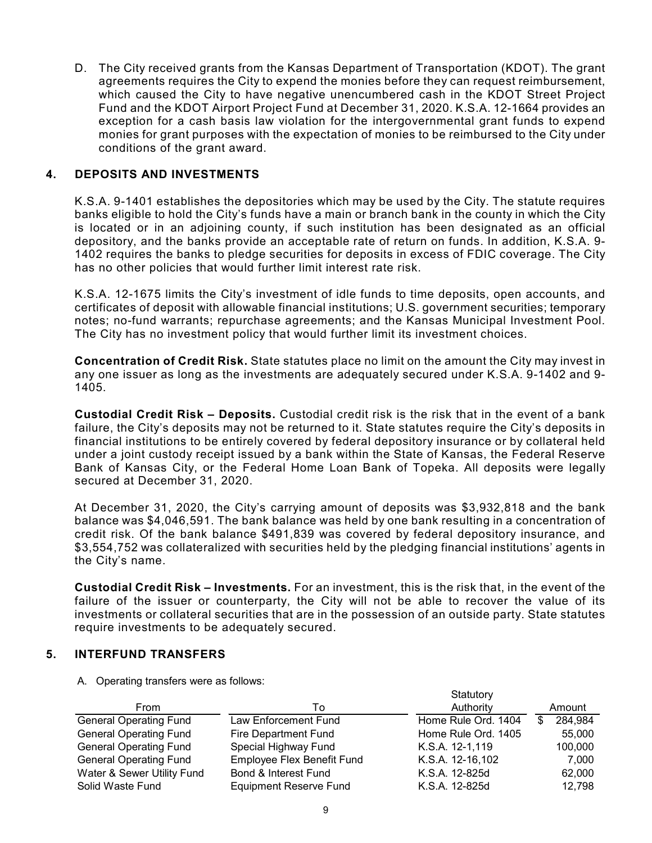D. The City received grants from the Kansas Department of Transportation (KDOT). The grant agreements requires the City to expend the monies before they can request reimbursement, which caused the City to have negative unencumbered cash in the KDOT Street Project Fund and the KDOT Airport Project Fund at December 31, 2020. K.S.A. 12-1664 provides an exception for a cash basis law violation for the intergovernmental grant funds to expend monies for grant purposes with the expectation of monies to be reimbursed to the City under conditions of the grant award.

#### 4. DEPOSITS AND INVESTMENTS

K.S.A. 9-1401 establishes the depositories which may be used by the City. The statute requires banks eligible to hold the City's funds have a main or branch bank in the county in which the City is located or in an adjoining county, if such institution has been designated as an official depository, and the banks provide an acceptable rate of return on funds. In addition, K.S.A. 9- 1402 requires the banks to pledge securities for deposits in excess of FDIC coverage. The City has no other policies that would further limit interest rate risk.

K.S.A. 12-1675 limits the City's investment of idle funds to time deposits, open accounts, and certificates of deposit with allowable financial institutions; U.S. government securities; temporary notes; no-fund warrants; repurchase agreements; and the Kansas Municipal Investment Pool. The City has no investment policy that would further limit its investment choices.

Concentration of Credit Risk. State statutes place no limit on the amount the City may invest in any one issuer as long as the investments are adequately secured under K.S.A. 9-1402 and 9- 1405.

Custodial Credit Risk – Deposits. Custodial credit risk is the risk that in the event of a bank failure, the City's deposits may not be returned to it. State statutes require the City's deposits in financial institutions to be entirely covered by federal depository insurance or by collateral held under a joint custody receipt issued by a bank within the State of Kansas, the Federal Reserve Bank of Kansas City, or the Federal Home Loan Bank of Topeka. All deposits were legally secured at December 31, 2020.

#### 5. INTERFUND TRANSFERS

|                                               | railure, the Oity S deposits may not be returned to it. State statutes require the Oity S deposits in<br>financial institutions to be entirely covered by federal depository insurance or by collateral held<br>under a joint custody receipt issued by a bank within the State of Kansas, the Federal Reserve<br>Bank of Kansas City, or the Federal Home Loan Bank of Topeka. All deposits were legally |                     |                         |
|-----------------------------------------------|-----------------------------------------------------------------------------------------------------------------------------------------------------------------------------------------------------------------------------------------------------------------------------------------------------------------------------------------------------------------------------------------------------------|---------------------|-------------------------|
| secured at December 31, 2020.                 |                                                                                                                                                                                                                                                                                                                                                                                                           |                     |                         |
| the City's name.                              | At December 31, 2020, the City's carrying amount of deposits was \$3,932,818 and the bank<br>balance was \$4,046,591. The bank balance was held by one bank resulting in a concentration of<br>credit risk. Of the bank balance \$491,839 was covered by federal depository insurance, and<br>\$3,554,752 was collateralized with securities held by the pledging financial institutions' agents in       |                     |                         |
| require investments to be adequately secured. | <b>Custodial Credit Risk – Investments.</b> For an investment, this is the risk that, in the event of the<br>failure of the issuer or counterparty, the City will not be able to recover the value of its<br>investments or collateral securities that are in the possession of an outside party. State statutes                                                                                          |                     |                         |
| <b>INTERFUND TRANSFERS</b>                    |                                                                                                                                                                                                                                                                                                                                                                                                           |                     |                         |
| A. Operating transfers were as follows:       |                                                                                                                                                                                                                                                                                                                                                                                                           |                     |                         |
|                                               |                                                                                                                                                                                                                                                                                                                                                                                                           | Statutory           |                         |
| From                                          | To                                                                                                                                                                                                                                                                                                                                                                                                        | Authority           | Amount                  |
| <b>General Operating Fund</b>                 | <b>Law Enforcement Fund</b>                                                                                                                                                                                                                                                                                                                                                                               | Home Rule Ord. 1404 | $\mathbb{S}$<br>284,984 |
| <b>General Operating Fund</b>                 | <b>Fire Department Fund</b>                                                                                                                                                                                                                                                                                                                                                                               | Home Rule Ord. 1405 | 55,000                  |
| <b>General Operating Fund</b>                 | Special Highway Fund                                                                                                                                                                                                                                                                                                                                                                                      | K.S.A. 12-1,119     | 100,000                 |
| <b>General Operating Fund</b>                 | Employee Flex Benefit Fund                                                                                                                                                                                                                                                                                                                                                                                | K.S.A. 12-16,102    | 7,000                   |
| Water & Sewer Utility Fund                    | Bond & Interest Fund                                                                                                                                                                                                                                                                                                                                                                                      | K.S.A. 12-825d      | 62,000                  |
| Solid Waste Fund                              | <b>Equipment Reserve Fund</b>                                                                                                                                                                                                                                                                                                                                                                             | K.S.A. 12-825d      | 12,798                  |
|                                               | 9                                                                                                                                                                                                                                                                                                                                                                                                         |                     |                         |
|                                               |                                                                                                                                                                                                                                                                                                                                                                                                           |                     |                         |
|                                               |                                                                                                                                                                                                                                                                                                                                                                                                           |                     |                         |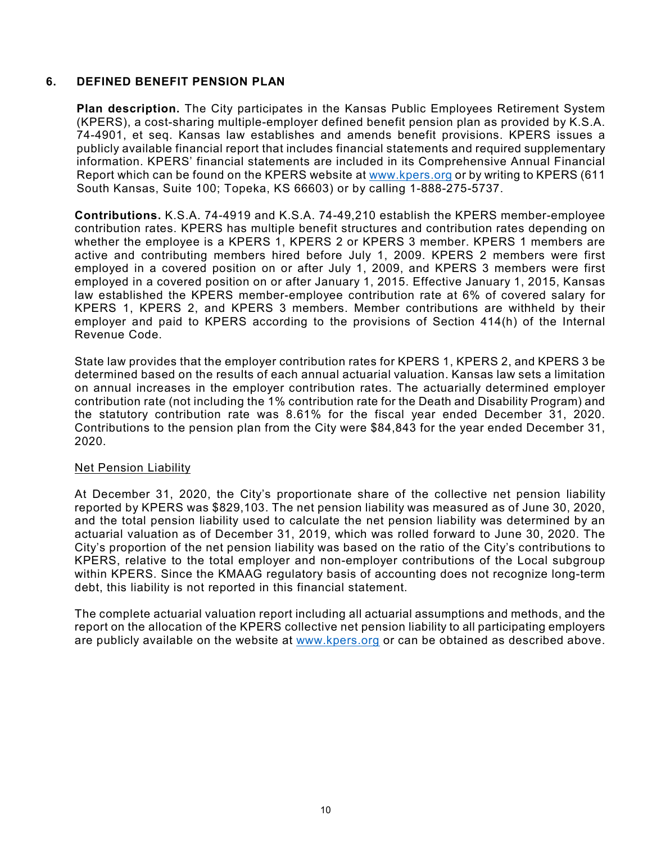#### 6. DEFINED BENEFIT PENSION PLAN

Plan description. The City participates in the Kansas Public Employees Retirement System (KPERS), a cost-sharing multiple-employer defined benefit pension plan as provided by K.S.A. 74-4901, et seq. Kansas law establishes and amends benefit provisions. KPERS issues a publicly available financial report that includes financial statements and required supplementary information. KPERS' financial statements are included in its Comprehensive Annual Financial Report which can be found on the KPERS website at www.kpers.org or by writing to KPERS (611 South Kansas, Suite 100; Topeka, KS 66603) or by calling 1-888-275-5737.

Contributions. K.S.A. 74-4919 and K.S.A. 74-49,210 establish the KPERS member-employee contribution rates. KPERS has multiple benefit structures and contribution rates depending on whether the employee is a KPERS 1, KPERS 2 or KPERS 3 member. KPERS 1 members are active and contributing members hired before July 1, 2009. KPERS 2 members were first employed in a covered position on or after July 1, 2009, and KPERS 3 members were first employed in a covered position on or after January 1, 2015. Effective January 1, 2015, Kansas law established the KPERS member-employee contribution rate at 6% of covered salary for KPERS 1, KPERS 2, and KPERS 3 members. Member contributions are withheld by their employer and paid to KPERS according to the provisions of Section 414(h) of the Internal Revenue Code.

State law provides that the employer contribution rates for KPERS 1, KPERS 2, and KPERS 3 be determined based on the results of each annual actuarial valuation. Kansas law sets a limitation on annual increases in the employer contribution rates. The actuarially determined employer contribution rate (not including the 1% contribution rate for the Death and Disability Program) and the statutory contribution rate was 8.61% for the fiscal year ended December 31, 2020. Contributions to the pension plan from the City were \$84,843 for the year ended December 31, 2020.

#### Net Pension Liability

At December 31, 2020, the City's proportionate share of the collective net pension liability reported by KPERS was \$829,103. The net pension liability was measured as of June 30, 2020, and the total pension liability used to calculate the net pension liability was determined by an actuarial valuation as of December 31, 2019, which was rolled forward to June 30, 2020. The City's proportion of the net pension liability was based on the ratio of the City's contributions to KPERS, relative to the total employer and non-employer contributions of the Local subgroup within KPERS. Since the KMAAG regulatory basis of accounting does not recognize long-term debt, this liability is not reported in this financial statement.

The complete actuarial valuation report including all actuarial assumptions and methods, and the report on the allocation of the KPERS collective net pension liability to all participating employers are publicly available on the website at www.kpers.org or can be obtained as described above.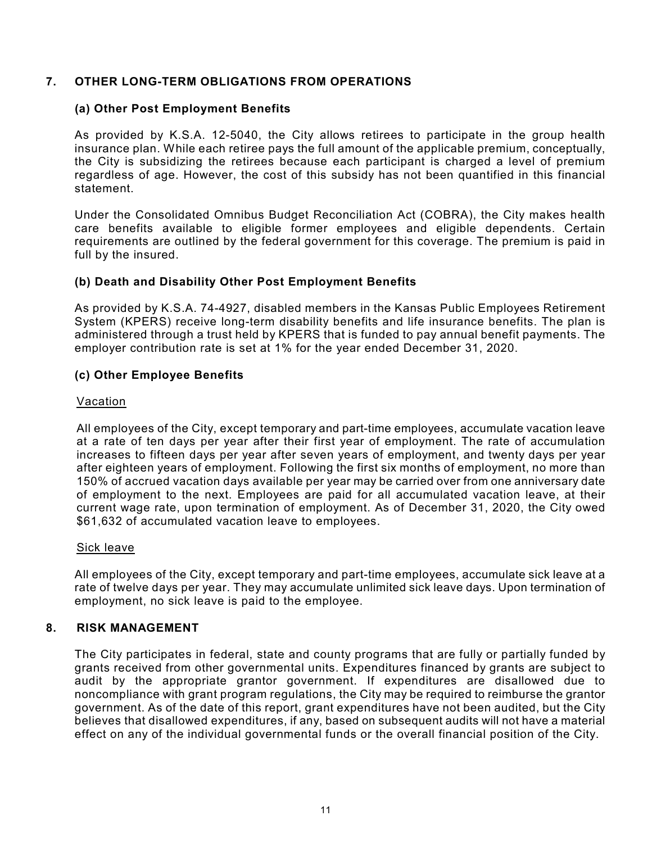#### 7. OTHER LONG-TERM OBLIGATIONS FROM OPERATIONS

#### (a) Other Post Employment Benefits

As provided by K.S.A. 12-5040, the City allows retirees to participate in the group health insurance plan. While each retiree pays the full amount of the applicable premium, conceptually, the City is subsidizing the retirees because each participant is charged a level of premium regardless of age. However, the cost of this subsidy has not been quantified in this financial statement.

Under the Consolidated Omnibus Budget Reconciliation Act (COBRA), the City makes health care benefits available to eligible former employees and eligible dependents. Certain requirements are outlined by the federal government for this coverage. The premium is paid in full by the insured.

#### (b) Death and Disability Other Post Employment Benefits

As provided by K.S.A. 74-4927, disabled members in the Kansas Public Employees Retirement System (KPERS) receive long-term disability benefits and life insurance benefits. The plan is administered through a trust held by KPERS that is funded to pay annual benefit payments. The employer contribution rate is set at 1% for the year ended December 31, 2020.

#### (c) Other Employee Benefits

#### Vacation

All employees of the City, except temporary and part-time employees, accumulate vacation leave at a rate of ten days per year after their first year of employment. The rate of accumulation increases to fifteen days per year after seven years of employment, and twenty days per year after eighteen years of employment. Following the first six months of employment, no more than 150% of accrued vacation days available per year may be carried over from one anniversary date of employment to the next. Employees are paid for all accumulated vacation leave, at their current wage rate, upon termination of employment. As of December 31, 2020, the City owed \$61,632 of accumulated vacation leave to employees.

#### Sick leave

All employees of the City, except temporary and part-time employees, accumulate sick leave at a rate of twelve days per year. They may accumulate unlimited sick leave days. Upon termination of employment, no sick leave is paid to the employee.

#### 8. RISK MANAGEMENT

The City participates in federal, state and county programs that are fully or partially funded by grants received from other governmental units. Expenditures financed by grants are subject to audit by the appropriate grantor government. If expenditures are disallowed due to noncompliance with grant program regulations, the City may be required to reimburse the grantor government. As of the date of this report, grant expenditures have not been audited, but the City believes that disallowed expenditures, if any, based on subsequent audits will not have a material effect on any of the individual governmental funds or the overall financial position of the City.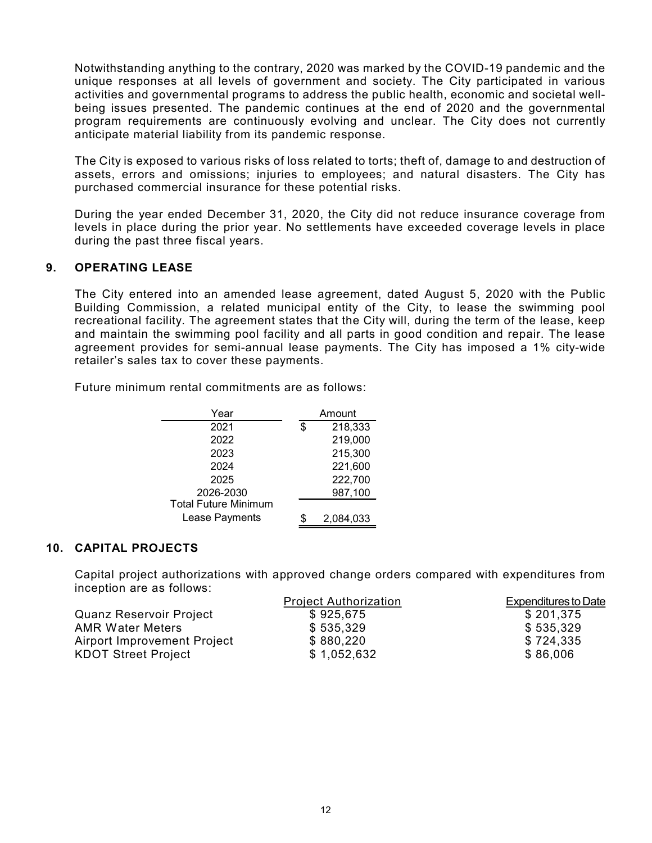Notwithstanding anything to the contrary, 2020 was marked by the COVID-19 pandemic and the unique responses at all levels of government and society. The City participated in various activities and governmental programs to address the public health, economic and societal wellbeing issues presented. The pandemic continues at the end of 2020 and the governmental program requirements are continuously evolving and unclear. The City does not currently anticipate material liability from its pandemic response.

The City is exposed to various risks of loss related to torts; theft of, damage to and destruction of assets, errors and omissions; injuries to employees; and natural disasters. The City has purchased commercial insurance for these potential risks.

During the year ended December 31, 2020, the City did not reduce insurance coverage from levels in place during the prior year. No settlements have exceeded coverage levels in place during the past three fiscal years.

#### 9. OPERATING LEASE

The City entered into an amended lease agreement, dated August 5, 2020 with the Public Building Commission, a related municipal entity of the City, to lease the swimming pool recreational facility. The agreement states that the City will, during the term of the lease, keep and maintain the swimming pool facility and all parts in good condition and repair. The lease agreement provides for semi-annual lease payments. The City has imposed a 1% city-wide retailer's sales tax to cover these payments. rious risks of loss related to torts; theft of, damage to and destruction of<br>sisons; injuries to employees; and natural disasters. The City has<br>sisons; injuries to employees; and natural disasters. The City has<br>sisurance f nrious risks of loss related to torts; theft of, damage to and destruction of<br>
ssions; injuries to employees; and natural disasters. The City has<br>
nesurance for these potential risks.<br>
December 31, 2020, the City did not r Solution, injuries to employees, and inducal disasters. The City rias<br>
sharance for these potential risks.<br>
December 31, 2020, the City did not reduce insurance coverage from<br>
e prior year. No settlements have exceeded co Islamice for these potential risks.<br>
December 31, 2020, the City did not reduce insurance coverage from<br>
e prior year. No settlements have exceeded coverage levels in place<br>
and years.<br>
In amended lease agreement, dated Au December 31, 2020, the City did not reduce insurance coverage from<br>
e prior year. No settlements have exceeded coverage levels in place<br>
cal years.<br>
In a mended lease agreement, dated August 5, 2020 with the Public<br>
a rel December 31, 2020, the Chy dia not reduce insurance coverage from<br>the prior year. No settlements have exceeded coverage levels in place<br>fiscal years.<br>A an amended lease agreement, dated August 5, 2020 with the Public<br>a rel Lease Payments<br>
Into an amended lease agreement, dated August 5, 2020 with the Public<br>
Ono, a related municipal entity of the City, to lease the swimming pool<br>
I. The agreement states that the City will, during the term of

|  |  |  |  | Future minimum rental commitments are as follows: |
|--|--|--|--|---------------------------------------------------|
|--|--|--|--|---------------------------------------------------|

| Year                        |     | Amount    |
|-----------------------------|-----|-----------|
| 2021                        | \$. | 218,333   |
| 2022                        |     | 219,000   |
| 2023                        |     | 215,300   |
| 2024                        |     | 221,600   |
| 2025                        |     | 222,700   |
| 2026-2030                   |     | 987,100   |
| <b>Total Future Minimum</b> |     |           |
| Lease Payments              |     | 2,084,033 |

#### 10. CAPITAL PROJECTS

 Capital project authorizations with approved change orders compared with expenditures from inception are as follows:

|                                | <b>Project Authorization</b> | <b>Expenditures to Date</b> |
|--------------------------------|------------------------------|-----------------------------|
| <b>Quanz Reservoir Project</b> | \$925,675                    | \$201,375                   |
| <b>AMR Water Meters</b>        | \$535,329                    | \$535,329                   |
| Airport Improvement Project    | \$880,220                    | \$724,335                   |
| <b>KDOT Street Project</b>     | \$1,052,632                  | \$86,006                    |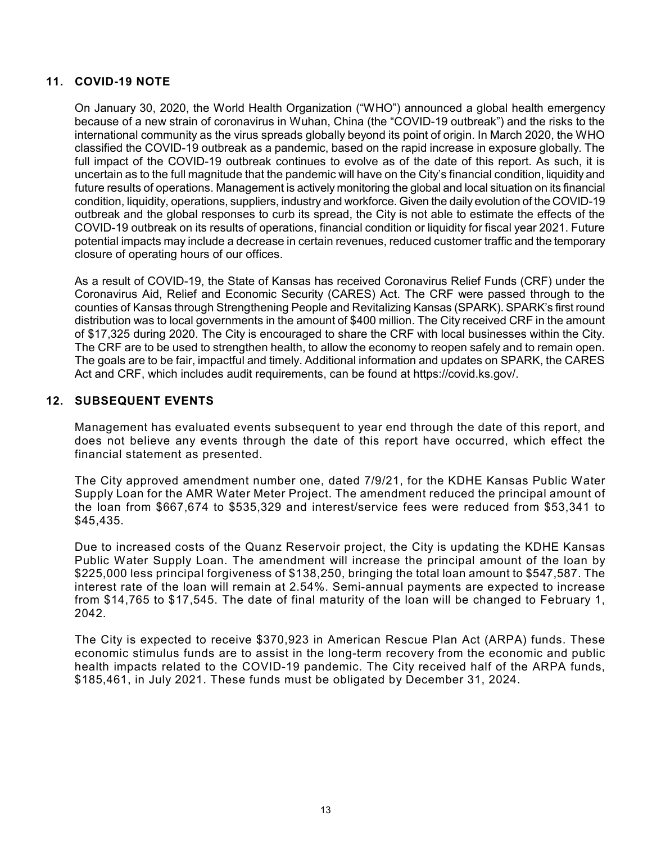#### 11. COVID-19 NOTE

On January 30, 2020, the World Health Organization ("WHO") announced a global health emergency because of a new strain of coronavirus in Wuhan, China (the "COVID-19 outbreak") and the risks to the international community as the virus spreads globally beyond its point of origin. In March 2020, the WHO classified the COVID-19 outbreak as a pandemic, based on the rapid increase in exposure globally. The full impact of the COVID-19 outbreak continues to evolve as of the date of this report. As such, it is uncertain as to the full magnitude that the pandemic will have on the City's financial condition, liquidity and future results of operations. Management is actively monitoring the global and local situation on its financial condition, liquidity, operations, suppliers, industry and workforce. Given the daily evolution of the COVID-19 outbreak and the global responses to curb its spread, the City is not able to estimate the effects of the COVID-19 outbreak on its results of operations, financial condition or liquidity for fiscal year 2021. Future potential impacts may include a decrease in certain revenues, reduced customer traffic and the temporary closure of operating hours of our offices.

As a result of COVID-19, the State of Kansas has received Coronavirus Relief Funds (CRF) under the Coronavirus Aid, Relief and Economic Security (CARES) Act. The CRF were passed through to the counties of Kansas through Strengthening People and Revitalizing Kansas (SPARK). SPARK's first round distribution was to local governments in the amount of \$400 million. The City received CRF in the amount of \$17,325 during 2020. The City is encouraged to share the CRF with local businesses within the City. The CRF are to be used to strengthen health, to allow the economy to reopen safely and to remain open. The goals are to be fair, impactful and timely. Additional information and updates on SPARK, the CARES Act and CRF, which includes audit requirements, can be found at https://covid.ks.gov/.

#### 12. SUBSEQUENT EVENTS

Management has evaluated events subsequent to year end through the date of this report, and does not believe any events through the date of this report have occurred, which effect the financial statement as presented.

The City approved amendment number one, dated 7/9/21, for the KDHE Kansas Public Water Supply Loan for the AMR Water Meter Project. The amendment reduced the principal amount of the loan from \$667,674 to \$535,329 and interest/service fees were reduced from \$53,341 to \$45,435.

Due to increased costs of the Quanz Reservoir project, the City is updating the KDHE Kansas Public Water Supply Loan. The amendment will increase the principal amount of the loan by \$225,000 less principal forgiveness of \$138,250, bringing the total loan amount to \$547,587. The interest rate of the loan will remain at 2.54%. Semi-annual payments are expected to increase from \$14,765 to \$17,545. The date of final maturity of the loan will be changed to February 1, 2042.

The City is expected to receive \$370,923 in American Rescue Plan Act (ARPA) funds. These economic stimulus funds are to assist in the long-term recovery from the economic and public health impacts related to the COVID-19 pandemic. The City received half of the ARPA funds, \$185,461, in July 2021. These funds must be obligated by December 31, 2024.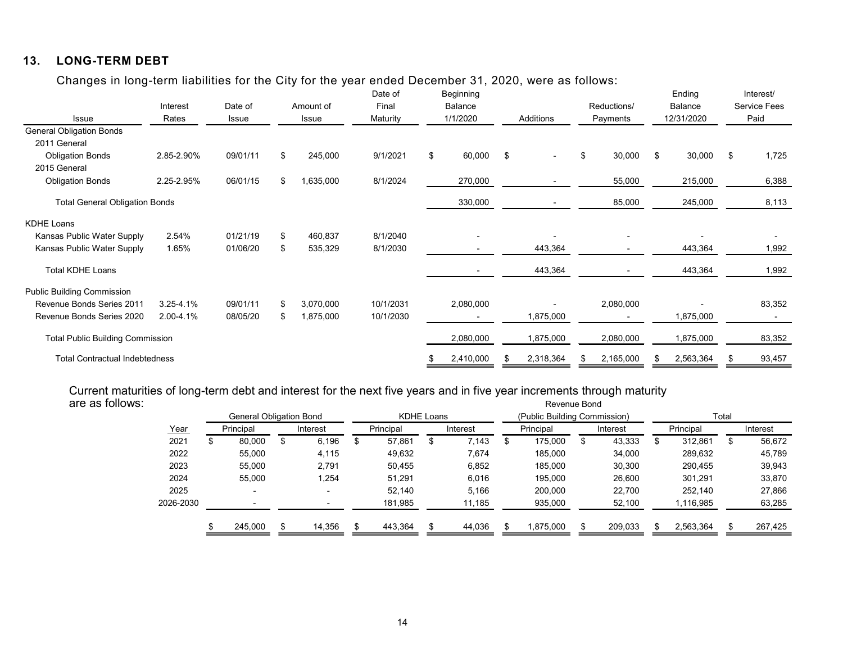### 13. LONG-TERM DEBT

| <b>LONG-TERM DEBT</b><br>13.                                                                                                              |                        |                                |            |                        |                        |                         |                          |                                       |      |                          |                    |        |            |                      |
|-------------------------------------------------------------------------------------------------------------------------------------------|------------------------|--------------------------------|------------|------------------------|------------------------|-------------------------|--------------------------|---------------------------------------|------|--------------------------|--------------------|--------|------------|----------------------|
|                                                                                                                                           |                        |                                |            |                        |                        |                         |                          |                                       |      |                          |                    |        |            |                      |
|                                                                                                                                           |                        |                                |            |                        |                        |                         |                          |                                       |      |                          |                    |        |            |                      |
|                                                                                                                                           |                        |                                |            |                        |                        |                         |                          |                                       |      |                          |                    |        |            |                      |
|                                                                                                                                           |                        |                                |            |                        |                        |                         |                          |                                       |      |                          |                    |        |            |                      |
|                                                                                                                                           |                        |                                |            |                        |                        |                         |                          |                                       |      |                          |                    |        |            |                      |
| Changes in long-term liabilities for the City for the year ended December 31, 2020, were as follows:                                      |                        |                                |            |                        |                        |                         |                          |                                       |      |                          |                    |        |            |                      |
|                                                                                                                                           |                        |                                |            |                        | Date of                |                         | Beginning                |                                       |      |                          | Ending             |        |            | Interest/            |
|                                                                                                                                           | Interest               | Date of                        |            | Amount of              | Final                  |                         | Balance                  |                                       |      | Reductions/              | Balance            |        |            | Service Fees         |
| Issue<br><b>General Obligation Bonds</b>                                                                                                  | Rates                  | Issue                          |            | Issue                  | Maturity               |                         | 1/1/2020                 | Additions                             |      | Payments                 | 12/31/2020         |        | Paid       |                      |
| 2011 General                                                                                                                              |                        |                                |            |                        |                        |                         |                          |                                       |      |                          |                    |        |            |                      |
| <b>Obligation Bonds</b>                                                                                                                   | 2.85-2.90%             | 09/01/11                       | \$         | 245,000                | 9/1/2021               | -\$                     | 60,000                   | - \$<br>$\overline{\phantom{a}}$      |      | 30,000                   | \$                 | 30,000 | $\sqrt{3}$ | 1,725                |
| 2015 General<br><b>Obligation Bonds</b>                                                                                                   | 2.25-2.95%             | 06/01/15                       | -\$        | 1,635,000              | 8/1/2024               |                         | 270,000                  | $\overline{\phantom{a}}$              |      | 55,000                   | 215,000            |        |            | 6,388                |
| <b>Total General Obligation Bonds</b>                                                                                                     |                        |                                |            |                        |                        |                         | 330,000                  | $\overline{\phantom{a}}$              |      | 85,000                   | 245,000            |        |            | 8,113                |
|                                                                                                                                           |                        |                                |            |                        |                        |                         |                          |                                       |      |                          |                    |        |            |                      |
| KDHE Loans<br>Kansas Public Water Supply                                                                                                  |                        | 01/21/19                       |            |                        | 8/1/2040               |                         |                          |                                       |      |                          |                    |        |            |                      |
| Kansas Public Water Supply                                                                                                                | 2.54%<br>1.65%         | 01/06/20                       | - \$<br>\$ | 460,837<br>535,329     | 8/1/2030               |                         | $\overline{\phantom{a}}$ | 443,364                               |      | $\overline{\phantom{a}}$ | 443,364            |        |            | 1,992                |
| <b>Total KDHE Loans</b>                                                                                                                   |                        |                                |            |                        |                        |                         |                          | 443,364                               |      |                          | 443,364            |        |            | 1,992                |
|                                                                                                                                           |                        |                                |            |                        |                        |                         |                          |                                       |      |                          |                    |        |            |                      |
| <b>Public Building Commission</b><br>Revenue Bonds Series 2011                                                                            |                        |                                | \$         |                        |                        |                         |                          |                                       |      |                          |                    |        |            |                      |
| Revenue Bonds Series 2020                                                                                                                 | 3.25-4.1%<br>2.00-4.1% | 09/01/11<br>08/05/20           | \$         | 3,070,000<br>1,875,000 | 10/1/2031<br>10/1/2030 |                         | 2,080,000<br>$\sim$      | $\overline{\phantom{a}}$<br>1,875,000 |      | 2,080,000<br>$\sim$      | 1,875,000          | $\sim$ |            | 83,352<br>$\sim$ $-$ |
| <b>Total Public Building Commission</b>                                                                                                   |                        |                                |            |                        |                        |                         | 2,080,000                | 1,875,000                             |      | 2,080,000                | 1,875,000          |        |            |                      |
|                                                                                                                                           |                        |                                |            |                        |                        |                         |                          |                                       |      |                          |                    |        |            | 83,352               |
| <b>Total Contractual Indebtedness</b>                                                                                                     |                        |                                |            |                        |                        |                         | 2,410,000                | 2,318,364<br>\$                       | - 35 | 2,165,000                | 2,563,364<br>- \$  |        | -95        | 93,457               |
|                                                                                                                                           |                        |                                |            |                        |                        |                         |                          |                                       |      |                          |                    |        |            |                      |
| Current maturities of long-term debt and interest for the next five years and in five year increments through maturity<br>are as follows: |                        |                                |            |                        |                        |                         |                          | Revenue Bond                          |      |                          |                    |        |            |                      |
|                                                                                                                                           |                        | <b>General Obligation Bond</b> |            |                        |                        | KDHE Loans              |                          | (Public Building Commission)          |      |                          |                    | Total  |            |                      |
|                                                                                                                                           | Year                   | Principal                      |            | Interest               | Principal              |                         | Interest                 | Principal                             |      | Interest                 | Principal          |        |            | Interest             |
|                                                                                                                                           | 2021                   | 80,000<br>\$                   | $\sqrt{2}$ | 6,196                  | 57,861<br>\$           | $\sqrt[6]{\frac{1}{2}}$ | 7,143                    | $\sqrt[6]{\frac{1}{2}}$<br>175,000    | \$   | 43,333                   | 312,861<br>\$      |        | $\sqrt{3}$ | 56,672               |
|                                                                                                                                           | 2022                   | 55,000                         |            | 4,115                  | 49,632                 |                         | 7,674                    | 185,000                               |      | 34,000                   | 289,632            |        |            | 45,789               |
|                                                                                                                                           | 2023<br>2024           | 55,000<br>55,000               |            | 2,791<br>1,254         | 50,455<br>51,291       |                         | 6,852<br>6,016           | 185,000<br>195,000                    |      | 30,300<br>26,600         | 290,455<br>301,291 |        |            | 39,943<br>33,870     |
|                                                                                                                                           | 2025                   |                                |            | $\sim$                 | 52,140                 |                         | 5,166                    | 200,000                               |      | 22,700                   | 252,140            |        |            | 27,866               |
|                                                                                                                                           | 2026-2030              |                                |            | $\sim$                 | 181,985                |                         | 11,185                   | 935,000                               |      | 52,100                   | 1,116,985          |        |            | 63,285               |
|                                                                                                                                           |                        |                                |            | 14,356                 | 443,364<br>- \$        |                         |                          |                                       |      | 209,033                  | 2,563,364          |        |            | 267,425              |
|                                                                                                                                           |                        | 245,000                        | \$         |                        |                        | - 35                    | 44,036                   | 1,875,000<br>\$                       |      |                          | - \$               |        | S          |                      |

|     |         |           |                          |                                     |         |           | Interest |            | Principal |   | Interest |                              | Principal | Interest     |
|-----|---------|-----------|--------------------------|-------------------------------------|---------|-----------|----------|------------|-----------|---|----------|------------------------------|-----------|--------------|
| \$  | 80.000  | ъ         | 6.196                    | S                                   | 57.861  | \$        | 7,143    | æ          | 175.000   | ა | 43.333   | \$                           | 312.861   | \$<br>56,672 |
|     | 55.000  |           | 4.115                    |                                     | 49,632  |           | 7.674    |            | 185.000   |   | 34.000   |                              | 289.632   | 45,789       |
|     | 55.000  |           | 2,791                    |                                     | 50.455  |           | 6,852    |            | 185.000   |   | 30,300   |                              | 290.455   | 39,943       |
|     | 55.000  |           | 1,254                    |                                     | 51.291  |           | 6.016    |            | 195.000   |   | 26,600   |                              | 301.291   | 33,870       |
|     |         |           | $\overline{\phantom{0}}$ |                                     | 52.140  |           | 5,166    |            | 200,000   |   | 22.700   |                              | 252.140   | 27,866       |
|     |         |           |                          |                                     | 181,985 |           | 11,185   |            | 935,000   |   | 52,100   |                              | 1,116,985 | 63,285       |
| \$. | 245,000 |           | 14,356                   |                                     | 443.364 | \$        | 44,036   |            | 875,000   |   | 209.033  |                              | 2,563,364 | 267,425      |
|     |         | Principal |                          | General Obligation Bond<br>Interest |         | Principal |          | KDHE Loans |           |   |          | (Public Building Commission) |           | Total        |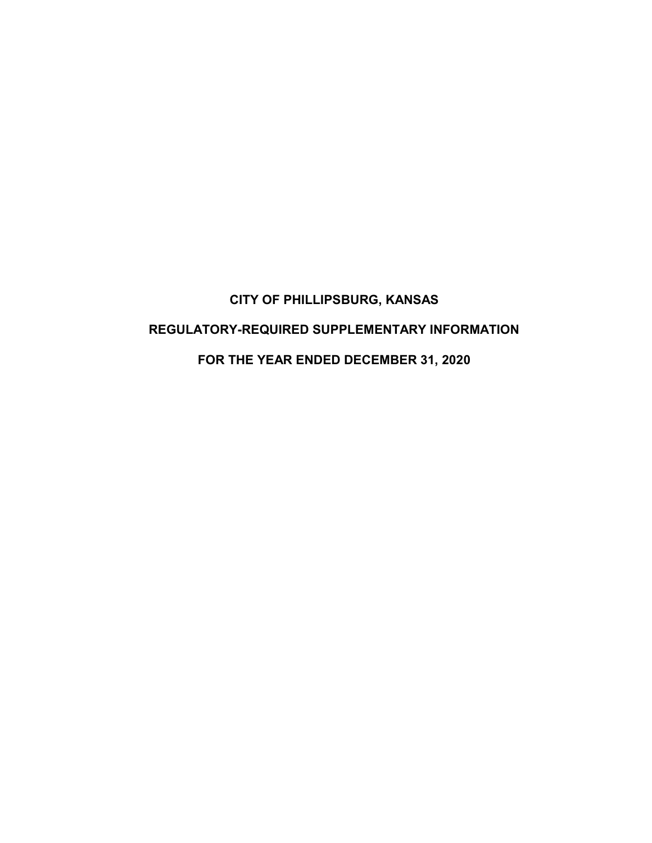# CITY OF PHILLIPSBURG, KANSAS REGULATORY-REQUIRED SUPPLEMENTARY INFORMATION FOR THE YEAR ENDED DECEMBER 31, 2020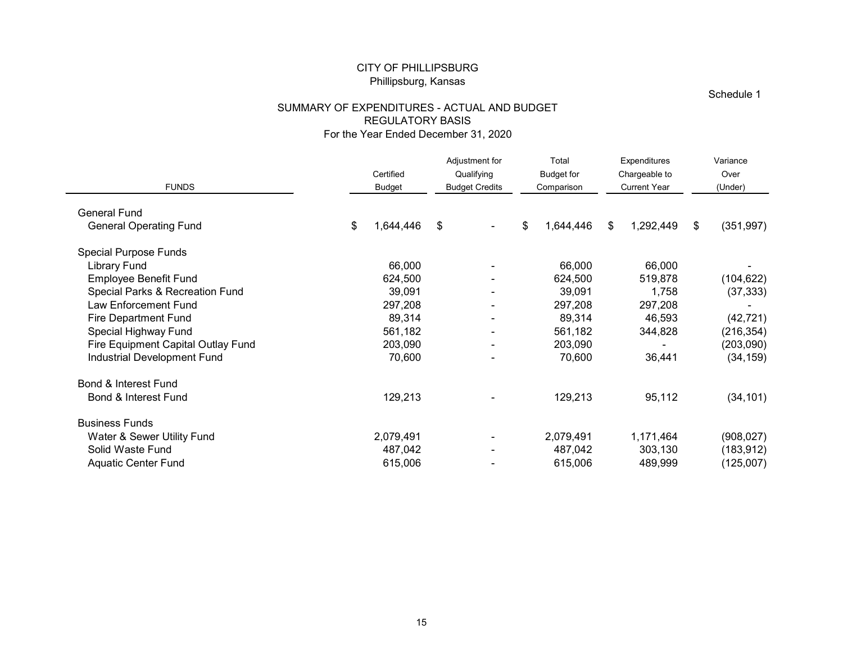#### SUMMARY OF EXPENDITURES - ACTUAL AND BUDGET REGULATORY BASIS For the Year Ended December 31, 2020

|                                                                   |                                             | <b>CITY OF PHILLIPSBURG</b><br>Phillipsburg, Kansas |                                      |                                 |                                      |                              |
|-------------------------------------------------------------------|---------------------------------------------|-----------------------------------------------------|--------------------------------------|---------------------------------|--------------------------------------|------------------------------|
|                                                                   | SUMMARY OF EXPENDITURES - ACTUAL AND BUDGET |                                                     |                                      |                                 |                                      | Schedule 1                   |
|                                                                   |                                             | <b>REGULATORY BASIS</b>                             | For the Year Ended December 31, 2020 |                                 |                                      |                              |
|                                                                   |                                             |                                                     | Adjustment for                       | Total                           | Expenditures                         | Variance                     |
| <b>FUNDS</b>                                                      |                                             | Certified<br><b>Budget</b>                          | Qualifying<br><b>Budget Credits</b>  | <b>Budget for</b><br>Comparison | Chargeable to<br><b>Current Year</b> | Over<br>(Under)              |
| General Fund                                                      |                                             |                                                     |                                      |                                 |                                      |                              |
| <b>General Operating Fund</b>                                     |                                             | \$<br>1,644,446                                     | \$                                   | \$<br>1,644,446                 | 1,292,449<br>- \$                    | (351, 997)<br>\$             |
| <b>Special Purpose Funds</b>                                      |                                             |                                                     |                                      |                                 |                                      |                              |
| <b>Library Fund</b><br>Employee Benefit Fund                      |                                             | 66,000<br>624,500                                   |                                      | 66,000<br>624,500               | 66,000<br>519,878                    | $\blacksquare$<br>(104, 622) |
| Special Parks & Recreation Fund                                   |                                             | 39,091                                              |                                      | 39,091                          | 1,758                                | (37, 333)                    |
| Law Enforcement Fund                                              |                                             | 297,208                                             |                                      | 297,208                         | 297,208                              | $\sim$                       |
| <b>Fire Department Fund</b>                                       |                                             | 89,314                                              |                                      | 89,314                          | 46,593                               | (42, 721)                    |
| Special Highway Fund                                              |                                             | 561,182<br>203,090                                  |                                      | 561,182<br>203,090              | 344,828                              | (216, 354)                   |
| Fire Equipment Capital Outlay Fund<br>Industrial Development Fund |                                             | 70,600                                              |                                      | 70,600                          | 36,441                               | (203,090)<br>(34, 159)       |
| Bond & Interest Fund                                              |                                             |                                                     |                                      |                                 |                                      |                              |
| Bond & Interest Fund                                              |                                             | 129,213                                             | ۰.                                   | 129,213                         | 95,112                               | (34, 101)                    |
| <b>Business Funds</b>                                             |                                             |                                                     |                                      |                                 |                                      |                              |
| Water & Sewer Utility Fund                                        |                                             | 2,079,491                                           |                                      | 2,079,491                       | 1,171,464                            | (908, 027)                   |
| Solid Waste Fund                                                  |                                             | 487,042                                             |                                      | 487,042                         | 303,130                              | (183, 912)                   |
| <b>Aquatic Center Fund</b>                                        |                                             | 615,006                                             | $\blacksquare$                       | 615,006                         | 489,999                              | (125,007)                    |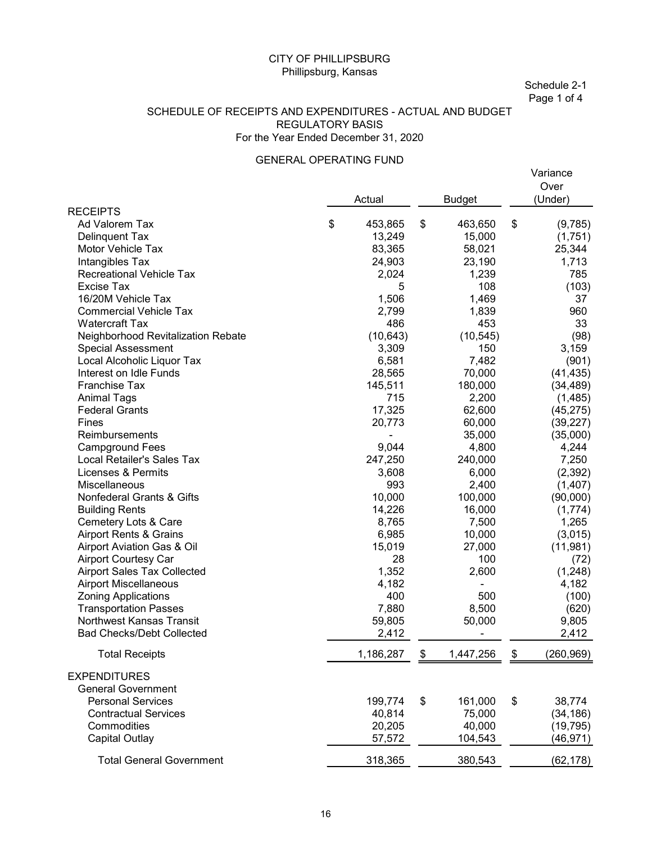#### SCHEDULE OF RECEIPTS AND EXPENDITURES - ACTUAL AND BUDGET REGULATORY BASIS For the Year Ended December 31, 2020

#### GENERAL OPERATING FUND

|                                                                                                                                                                                                                                                                                                                                                                                                                                                                                                                                                                                                                                                                                                                                                                                                                                                                                           | <b>CITY OF PHILLIPSBURG</b><br>Phillipsburg, Kansas             |                                                                                                                                                                                                                                                                                                   |      |                                                                                                                                                                                                                                                                                                           | Schedule 2-1<br>Page 1 of 4                                                                                                                                                                                                                                                                                                                  |
|-------------------------------------------------------------------------------------------------------------------------------------------------------------------------------------------------------------------------------------------------------------------------------------------------------------------------------------------------------------------------------------------------------------------------------------------------------------------------------------------------------------------------------------------------------------------------------------------------------------------------------------------------------------------------------------------------------------------------------------------------------------------------------------------------------------------------------------------------------------------------------------------|-----------------------------------------------------------------|---------------------------------------------------------------------------------------------------------------------------------------------------------------------------------------------------------------------------------------------------------------------------------------------------|------|-----------------------------------------------------------------------------------------------------------------------------------------------------------------------------------------------------------------------------------------------------------------------------------------------------------|----------------------------------------------------------------------------------------------------------------------------------------------------------------------------------------------------------------------------------------------------------------------------------------------------------------------------------------------|
| SCHEDULE OF RECEIPTS AND EXPENDITURES - ACTUAL AND BUDGET                                                                                                                                                                                                                                                                                                                                                                                                                                                                                                                                                                                                                                                                                                                                                                                                                                 | <b>REGULATORY BASIS</b><br>For the Year Ended December 31, 2020 |                                                                                                                                                                                                                                                                                                   |      |                                                                                                                                                                                                                                                                                                           |                                                                                                                                                                                                                                                                                                                                              |
|                                                                                                                                                                                                                                                                                                                                                                                                                                                                                                                                                                                                                                                                                                                                                                                                                                                                                           | <b>GENERAL OPERATING FUND</b>                                   |                                                                                                                                                                                                                                                                                                   |      |                                                                                                                                                                                                                                                                                                           | Variance                                                                                                                                                                                                                                                                                                                                     |
| <b>RECEIPTS</b>                                                                                                                                                                                                                                                                                                                                                                                                                                                                                                                                                                                                                                                                                                                                                                                                                                                                           |                                                                 | Actual                                                                                                                                                                                                                                                                                            |      | <b>Budget</b>                                                                                                                                                                                                                                                                                             | Over<br>(Under)                                                                                                                                                                                                                                                                                                                              |
| Ad Valorem Tax<br>Delinquent Tax<br>Motor Vehicle Tax<br>Intangibles Tax<br><b>Recreational Vehicle Tax</b><br><b>Excise Tax</b><br>16/20M Vehicle Tax<br><b>Commercial Vehicle Tax</b><br><b>Watercraft Tax</b><br>Neighborhood Revitalization Rebate<br><b>Special Assessment</b><br>Local Alcoholic Liquor Tax<br>Interest on Idle Funds<br>Franchise Tax<br><b>Animal Tags</b><br><b>Federal Grants</b><br>Fines<br>Reimbursements<br><b>Campground Fees</b><br>Local Retailer's Sales Tax<br><b>Licenses &amp; Permits</b><br>Miscellaneous<br>Nonfederal Grants & Gifts<br><b>Building Rents</b><br>Cemetery Lots & Care<br><b>Airport Rents &amp; Grains</b><br>Airport Aviation Gas & Oil<br><b>Airport Courtesy Car</b><br>Airport Sales Tax Collected<br><b>Airport Miscellaneous</b><br><b>Zoning Applications</b><br><b>Transportation Passes</b><br>Northwest Kansas Transit | \$                                                              | 453,865<br>13,249<br>83,365<br>24,903<br>2,024<br>5<br>1,506<br>2,799<br>486<br>(10, 643)<br>3,309<br>6,581<br>28,565<br>145,511<br>715<br>17,325<br>20,773<br>9,044<br>247,250<br>3,608<br>993<br>10,000<br>14,226<br>8,765<br>6,985<br>15,019<br>28<br>1,352<br>4,182<br>400<br>7,880<br>59,805 | \$   | 463,650<br>15,000<br>58,021<br>23,190<br>1,239<br>108<br>1,469<br>1,839<br>453<br>(10, 545)<br>150<br>7,482<br>70,000<br>180,000<br>2,200<br>62,600<br>60,000<br>35,000<br>4,800<br>240,000<br>6,000<br>2,400<br>100,000<br>16,000<br>7,500<br>10,000<br>27,000<br>100<br>2,600<br>500<br>8,500<br>50,000 | \$<br>(9,785)<br>(1,751)<br>25,344<br>1,713<br>785<br>(103)<br>37<br>960<br>33<br>(98)<br>3,159<br>(901)<br>(41, 435)<br>(34, 489)<br>(1, 485)<br>(45, 275)<br>(39, 227)<br>(35,000)<br>4,244<br>7,250<br>(2, 392)<br>(1, 407)<br>(90,000)<br>(1,774)<br>1,265<br>(3,015)<br>(11,981)<br>(72)<br>(1,248)<br>4,182<br>(100)<br>(620)<br>9,805 |
| <b>Bad Checks/Debt Collected</b><br><b>Total Receipts</b>                                                                                                                                                                                                                                                                                                                                                                                                                                                                                                                                                                                                                                                                                                                                                                                                                                 |                                                                 | 2,412<br>1,186,287                                                                                                                                                                                                                                                                                | - \$ | $\blacksquare$<br>1,447,256                                                                                                                                                                                                                                                                               | 2,412<br>(260, 969)                                                                                                                                                                                                                                                                                                                          |
|                                                                                                                                                                                                                                                                                                                                                                                                                                                                                                                                                                                                                                                                                                                                                                                                                                                                                           |                                                                 |                                                                                                                                                                                                                                                                                                   |      |                                                                                                                                                                                                                                                                                                           | \$                                                                                                                                                                                                                                                                                                                                           |
| <b>EXPENDITURES</b><br><b>General Government</b><br><b>Personal Services</b><br><b>Contractual Services</b><br>Commodities<br><b>Capital Outlay</b>                                                                                                                                                                                                                                                                                                                                                                                                                                                                                                                                                                                                                                                                                                                                       |                                                                 | 199,774<br>40,814<br>20,205<br>57,572                                                                                                                                                                                                                                                             | \$   | 161,000<br>75,000<br>40,000<br>104,543                                                                                                                                                                                                                                                                    | \$<br>38,774<br>(34, 186)<br>(19, 795)<br>(46, 971)                                                                                                                                                                                                                                                                                          |
| <b>Total General Government</b>                                                                                                                                                                                                                                                                                                                                                                                                                                                                                                                                                                                                                                                                                                                                                                                                                                                           |                                                                 | 318,365                                                                                                                                                                                                                                                                                           |      | 380,543                                                                                                                                                                                                                                                                                                   | (62, 178)                                                                                                                                                                                                                                                                                                                                    |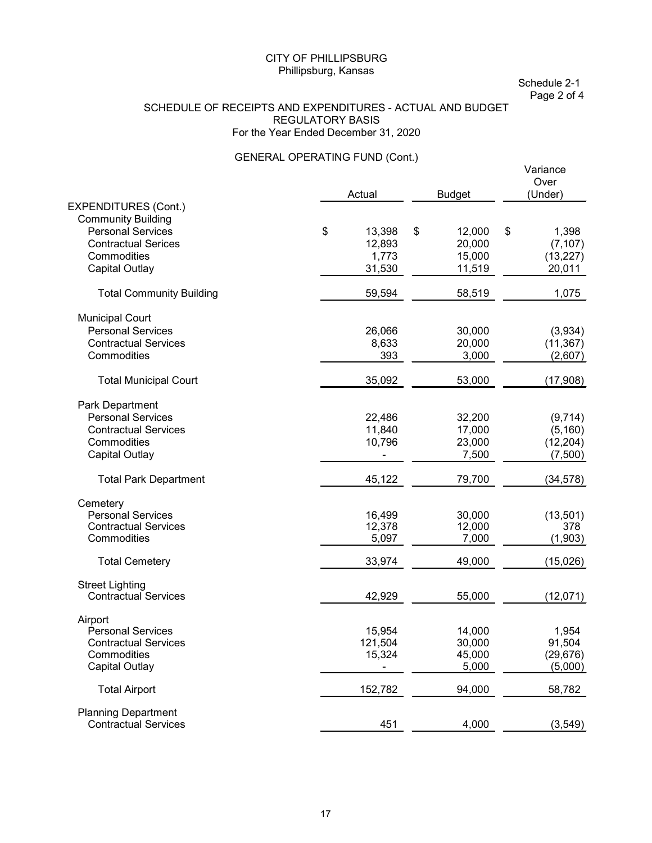Schedule 2-1 Page 2 of 4

#### SCHEDULE OF RECEIPTS AND EXPENDITURES - ACTUAL AND BUDGET REGULATORY BASIS For the Year Ended December 31, 2020

### GENERAL OPERATING FUND (Cont.)

|                                 |                |               | Variance<br>Over |
|---------------------------------|----------------|---------------|------------------|
|                                 | Actual         | <b>Budget</b> | (Under)          |
| EXPENDITURES (Cont.)            |                |               |                  |
| <b>Community Building</b>       |                |               |                  |
| <b>Personal Services</b>        | \$<br>13,398   | \$<br>12,000  | \$<br>1,398      |
| <b>Contractual Serices</b>      | 12,893         | 20,000        | (7, 107)         |
| Commodities                     | 1,773          | 15,000        | (13, 227)        |
| <b>Capital Outlay</b>           | 31,530         | 11,519        | 20,011           |
| <b>Total Community Building</b> | 59,594         | 58,519        | 1,075            |
| <b>Municipal Court</b>          |                |               |                  |
| <b>Personal Services</b>        | 26,066         | 30,000        | (3,934)          |
| <b>Contractual Services</b>     | 8,633          | 20,000        | (11, 367)        |
| Commodities                     | 393            | 3,000         | (2,607)          |
| <b>Total Municipal Court</b>    | 35,092         | 53,000        | (17,908)         |
| Park Department                 |                |               |                  |
| <b>Personal Services</b>        | 22,486         | 32,200        | (9,714)          |
| <b>Contractual Services</b>     | 11,840         | 17,000        | (5, 160)         |
| Commodities                     | 10,796         | 23,000        | (12, 204)        |
| Capital Outlay                  |                | 7,500         | (7,500)          |
|                                 |                |               |                  |
| <b>Total Park Department</b>    | 45,122         | 79,700        | (34, 578)        |
| Cemetery                        |                |               |                  |
| <b>Personal Services</b>        | 16,499         | 30,000        | (13, 501)        |
| <b>Contractual Services</b>     | 12,378         | 12,000        | 378              |
| Commodities                     | 5,097          | 7,000         | (1,903)          |
| <b>Total Cemetery</b>           | 33,974         | 49,000        | (15,026)         |
| <b>Street Lighting</b>          |                |               |                  |
| <b>Contractual Services</b>     | 42,929         | 55,000        | (12,071)         |
| Airport                         |                |               |                  |
| <b>Personal Services</b>        | 15,954         | 14,000        | 1,954            |
| <b>Contractual Services</b>     | 121,504        | 30,000        | 91,504           |
| Commodities                     | 15,324         | 45,000        | (29, 676)        |
| Capital Outlay                  | $\blacksquare$ | 5,000         | (5,000)          |
| <b>Total Airport</b>            | 152,782        | 94,000        | 58,782           |
| <b>Planning Department</b>      |                |               |                  |
| <b>Contractual Services</b>     | 451            | 4,000         | (3, 549)         |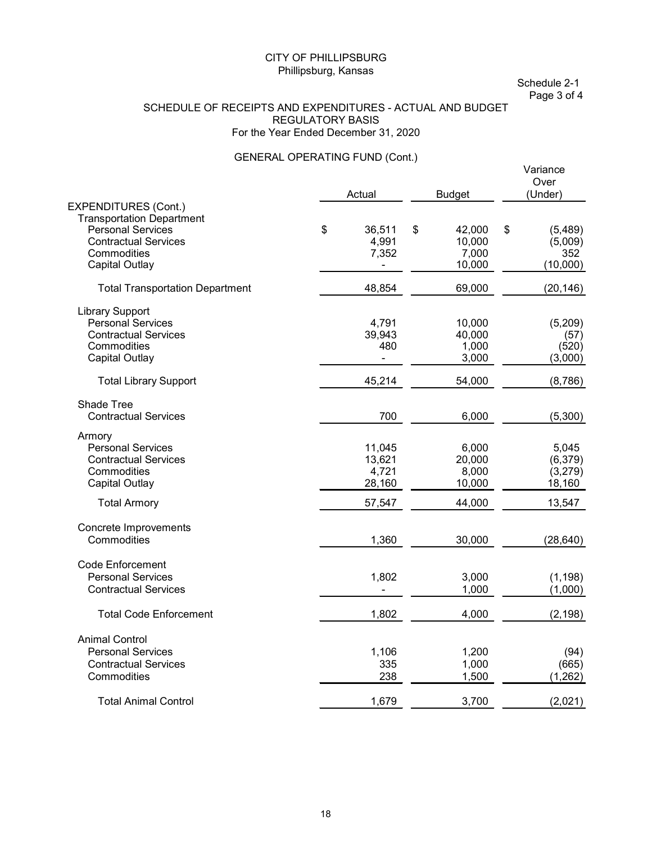Schedule 2-1 Page 3 of 4

#### SCHEDULE OF RECEIPTS AND EXPENDITURES - ACTUAL AND BUDGET REGULATORY BASIS For the Year Ended December 31, 2020

### GENERAL OPERATING FUND (Cont.)

|                                        |                |               | Variance<br>Over<br>(Under) |
|----------------------------------------|----------------|---------------|-----------------------------|
| EXPENDITURES (Cont.)                   | Actual         | <b>Budget</b> |                             |
| <b>Transportation Department</b>       |                |               |                             |
| <b>Personal Services</b>               | \$<br>36,511   | \$<br>42,000  | \$<br>(5,489)               |
| <b>Contractual Services</b>            | 4,991          | 10,000        | (5,009)                     |
| Commodities                            | 7,352          | 7,000         | 352                         |
| <b>Capital Outlay</b>                  |                | 10,000        | (10,000)                    |
| <b>Total Transportation Department</b> | 48,854         | 69,000        | (20, 146)                   |
| <b>Library Support</b>                 |                |               |                             |
| <b>Personal Services</b>               | 4,791          | 10,000        | (5,209)                     |
| <b>Contractual Services</b>            | 39,943         | 40,000        | (57)                        |
| Commodities                            | 480            | 1,000         | (520)                       |
| <b>Capital Outlay</b>                  | $\blacksquare$ | 3,000         | (3,000)                     |
| <b>Total Library Support</b>           | 45,214         | 54,000        | (8,786)                     |
| Shade Tree                             |                |               |                             |
| <b>Contractual Services</b>            | 700            | 6,000         | (5,300)                     |
| Armory                                 |                |               |                             |
| <b>Personal Services</b>               | 11,045         | 6,000         | 5,045                       |
| <b>Contractual Services</b>            | 13,621         | 20,000        | (6, 379)                    |
| Commodities                            | 4,721          | 8,000         | (3, 279)                    |
| Capital Outlay                         | 28,160         | 10,000        | 18,160                      |
| <b>Total Armory</b>                    | 57,547         | 44,000        | 13,547                      |
| Concrete Improvements                  |                |               |                             |
| Commodities                            | 1,360          | 30,000        | (28, 640)                   |
| <b>Code Enforcement</b>                |                |               |                             |
| <b>Personal Services</b>               | 1,802          | 3,000         | (1, 198)                    |
| <b>Contractual Services</b>            |                | 1,000         | (1,000)                     |
| <b>Total Code Enforcement</b>          | 1,802          | 4,000         | (2, 198)                    |
| <b>Animal Control</b>                  |                |               |                             |
| <b>Personal Services</b>               | 1,106          | 1,200         | (94)                        |
| <b>Contractual Services</b>            | 335            | 1,000         | (665)                       |
| Commodities                            | 238            | 1,500         | (1, 262)                    |
|                                        |                |               |                             |
| <b>Total Animal Control</b>            | 1,679          | 3,700         | (2,021)                     |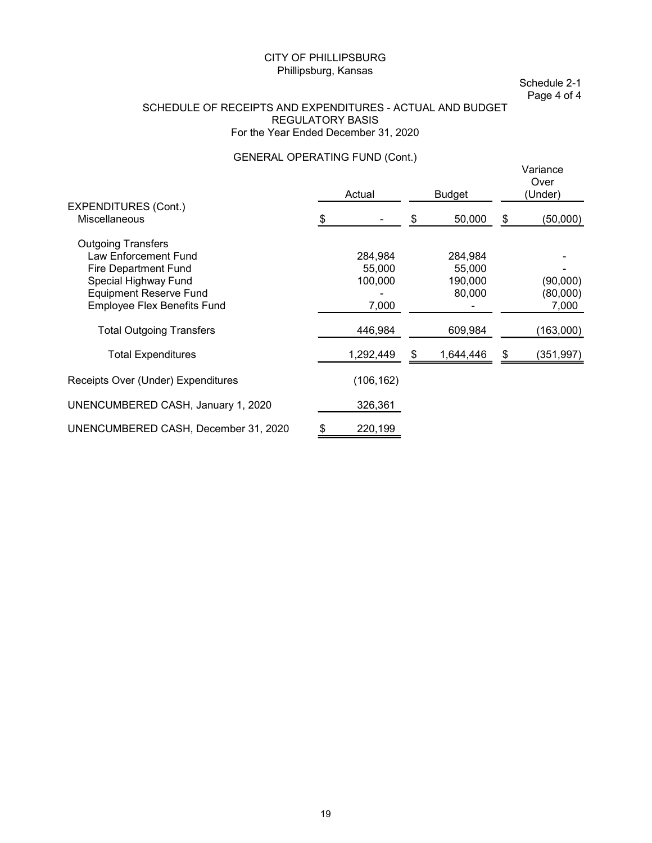Schedule 2-1 Page 4 of 4

#### SCHEDULE OF RECEIPTS AND EXPENDITURES - ACTUAL AND BUDGET REGULATORY BASIS For the Year Ended December 31, 2020

### GENERAL OPERATING FUND (Cont.)

|                                      | Actual     | <b>Budget</b> | Variance<br>Over<br>(Under) |  |
|--------------------------------------|------------|---------------|-----------------------------|--|
| <b>EXPENDITURES (Cont.)</b>          |            |               |                             |  |
| Miscellaneous                        |            | 50,000        | (50,000)                    |  |
| <b>Outgoing Transfers</b>            |            |               |                             |  |
| Law Enforcement Fund                 | 284,984    | 284,984       |                             |  |
| <b>Fire Department Fund</b>          | 55,000     | 55,000        |                             |  |
| Special Highway Fund                 | 100,000    | 190,000       | (90,000)                    |  |
| <b>Equipment Reserve Fund</b>        |            | 80,000        | (80,000)                    |  |
| <b>Employee Flex Benefits Fund</b>   | 7,000      |               | 7,000                       |  |
| <b>Total Outgoing Transfers</b>      | 446,984    | 609,984       | (163,000)                   |  |
| <b>Total Expenditures</b>            | 1,292,449  | 1,644,446     | (351,997)                   |  |
| Receipts Over (Under) Expenditures   | (106, 162) |               |                             |  |
| UNENCUMBERED CASH, January 1, 2020   | 326,361    |               |                             |  |
| UNENCUMBERED CASH, December 31, 2020 | 220,199    |               |                             |  |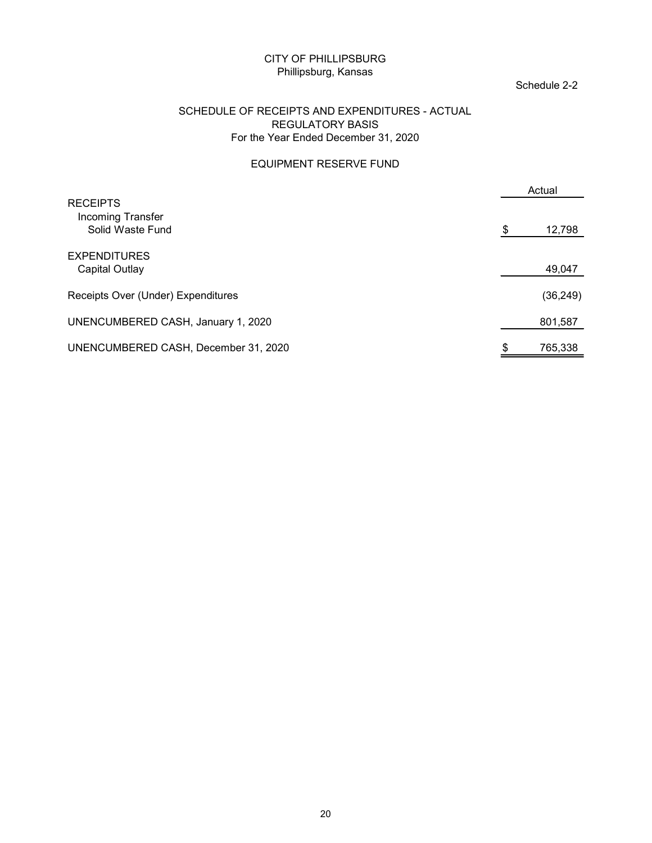#### Schedule 2-2

#### SCHEDULE OF RECEIPTS AND EXPENDITURES - ACTUAL REGULATORY BASIS For the Year Ended December 31, 2020

#### EQUIPMENT RESERVE FUND

| <b>CITY OF PHILLIPSBURG</b><br>Phillipsburg, Kansas                                                               | Schedule 2-2 |
|-------------------------------------------------------------------------------------------------------------------|--------------|
| SCHEDULE OF RECEIPTS AND EXPENDITURES - ACTUAL<br><b>REGULATORY BASIS</b><br>For the Year Ended December 31, 2020 |              |
| <b>EQUIPMENT RESERVE FUND</b>                                                                                     |              |
| <b>RECEIPTS</b>                                                                                                   | Actual       |
| Incoming Transfer<br>Solid Waste Fund                                                                             | 12,798<br>S  |
| <b>EXPENDITURES</b><br><b>Capital Outlay</b>                                                                      | 49,047       |
| Receipts Over (Under) Expenditures                                                                                | (36, 249)    |
| UNENCUMBERED CASH, January 1, 2020                                                                                | 801,587      |
| UNENCUMBERED CASH, December 31, 2020                                                                              | 765,338      |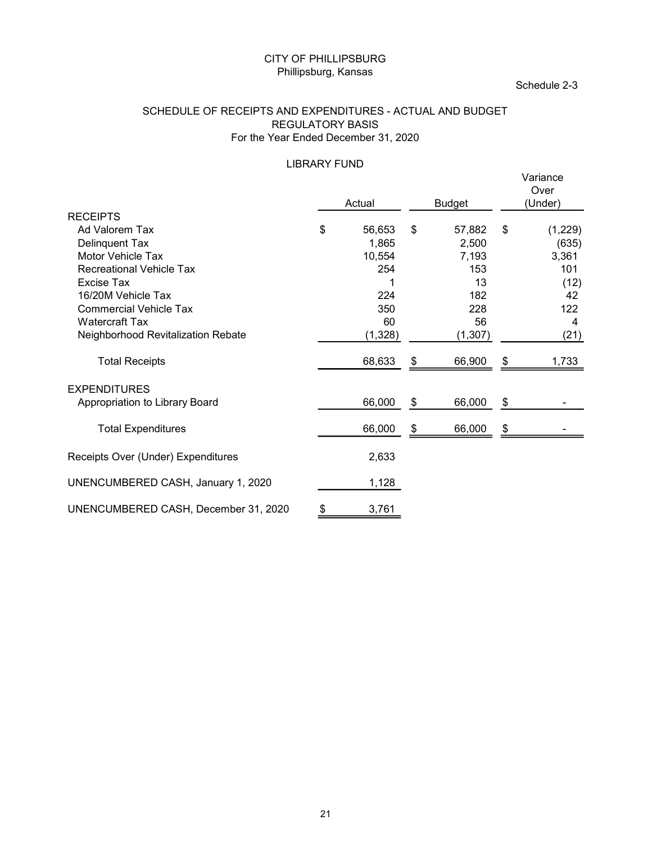#### SCHEDULE OF RECEIPTS AND EXPENDITURES - ACTUAL AND BUDGET REGULATORY BASIS For the Year Ended December 31, 2020

### LIBRARY FUND

|                                                                                                                                                                                                                                                 | Phillipsburg, Kansas    | <b>CITY OF PHILLIPSBURG</b>                                           |     |                                                                       |            | Schedule 2-3                                                       |
|-------------------------------------------------------------------------------------------------------------------------------------------------------------------------------------------------------------------------------------------------|-------------------------|-----------------------------------------------------------------------|-----|-----------------------------------------------------------------------|------------|--------------------------------------------------------------------|
| SCHEDULE OF RECEIPTS AND EXPENDITURES - ACTUAL AND BUDGET<br>For the Year Ended December 31, 2020                                                                                                                                               | <b>REGULATORY BASIS</b> |                                                                       |     |                                                                       |            |                                                                    |
|                                                                                                                                                                                                                                                 | <b>LIBRARY FUND</b>     | Actual                                                                |     | <b>Budget</b>                                                         |            | Variance<br>Over<br>(Under)                                        |
| <b>RECEIPTS</b><br>Ad Valorem Tax<br>Delinquent Tax<br>Motor Vehicle Tax<br><b>Recreational Vehicle Tax</b><br>Excise Tax<br>16/20M Vehicle Tax<br><b>Commercial Vehicle Tax</b><br><b>Watercraft Tax</b><br>Neighborhood Revitalization Rebate | \$                      | 56,653<br>1,865<br>10,554<br>254<br>1<br>224<br>350<br>60<br>(1, 328) | \$  | 57,882<br>2,500<br>7,193<br>153<br>13<br>182<br>228<br>56<br>(1, 307) | $\sqrt{3}$ | (1,229)<br>(635)<br>3,361<br>101<br>(12)<br>42<br>122<br>4<br>(21) |
| <b>Total Receipts</b>                                                                                                                                                                                                                           |                         | 68,633                                                                | \$  | 66,900                                                                | \$         | 1,733                                                              |
| <b>EXPENDITURES</b><br>Appropriation to Library Board                                                                                                                                                                                           |                         | 66,000                                                                | \$  | 66,000                                                                | \$         |                                                                    |
| <b>Total Expenditures</b>                                                                                                                                                                                                                       |                         | 66,000                                                                | -\$ | 66,000                                                                | \$         |                                                                    |
| Receipts Over (Under) Expenditures                                                                                                                                                                                                              |                         | 2,633                                                                 |     |                                                                       |            |                                                                    |
| UNENCUMBERED CASH, January 1, 2020                                                                                                                                                                                                              |                         | 1,128                                                                 |     |                                                                       |            |                                                                    |
| UNENCUMBERED CASH, December 31, 2020                                                                                                                                                                                                            | $\boldsymbol{\theta}$   | 3,761                                                                 |     |                                                                       |            |                                                                    |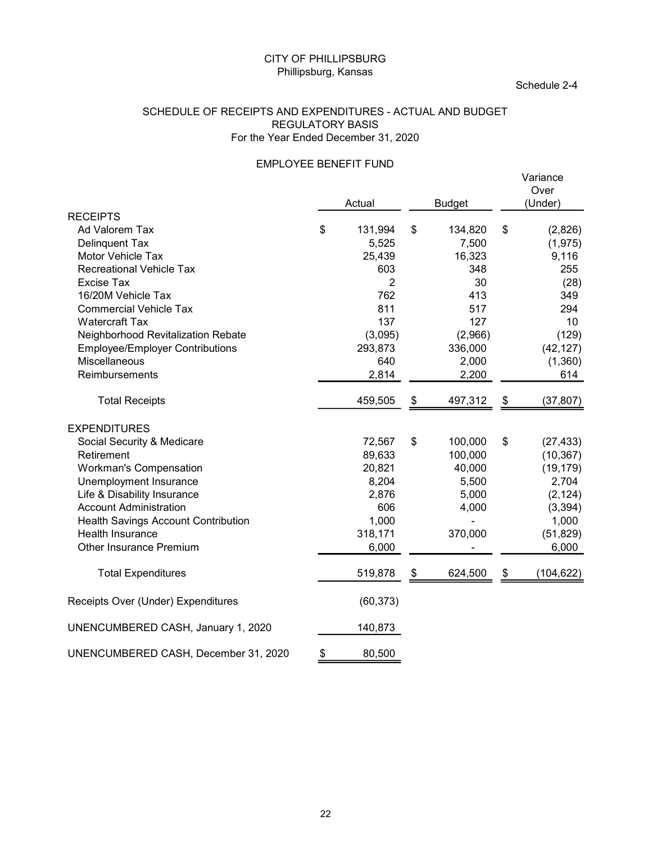#### SCHEDULE OF RECEIPTS AND EXPENDITURES - ACTUAL AND BUDGET REGULATORY BASIS For the Year Ended December 31, 2020

#### EMPLOYEE BENEFIT FUND

|                                                           | <b>CITY OF PHILLIPSBURG</b><br>Phillipsburg, Kansas             |    |               |     | Schedule 2-4     |
|-----------------------------------------------------------|-----------------------------------------------------------------|----|---------------|-----|------------------|
| SCHEDULE OF RECEIPTS AND EXPENDITURES - ACTUAL AND BUDGET | <b>REGULATORY BASIS</b><br>For the Year Ended December 31, 2020 |    |               |     |                  |
|                                                           | <b>EMPLOYEE BENEFIT FUND</b>                                    |    |               |     | Variance<br>Over |
|                                                           | Actual                                                          |    | <b>Budget</b> |     | (Under)          |
| <b>RECEIPTS</b><br>Ad Valorem Tax                         | 131,994<br>\$                                                   | \$ | 134,820       | \$  | (2,826)          |
| Delinquent Tax                                            | 5,525                                                           |    | 7,500         |     | (1, 975)         |
| Motor Vehicle Tax                                         | 25,439                                                          |    | 16,323        |     | 9,116            |
| <b>Recreational Vehicle Tax</b>                           | 603                                                             |    | 348           |     | 255              |
| Excise Tax                                                | $\overline{c}$                                                  |    | 30            |     | (28)             |
| 16/20M Vehicle Tax                                        | 762                                                             |    | 413           |     | 349              |
| <b>Commercial Vehicle Tax</b>                             | 811                                                             |    | 517           |     | 294              |
| <b>Watercraft Tax</b>                                     | 137                                                             |    | 127           |     | 10               |
| Neighborhood Revitalization Rebate                        | (3,095)                                                         |    | (2,966)       |     | (129)            |
| <b>Employee/Employer Contributions</b>                    | 293,873                                                         |    | 336,000       |     | (42, 127)        |
| Miscellaneous                                             | 640                                                             |    | 2,000         |     | (1,360)          |
| Reimbursements                                            | 2,814                                                           |    | 2,200         |     | 614              |
|                                                           |                                                                 |    |               |     |                  |
| <b>Total Receipts</b>                                     | 459,505                                                         | S  | 497,312       | \$. | (37, 807)        |
| <b>EXPENDITURES</b>                                       |                                                                 |    |               |     |                  |
| Social Security & Medicare                                | 72,567                                                          | \$ | 100,000       | \$  | (27, 433)        |
| Retirement                                                | 89,633                                                          |    | 100,000       |     | (10, 367)        |
| <b>Workman's Compensation</b>                             | 20,821                                                          |    | 40,000        |     | (19, 179)        |
| Unemployment Insurance                                    | 8,204                                                           |    | 5,500         |     | 2,704            |
| Life & Disability Insurance                               | 2,876                                                           |    | 5,000         |     | (2, 124)         |
| <b>Account Administration</b>                             | 606                                                             |    | 4,000         |     | (3, 394)         |
| Health Savings Account Contribution                       | 1,000                                                           |    |               |     | 1,000            |
| Health Insurance                                          | 318,171                                                         |    | 370,000       |     | (51, 829)        |
| Other Insurance Premium                                   | 6,000                                                           |    |               |     | 6,000            |
| <b>Total Expenditures</b>                                 | 519,878                                                         | \$ | 624,500       | \$  | (104, 622)       |
| Receipts Over (Under) Expenditures                        | (60, 373)                                                       |    |               |     |                  |
| UNENCUMBERED CASH, January 1, 2020                        | 140,873                                                         |    |               |     |                  |
| UNENCUMBERED CASH, December 31, 2020                      | 80,500<br>\$                                                    |    |               |     |                  |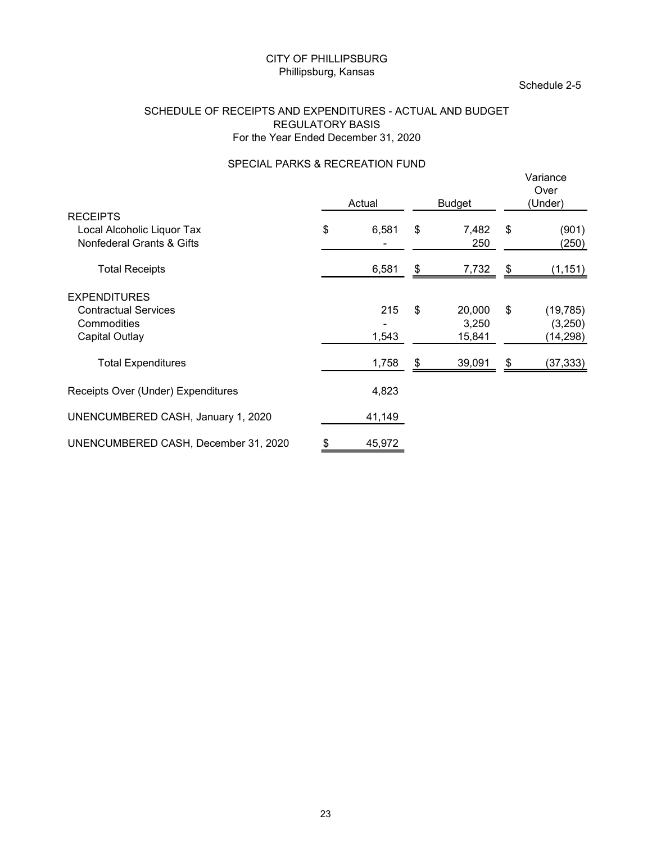#### SCHEDULE OF RECEIPTS AND EXPENDITURES - ACTUAL AND BUDGET REGULATORY BASIS For the Year Ended December 31, 2020

### SPECIAL PARKS & RECREATION FUND

|                                                                                            | CITY OF PHILLIPSBURG<br>Phillipsburg, Kansas                    |                                          |                       |                           |                            | Schedule 2-5                      |
|--------------------------------------------------------------------------------------------|-----------------------------------------------------------------|------------------------------------------|-----------------------|---------------------------|----------------------------|-----------------------------------|
| SCHEDULE OF RECEIPTS AND EXPENDITURES - ACTUAL AND BUDGET                                  | <b>REGULATORY BASIS</b><br>For the Year Ended December 31, 2020 |                                          |                       |                           |                            |                                   |
|                                                                                            | SPECIAL PARKS & RECREATION FUND                                 | Actual                                   |                       | <b>Budget</b>             |                            | Variance<br>Over<br>(Under)       |
| <b>RECEIPTS</b><br>Local Alcoholic Liquor Tax<br>Nonfederal Grants & Gifts                 | \$                                                              | 6,581                                    | \$                    | 7,482<br>250              | \$                         | (901)<br>(250)                    |
| <b>Total Receipts</b>                                                                      |                                                                 | 6,581                                    | $\boldsymbol{\theta}$ | 7,732                     | $\boldsymbol{\mathsf{\$}}$ | (1, 151)                          |
| <b>EXPENDITURES</b><br><b>Contractual Services</b><br>Commodities<br><b>Capital Outlay</b> |                                                                 | 215<br>$\overline{\phantom{a}}$<br>1,543 | $\frac{1}{2}$         | 20,000<br>3,250<br>15,841 | $\frac{1}{2}$              | (19, 785)<br>(3,250)<br>(14, 298) |
| <b>Total Expenditures</b>                                                                  |                                                                 | 1,758                                    | \$                    | 39,091                    | \$                         | (37, 333)                         |
| Receipts Over (Under) Expenditures                                                         |                                                                 | 4,823                                    |                       |                           |                            |                                   |
| UNENCUMBERED CASH, January 1, 2020                                                         |                                                                 | 41,149                                   |                       |                           |                            |                                   |
| UNENCUMBERED CASH, December 31, 2020                                                       | \$                                                              | 45,972                                   |                       |                           |                            |                                   |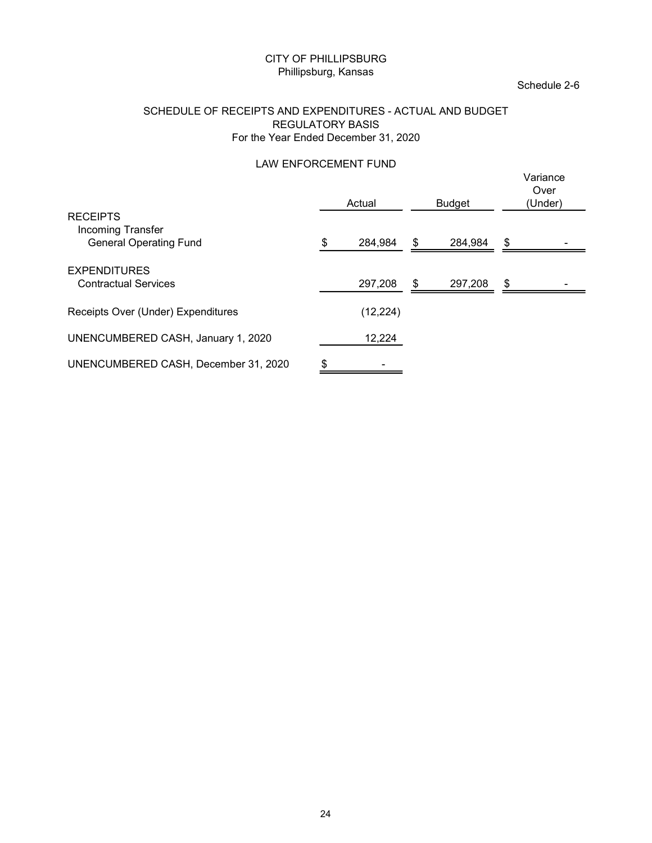#### SCHEDULE OF RECEIPTS AND EXPENDITURES - ACTUAL AND BUDGET REGULATORY BASIS For the Year Ended December 31, 2020

### LAW ENFORCEMENT FUND

|                                                                       | CITY OF PHILLIPSBURG<br>Phillipsburg, Kansas                    |           |                                | Schedule 2-6                |
|-----------------------------------------------------------------------|-----------------------------------------------------------------|-----------|--------------------------------|-----------------------------|
| SCHEDULE OF RECEIPTS AND EXPENDITURES - ACTUAL AND BUDGET             | <b>REGULATORY BASIS</b><br>For the Year Ended December 31, 2020 |           |                                |                             |
|                                                                       | LAW ENFORCEMENT FUND                                            | Actual    |                                | Variance<br>Over<br>(Under) |
| <b>RECEIPTS</b><br>Incoming Transfer<br><b>General Operating Fund</b> |                                                                 | 284,984   | \$<br><b>Budget</b><br>284,984 | \$                          |
| <b>EXPENDITURES</b><br><b>Contractual Services</b>                    |                                                                 | 297,208   | \$<br>297,208                  | \$                          |
| Receipts Over (Under) Expenditures                                    |                                                                 | (12, 224) |                                |                             |
| UNENCUMBERED CASH, January 1, 2020                                    |                                                                 | 12,224    |                                |                             |
| UNENCUMBERED CASH, December 31, 2020                                  | \$                                                              |           |                                |                             |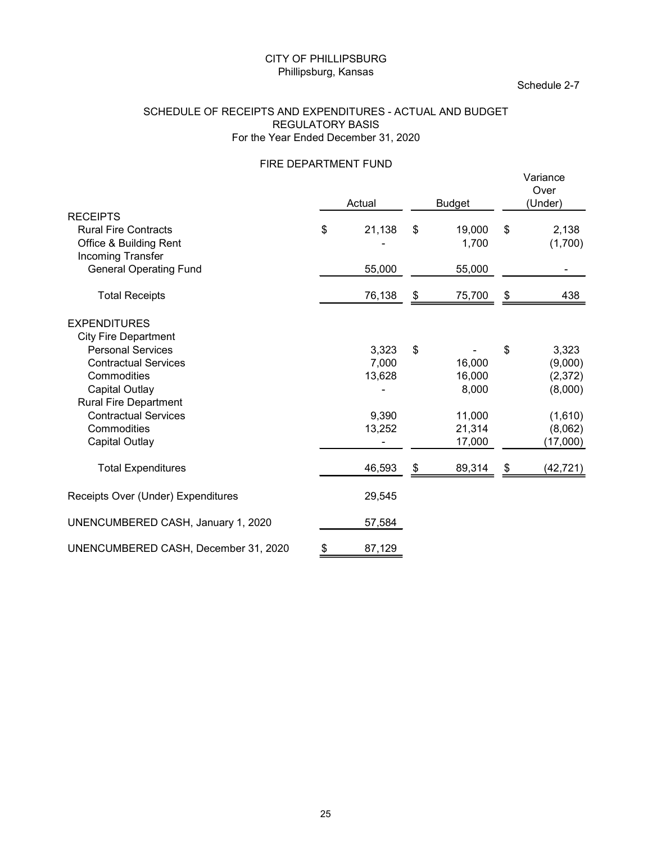#### SCHEDULE OF RECEIPTS AND EXPENDITURES - ACTUAL AND BUDGET REGULATORY BASIS For the Year Ended December 31, 2020

### FIRE DEPARTMENT FUND<br>
Veric

|                                                                                                                                                                                       | Phillipsburg, Kansas | <b>CITY OF PHILLIPSBURG</b>                |                                 | Schedule 2-7                                  |
|---------------------------------------------------------------------------------------------------------------------------------------------------------------------------------------|----------------------|--------------------------------------------|---------------------------------|-----------------------------------------------|
| SCHEDULE OF RECEIPTS AND EXPENDITURES - ACTUAL AND BUDGET<br>For the Year Ended December 31, 2020                                                                                     |                      | <b>REGULATORY BASIS</b>                    |                                 |                                               |
|                                                                                                                                                                                       |                      | FIRE DEPARTMENT FUND<br>Actual             | <b>Budget</b>                   | Variance<br>Over<br>(Under)                   |
| <b>RECEIPTS</b><br><b>Rural Fire Contracts</b><br>Office & Building Rent                                                                                                              | \$                   | 21,138                                     | \$<br>19,000<br>1,700           | \$<br>2,138<br>(1,700)                        |
| Incoming Transfer<br><b>General Operating Fund</b>                                                                                                                                    |                      | 55,000                                     | 55,000                          |                                               |
| <b>Total Receipts</b>                                                                                                                                                                 |                      | 76,138                                     | \$<br>75,700                    | \$<br>438                                     |
| <b>EXPENDITURES</b><br><b>City Fire Department</b><br><b>Personal Services</b><br><b>Contractual Services</b><br>Commodities<br><b>Capital Outlay</b><br><b>Rural Fire Department</b> |                      | 3,323<br>7,000<br>13,628<br>$\overline{a}$ | \$<br>16,000<br>16,000<br>8,000 | \$<br>3,323<br>(9,000)<br>(2, 372)<br>(8,000) |
| <b>Contractual Services</b><br>Commodities<br><b>Capital Outlay</b>                                                                                                                   |                      | 9,390<br>13,252<br>$\blacksquare$          | 11,000<br>21,314<br>17,000      | (1,610)<br>(8,062)<br>(17,000)                |
| <b>Total Expenditures</b>                                                                                                                                                             |                      | 46,593                                     | \$<br>89,314                    | \$<br>(42, 721)                               |
| Receipts Over (Under) Expenditures                                                                                                                                                    |                      | 29,545                                     |                                 |                                               |
| UNENCUMBERED CASH, January 1, 2020                                                                                                                                                    |                      | 57,584                                     |                                 |                                               |
| UNENCUMBERED CASH, December 31, 2020                                                                                                                                                  | \$                   | 87,129                                     |                                 |                                               |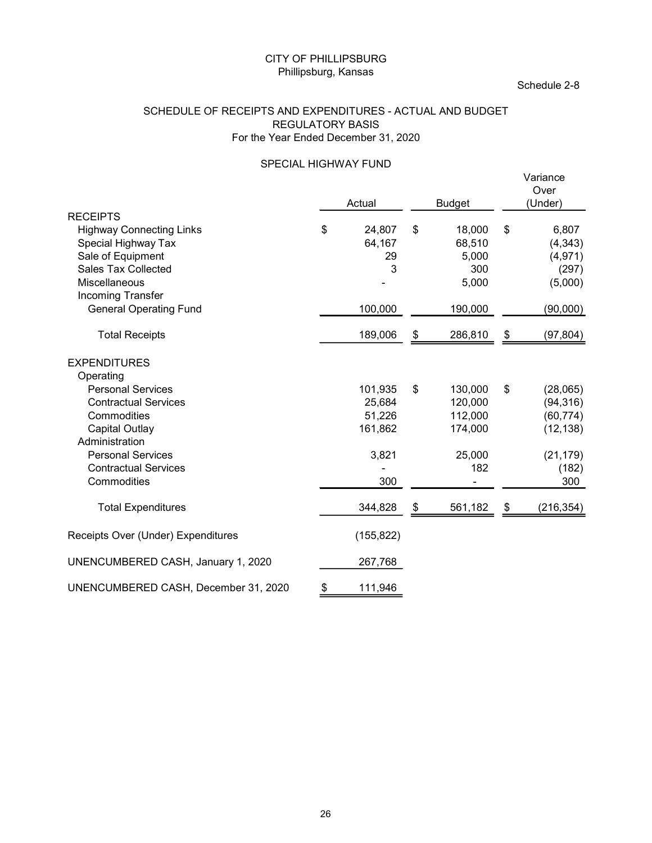#### SCHEDULE OF RECEIPTS AND EXPENDITURES - ACTUAL AND BUDGET REGULATORY BASIS For the Year Ended December 31, 2020

#### SPECIAL HIGHWAY FUND

|                                                                                                                                                                              | Phillipsburg, Kansas    | <b>CITY OF PHILLIPSBURG</b>                     |      |                                                           | Schedule 2-8                                                                |
|------------------------------------------------------------------------------------------------------------------------------------------------------------------------------|-------------------------|-------------------------------------------------|------|-----------------------------------------------------------|-----------------------------------------------------------------------------|
| SCHEDULE OF RECEIPTS AND EXPENDITURES - ACTUAL AND BUDGET                                                                                                                    | <b>REGULATORY BASIS</b> | For the Year Ended December 31, 2020            |      |                                                           |                                                                             |
|                                                                                                                                                                              |                         | SPECIAL HIGHWAY FUND<br>Actual                  |      | <b>Budget</b>                                             | Variance<br>Over<br>(Under)                                                 |
| <b>RECEIPTS</b><br><b>Highway Connecting Links</b><br>Special Highway Tax<br>Sale of Equipment<br><b>Sales Tax Collected</b><br>Miscellaneous<br>Incoming Transfer           | \$                      | 24,807<br>64,167<br>29<br>3                     | \$   | 18,000<br>68,510<br>5,000<br>300<br>5,000                 | \$<br>6,807<br>(4, 343)<br>(4, 971)<br>(297)<br>(5,000)                     |
| <b>General Operating Fund</b><br><b>Total Receipts</b>                                                                                                                       |                         | 100,000<br>189,006                              | \$   | 190,000<br>286,810                                        | \$<br>(90,000)<br>(97, 804)                                                 |
| <b>EXPENDITURES</b><br>Operating                                                                                                                                             |                         |                                                 |      |                                                           |                                                                             |
| <b>Personal Services</b><br><b>Contractual Services</b><br>Commodities<br><b>Capital Outlay</b><br>Administration<br><b>Personal Services</b><br><b>Contractual Services</b> |                         | 101,935<br>25,684<br>51,226<br>161,862<br>3,821 | \$   | 130,000<br>120,000<br>112,000<br>174,000<br>25,000<br>182 | \$<br>(28,065)<br>(94, 316)<br>(60, 774)<br>(12, 138)<br>(21, 179)<br>(182) |
| Commodities                                                                                                                                                                  |                         | 300                                             |      |                                                           | 300                                                                         |
| <b>Total Expenditures</b><br>Receipts Over (Under) Expenditures                                                                                                              |                         | 344,828<br>(155, 822)                           | - \$ | 561,182                                                   | \$<br>(216, 354)                                                            |
| UNENCUMBERED CASH, January 1, 2020                                                                                                                                           |                         | 267,768                                         |      |                                                           |                                                                             |
| UNENCUMBERED CASH, December 31, 2020                                                                                                                                         | \$                      | 111,946                                         |      |                                                           |                                                                             |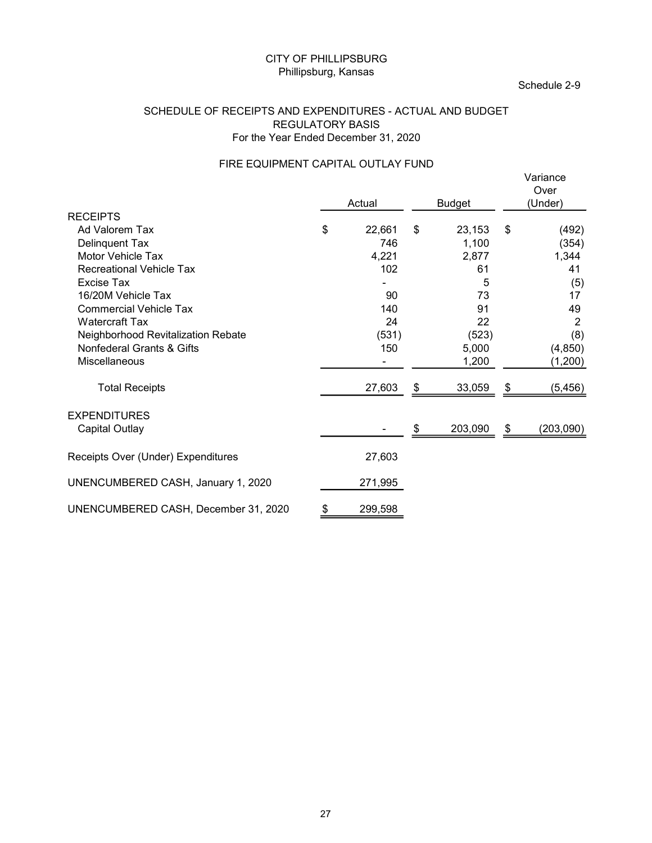#### SCHEDULE OF RECEIPTS AND EXPENDITURES - ACTUAL AND BUDGET REGULATORY BASIS For the Year Ended December 31, 2020

## FIRE EQUIPMENT CAPITAL OUTLAY FUND<br>Varian

|                                                                                                      | Phillipsburg, Kansas    | <b>CITY OF PHILLIPSBURG</b> |                                |      | Schedule 2-9                      |
|------------------------------------------------------------------------------------------------------|-------------------------|-----------------------------|--------------------------------|------|-----------------------------------|
| SCHEDULE OF RECEIPTS AND EXPENDITURES - ACTUAL AND BUDGET<br>For the Year Ended December 31, 2020    | <b>REGULATORY BASIS</b> |                             |                                |      |                                   |
| FIRE EQUIPMENT CAPITAL OUTLAY FUND                                                                   |                         | Actual                      |                                |      | Variance<br>Over<br>(Under)       |
| <b>RECEIPTS</b>                                                                                      |                         |                             | <b>Budget</b>                  |      |                                   |
| Ad Valorem Tax<br>Delinquent Tax<br>Motor Vehicle Tax                                                | \$                      | 22,661<br>746<br>4,221      | \$<br>23,153<br>1,100<br>2,877 | - \$ | (492)<br>(354)<br>1,344           |
| <b>Recreational Vehicle Tax</b><br>Excise Tax<br>16/20M Vehicle Tax<br><b>Commercial Vehicle Tax</b> |                         | 102<br>90<br>140            | 61<br>5<br>73<br>91            |      | 41<br>(5)<br>17<br>49             |
| <b>Watercraft Tax</b><br>Neighborhood Revitalization Rebate<br>Nonfederal Grants & Gifts             |                         | 24<br>(531)<br>150          | 22<br>(523)<br>5,000           |      | $\overline{2}$<br>(8)<br>(4, 850) |
| Miscellaneous                                                                                        |                         | $\sim$                      | 1,200                          |      | (1,200)                           |
| <b>Total Receipts</b>                                                                                |                         | 27,603                      | \$<br>33,059                   | \$   | (5, 456)                          |
| <b>EXPENDITURES</b><br><b>Capital Outlay</b>                                                         |                         |                             | \$<br>203,090                  | - \$ | (203,090)                         |
| Receipts Over (Under) Expenditures                                                                   |                         | 27,603                      |                                |      |                                   |
| UNENCUMBERED CASH, January 1, 2020                                                                   |                         | 271,995                     |                                |      |                                   |
| UNENCUMBERED CASH, December 31, 2020                                                                 | P                       | 299,598                     |                                |      |                                   |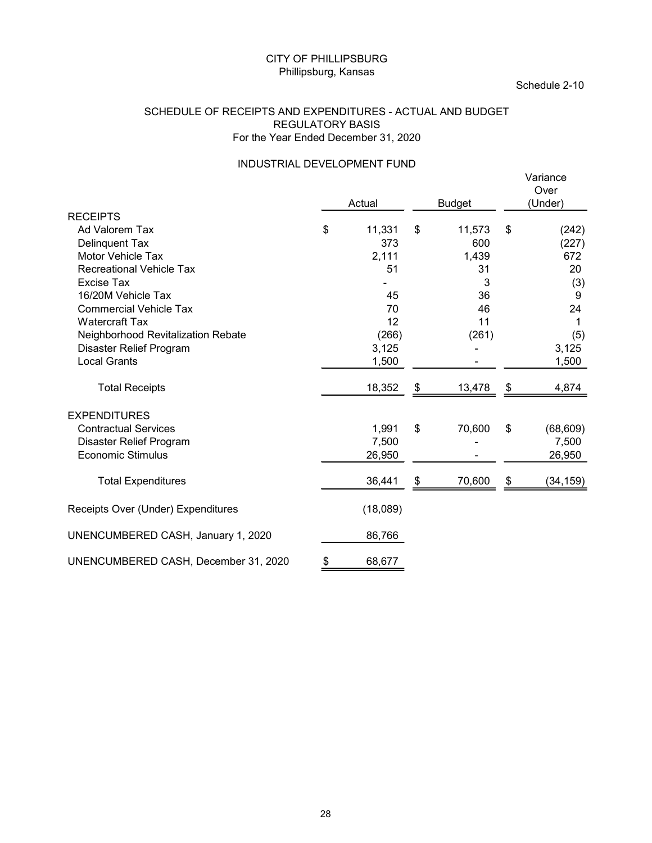#### SCHEDULE OF RECEIPTS AND EXPENDITURES - ACTUAL AND BUDGET REGULATORY BASIS For the Year Ended December 31, 2020

## INDUSTRIAL DEVELOPMENT FUND

| CITY OF PHILLIPSBURG                                                                                                                                                                                                                                                                                                              | Phillipsburg, Kansas |                                                                                     |          |                                                                                                    |          | Schedule 2-10                                                                                  |
|-----------------------------------------------------------------------------------------------------------------------------------------------------------------------------------------------------------------------------------------------------------------------------------------------------------------------------------|----------------------|-------------------------------------------------------------------------------------|----------|----------------------------------------------------------------------------------------------------|----------|------------------------------------------------------------------------------------------------|
| SCHEDULE OF RECEIPTS AND EXPENDITURES - ACTUAL AND BUDGET<br><b>REGULATORY BASIS</b><br>For the Year Ended December 31, 2020                                                                                                                                                                                                      |                      |                                                                                     |          |                                                                                                    |          |                                                                                                |
| INDUSTRIAL DEVELOPMENT FUND                                                                                                                                                                                                                                                                                                       |                      | Actual                                                                              |          | <b>Budget</b>                                                                                      |          | Variance<br>Over<br>(Under)                                                                    |
| <b>RECEIPTS</b><br>Ad Valorem Tax<br><b>Delinquent Tax</b><br>Motor Vehicle Tax<br><b>Recreational Vehicle Tax</b><br>Excise Tax<br>16/20M Vehicle Tax<br><b>Commercial Vehicle Tax</b><br><b>Watercraft Tax</b><br>Neighborhood Revitalization Rebate<br>Disaster Relief Program<br><b>Local Grants</b><br><b>Total Receipts</b> | \$                   | 11,331<br>373<br>2,111<br>51<br>45<br>70<br>12<br>(266)<br>3,125<br>1,500<br>18,352 | \$<br>\$ | 11,573<br>600<br>1,439<br>31<br>3<br>36<br>46<br>11<br>(261)<br>$\blacksquare$<br>$\sim$<br>13,478 | \$<br>\$ | (242)<br>(227)<br>672<br>20<br>(3)<br>9<br>24<br>$\mathbf 1$<br>(5)<br>3,125<br>1,500<br>4,874 |
| <b>EXPENDITURES</b><br><b>Contractual Services</b><br>Disaster Relief Program<br>Economic Stimulus                                                                                                                                                                                                                                |                      | 1,991<br>7,500<br>26,950                                                            | \$       | 70,600                                                                                             | \$       | (68, 609)<br>7,500<br>26,950                                                                   |
| <b>Total Expenditures</b>                                                                                                                                                                                                                                                                                                         |                      | 36,441                                                                              | \$       | 70,600                                                                                             | \$       | (34, 159)                                                                                      |
| Receipts Over (Under) Expenditures                                                                                                                                                                                                                                                                                                |                      | (18,089)                                                                            |          |                                                                                                    |          |                                                                                                |
| UNENCUMBERED CASH, January 1, 2020                                                                                                                                                                                                                                                                                                |                      | 86,766                                                                              |          |                                                                                                    |          |                                                                                                |
| UNENCUMBERED CASH, December 31, 2020                                                                                                                                                                                                                                                                                              | \$                   | 68,677                                                                              |          |                                                                                                    |          |                                                                                                |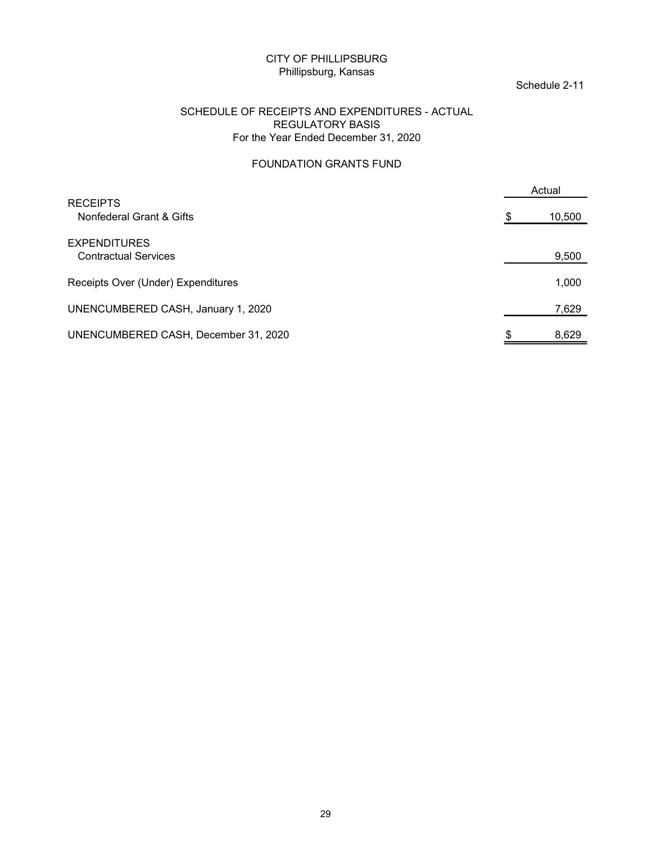#### Schedule 2-11

#### SCHEDULE OF RECEIPTS AND EXPENDITURES - ACTUAL REGULATORY BASIS For the Year Ended December 31, 2020

#### FOUNDATION GRANTS FUND

| <b>CITY OF PHILLIPSBURG</b><br>Phillipsburg, Kansas                                                               |     | Schedule 2-11 |
|-------------------------------------------------------------------------------------------------------------------|-----|---------------|
| SCHEDULE OF RECEIPTS AND EXPENDITURES - ACTUAL<br><b>REGULATORY BASIS</b><br>For the Year Ended December 31, 2020 |     |               |
| FOUNDATION GRANTS FUND                                                                                            |     |               |
|                                                                                                                   |     | Actual        |
| <b>RECEIPTS</b><br>Nonfederal Grant & Gifts                                                                       | \$. | 10,500        |
| <b>EXPENDITURES</b><br><b>Contractual Services</b>                                                                |     | 9,500         |
| Receipts Over (Under) Expenditures                                                                                |     | 1,000         |
| UNENCUMBERED CASH, January 1, 2020                                                                                |     | 7,629         |
| UNENCUMBERED CASH, December 31, 2020                                                                              | Ж   | 8,629         |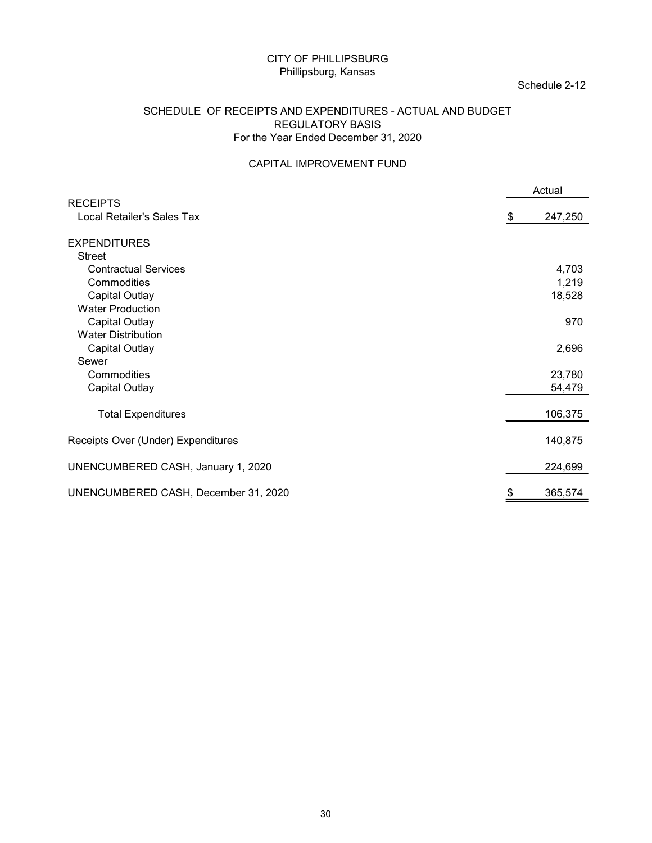#### Schedule 2-12

#### SCHEDULE OF RECEIPTS AND EXPENDITURES - ACTUAL AND BUDGET REGULATORY BASIS For the Year Ended December 31, 2020

#### CAPITAL IMPROVEMENT FUND

| <b>CITY OF PHILLIPSBURG</b><br>Phillipsburg, Kansas                                                                          | Schedule 2-12  |
|------------------------------------------------------------------------------------------------------------------------------|----------------|
| SCHEDULE OF RECEIPTS AND EXPENDITURES - ACTUAL AND BUDGET<br><b>REGULATORY BASIS</b><br>For the Year Ended December 31, 2020 |                |
| CAPITAL IMPROVEMENT FUND                                                                                                     |                |
|                                                                                                                              | Actual         |
| <b>RECEIPTS</b><br>Local Retailer's Sales Tax                                                                                | 247,250<br>S   |
| <b>EXPENDITURES</b>                                                                                                          |                |
| Street                                                                                                                       |                |
| <b>Contractual Services</b><br>Commodities                                                                                   | 4,703<br>1,219 |
| <b>Capital Outlay</b>                                                                                                        | 18,528         |
| <b>Water Production</b>                                                                                                      |                |
| <b>Capital Outlay</b>                                                                                                        | 970            |
| <b>Water Distribution</b>                                                                                                    |                |
| <b>Capital Outlay</b>                                                                                                        | 2,696          |
| Sewer                                                                                                                        |                |
| Commodities                                                                                                                  | 23,780         |
| <b>Capital Outlay</b>                                                                                                        | 54,479         |
| <b>Total Expenditures</b>                                                                                                    | 106,375        |
| Receipts Over (Under) Expenditures                                                                                           | 140,875        |
| UNENCUMBERED CASH, January 1, 2020                                                                                           | 224,699        |
| UNENCUMBERED CASH, December 31, 2020                                                                                         | 365,574        |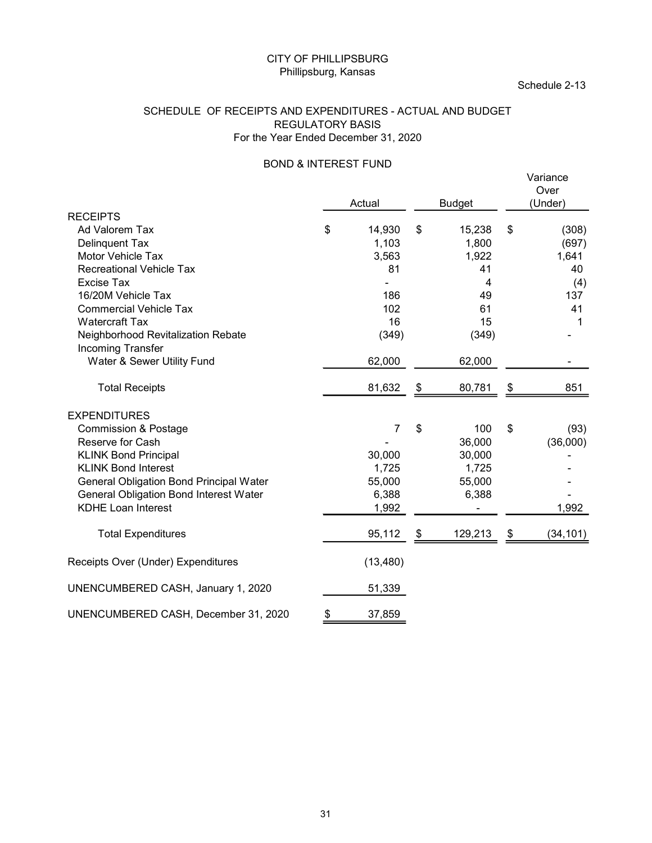#### SCHEDULE OF RECEIPTS AND EXPENDITURES - ACTUAL AND BUDGET REGULATORY BASIS For the Year Ended December 31, 2020

### BOND & INTEREST FUND<br>
Varia

|                                                                                                                                                                                                                                                           | <b>CITY OF PHILLIPSBURG</b><br>Phillipsburg, Kansas |                                                               |      |                                                                       | Schedule 2-13                                                 |
|-----------------------------------------------------------------------------------------------------------------------------------------------------------------------------------------------------------------------------------------------------------|-----------------------------------------------------|---------------------------------------------------------------|------|-----------------------------------------------------------------------|---------------------------------------------------------------|
| SCHEDULE OF RECEIPTS AND EXPENDITURES - ACTUAL AND BUDGET<br>For the Year Ended December 31, 2020                                                                                                                                                         | <b>REGULATORY BASIS</b>                             |                                                               |      |                                                                       |                                                               |
|                                                                                                                                                                                                                                                           | <b>BOND &amp; INTEREST FUND</b>                     | Actual                                                        |      | <b>Budget</b>                                                         | Variance<br>Over<br>(Under)                                   |
| <b>RECEIPTS</b><br>Ad Valorem Tax<br>Delinquent Tax<br>Motor Vehicle Tax<br><b>Recreational Vehicle Tax</b><br>Excise Tax<br>16/20M Vehicle Tax<br><b>Commercial Vehicle Tax</b><br><b>Watercraft Tax</b><br>Neighborhood Revitalization Rebate           | \$                                                  | 14,930<br>1,103<br>3,563<br>81<br>186<br>102<br>16<br>(349)   | \$   | 15,238<br>1,800<br>1,922<br>41<br>4<br>49<br>61<br>15<br>(349)        | \$<br>(308)<br>(697)<br>1,641<br>40<br>(4)<br>137<br>41<br>-1 |
| Incoming Transfer<br>Water & Sewer Utility Fund                                                                                                                                                                                                           |                                                     | 62,000                                                        |      | 62,000                                                                |                                                               |
| <b>Total Receipts</b>                                                                                                                                                                                                                                     |                                                     | 81,632                                                        | \$   | 80,781                                                                | \$<br>851                                                     |
| <b>EXPENDITURES</b><br><b>Commission &amp; Postage</b><br>Reserve for Cash<br><b>KLINK Bond Principal</b><br><b>KLINK Bond Interest</b><br>General Obligation Bond Principal Water<br>General Obligation Bond Interest Water<br><b>KDHE Loan Interest</b> |                                                     | $\overline{7}$<br>30,000<br>1,725<br>55,000<br>6,388<br>1,992 | $\,$ | 100<br>36,000<br>30,000<br>1,725<br>55,000<br>6,388<br>$\blacksquare$ | \$<br>(93)<br>(36,000)<br>1,992                               |
| <b>Total Expenditures</b>                                                                                                                                                                                                                                 |                                                     | 95,112                                                        | \$   | 129,213                                                               | \$<br>(34, 101)                                               |
| Receipts Over (Under) Expenditures                                                                                                                                                                                                                        |                                                     | (13, 480)                                                     |      |                                                                       |                                                               |
| UNENCUMBERED CASH, January 1, 2020                                                                                                                                                                                                                        |                                                     | 51,339                                                        |      |                                                                       |                                                               |
| UNENCUMBERED CASH, December 31, 2020                                                                                                                                                                                                                      |                                                     | 37,859                                                        |      |                                                                       |                                                               |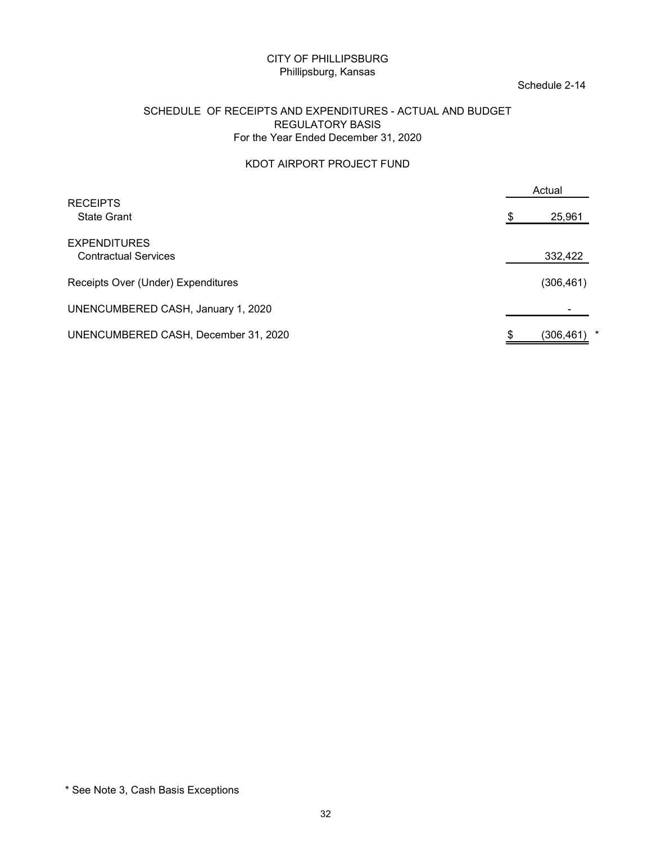#### Schedule 2-14

#### SCHEDULE OF RECEIPTS AND EXPENDITURES - ACTUAL AND BUDGET REGULATORY BASIS For the Year Ended December 31, 2020

#### KDOT AIRPORT PROJECT FUND

| <b>CITY OF PHILLIPSBURG</b><br>Phillipsburg, Kansas                                                                          |     | Schedule 2-14         |
|------------------------------------------------------------------------------------------------------------------------------|-----|-----------------------|
| SCHEDULE OF RECEIPTS AND EXPENDITURES - ACTUAL AND BUDGET<br><b>REGULATORY BASIS</b><br>For the Year Ended December 31, 2020 |     |                       |
| KDOT AIRPORT PROJECT FUND                                                                                                    |     |                       |
| <b>RECEIPTS</b>                                                                                                              |     | Actual                |
| <b>State Grant</b>                                                                                                           |     | 25,961                |
| <b>EXPENDITURES</b><br><b>Contractual Services</b>                                                                           |     | 332,422               |
| Receipts Over (Under) Expenditures                                                                                           |     | (306, 461)            |
| UNENCUMBERED CASH, January 1, 2020                                                                                           |     |                       |
| UNENCUMBERED CASH, December 31, 2020                                                                                         | SS. | (306, 461)<br>$\star$ |
|                                                                                                                              |     |                       |
|                                                                                                                              |     |                       |

<sup>\*</sup> See Note 3, Cash Basis Exceptions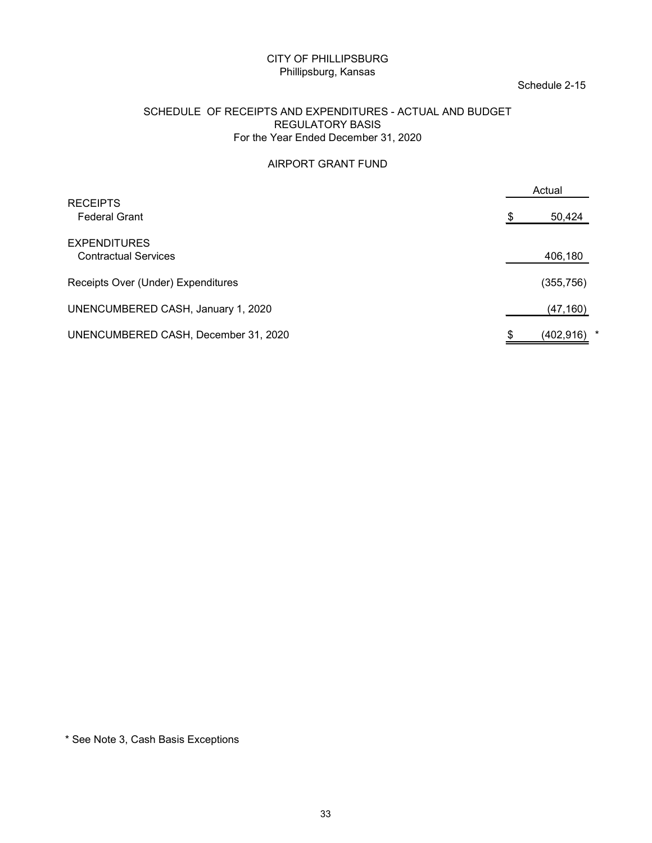#### Schedule 2-15

#### SCHEDULE OF RECEIPTS AND EXPENDITURES - ACTUAL AND BUDGET REGULATORY BASIS For the Year Ended December 31, 2020

#### AIRPORT GRANT FUND

| <b>CITY OF PHILLIPSBURG</b><br>Phillipsburg, Kansas                                                                          | Schedule 2-15 |
|------------------------------------------------------------------------------------------------------------------------------|---------------|
| SCHEDULE OF RECEIPTS AND EXPENDITURES - ACTUAL AND BUDGET<br><b>REGULATORY BASIS</b><br>For the Year Ended December 31, 2020 |               |
| AIRPORT GRANT FUND                                                                                                           |               |
| <b>RECEIPTS</b>                                                                                                              | Actual        |
| <b>Federal Grant</b>                                                                                                         | 50,424        |
| <b>EXPENDITURES</b><br><b>Contractual Services</b>                                                                           | 406,180       |
| Receipts Over (Under) Expenditures                                                                                           | (355, 756)    |
| UNENCUMBERED CASH, January 1, 2020                                                                                           | (47, 160)     |
| UNENCUMBERED CASH, December 31, 2020                                                                                         | $(402,916)$ * |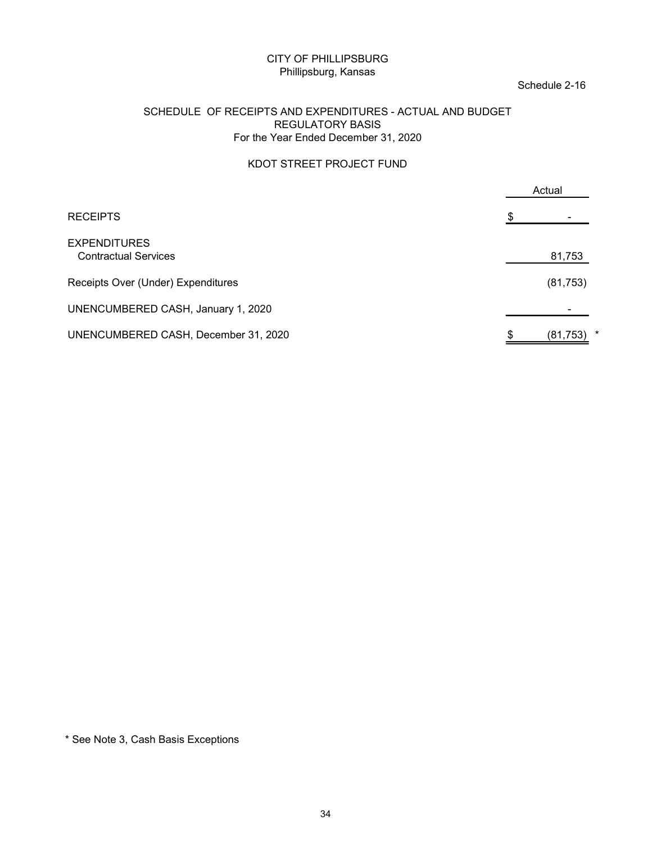#### Schedule 2-16

#### SCHEDULE OF RECEIPTS AND EXPENDITURES - ACTUAL AND BUDGET REGULATORY BASIS For the Year Ended December 31, 2020

#### KDOT STREET PROJECT FUND

| <b>CITY OF PHILLIPSBURG</b><br>Phillipsburg, Kansas                                                                          | Schedule 2-16 |  |
|------------------------------------------------------------------------------------------------------------------------------|---------------|--|
| SCHEDULE OF RECEIPTS AND EXPENDITURES - ACTUAL AND BUDGET<br><b>REGULATORY BASIS</b><br>For the Year Ended December 31, 2020 |               |  |
| KDOT STREET PROJECT FUND                                                                                                     |               |  |
|                                                                                                                              | Actual        |  |
| <b>RECEIPTS</b>                                                                                                              |               |  |
| <b>EXPENDITURES</b><br><b>Contractual Services</b>                                                                           | 81,753        |  |
| Receipts Over (Under) Expenditures                                                                                           | (81, 753)     |  |
| UNENCUMBERED CASH, January 1, 2020                                                                                           |               |  |
| UNENCUMBERED CASH, December 31, 2020                                                                                         | $(81,753)$ *  |  |
|                                                                                                                              |               |  |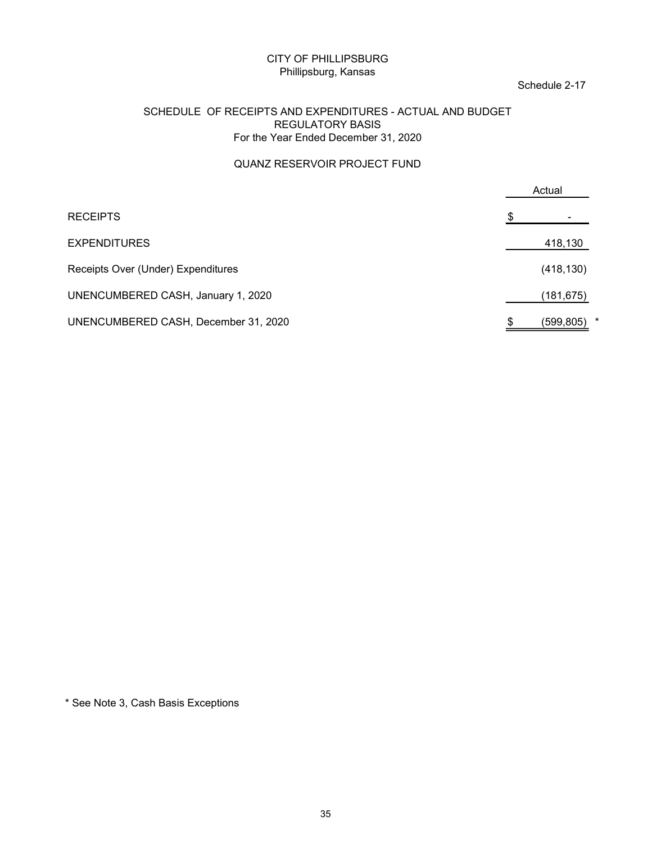#### Schedule 2-17

#### SCHEDULE OF RECEIPTS AND EXPENDITURES - ACTUAL AND BUDGET REGULATORY BASIS For the Year Ended December 31, 2020

#### QUANZ RESERVOIR PROJECT FUND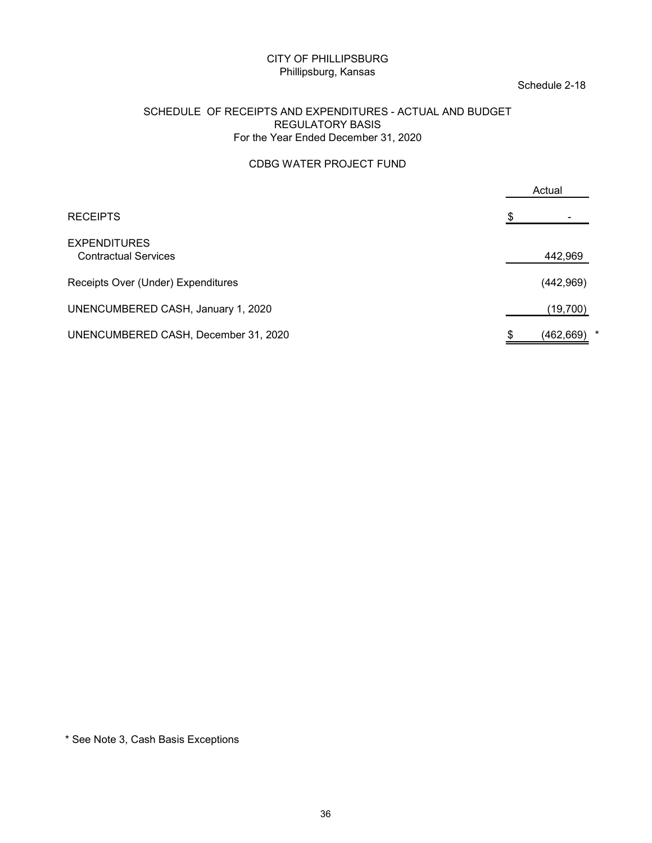#### Schedule 2-18

#### SCHEDULE OF RECEIPTS AND EXPENDITURES - ACTUAL AND BUDGET REGULATORY BASIS For the Year Ended December 31, 2020

#### CDBG WATER PROJECT FUND

| <b>CITY OF PHILLIPSBURG</b><br>Phillipsburg, Kansas                                                                          | Schedule 2-18               |
|------------------------------------------------------------------------------------------------------------------------------|-----------------------------|
| SCHEDULE OF RECEIPTS AND EXPENDITURES - ACTUAL AND BUDGET<br><b>REGULATORY BASIS</b><br>For the Year Ended December 31, 2020 |                             |
| CDBG WATER PROJECT FUND                                                                                                      |                             |
|                                                                                                                              | Actual                      |
| <b>RECEIPTS</b>                                                                                                              |                             |
| <b>EXPENDITURES</b><br><b>Contractual Services</b>                                                                           | 442,969                     |
| Receipts Over (Under) Expenditures                                                                                           | (442, 969)                  |
| UNENCUMBERED CASH, January 1, 2020                                                                                           | (19, 700)                   |
| UNENCUMBERED CASH, December 31, 2020                                                                                         | $\star$<br>(462, 669)<br>Ж. |
|                                                                                                                              |                             |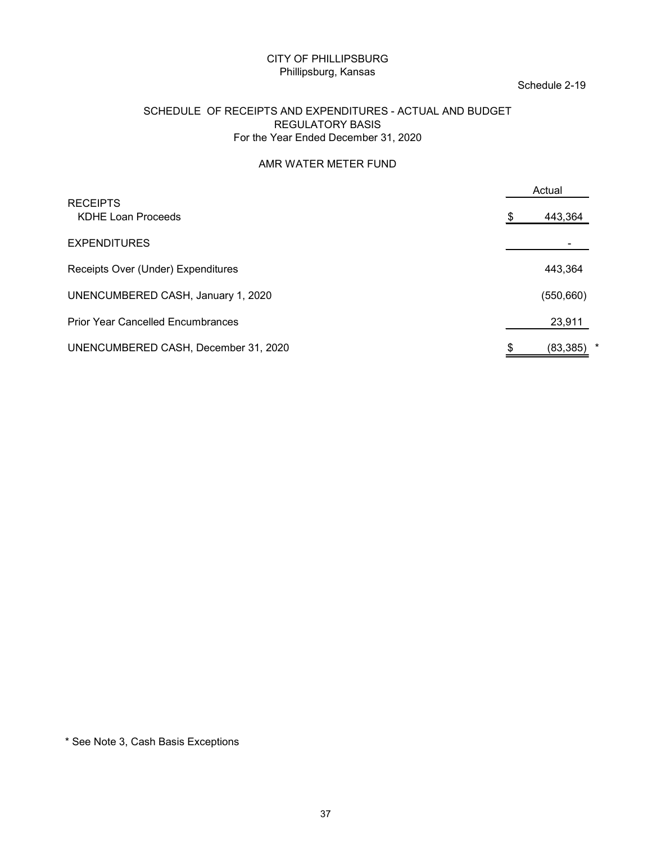#### Schedule 2-19

#### SCHEDULE OF RECEIPTS AND EXPENDITURES - ACTUAL AND BUDGET REGULATORY BASIS For the Year Ended December 31, 2020

#### AMR WATER METER FUND

| SCHEDULE OF RECEIPTS AND EXPENDITURES - ACTUAL AND BUDGET | Schedule 2-19 |
|-----------------------------------------------------------|---------------|
|                                                           |               |
|                                                           |               |
|                                                           |               |
|                                                           |               |
|                                                           |               |
|                                                           |               |
|                                                           | Actual        |
|                                                           | 443,364       |
|                                                           |               |
|                                                           | 443,364       |
|                                                           | (550, 660)    |
|                                                           | 23,911        |
|                                                           | (83, 385)     |
|                                                           |               |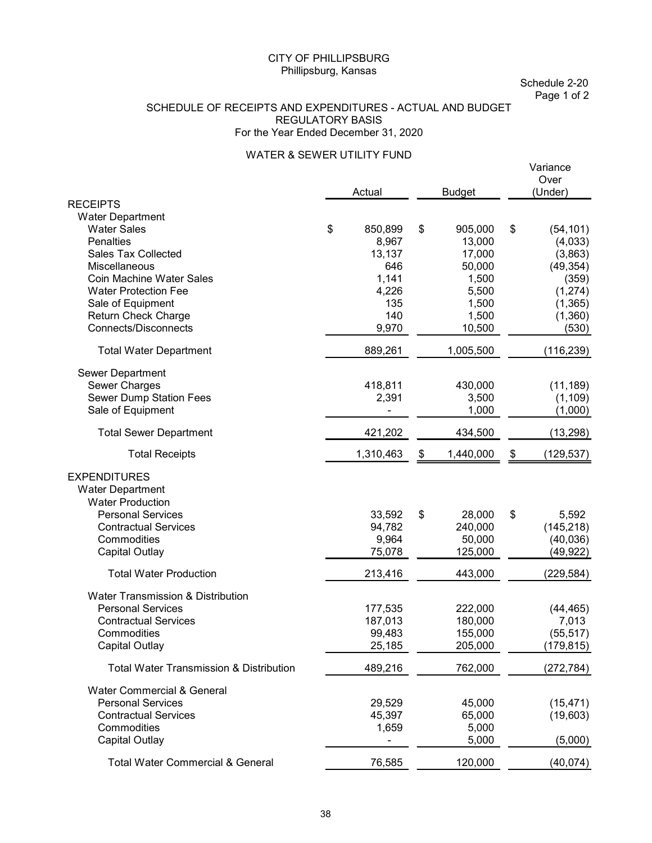Schedule 2-20 Page 1 of 2

#### SCHEDULE OF RECEIPTS AND EXPENDITURES - ACTUAL AND BUDGET REGULATORY BASIS For the Year Ended December 31, 2020

#### WATER & SEWER UTILITY FUND

|                                                    | Actual        | <b>Budget</b>   | Variance<br>Over<br>(Under) |
|----------------------------------------------------|---------------|-----------------|-----------------------------|
| <b>RECEIPTS</b>                                    |               |                 |                             |
| <b>Water Department</b>                            |               |                 |                             |
| <b>Water Sales</b>                                 | \$<br>850,899 | \$<br>905,000   | \$<br>(54, 101)             |
| <b>Penalties</b>                                   | 8,967         | 13,000          | (4,033)                     |
| <b>Sales Tax Collected</b>                         | 13,137        | 17,000          | (3,863)                     |
| Miscellaneous                                      | 646           | 50,000          | (49, 354)                   |
| <b>Coin Machine Water Sales</b>                    | 1,141         | 1,500           | (359)                       |
| <b>Water Protection Fee</b>                        | 4,226         | 5,500           | (1,274)                     |
| Sale of Equipment                                  | 135           | 1,500           | (1,365)                     |
| Return Check Charge                                | 140           | 1,500           | (1,360)                     |
| <b>Connects/Disconnects</b>                        | 9,970         | 10,500          | (530)                       |
|                                                    | 889,261       | 1,005,500       |                             |
| <b>Total Water Department</b>                      |               |                 | (116, 239)                  |
| Sewer Department                                   |               |                 |                             |
| Sewer Charges                                      | 418,811       | 430,000         | (11, 189)                   |
| Sewer Dump Station Fees                            | 2,391         | 3,500           | (1, 109)                    |
| Sale of Equipment                                  |               | 1,000           | (1,000)                     |
| <b>Total Sewer Department</b>                      | 421,202       | 434,500         | (13, 298)                   |
| <b>Total Receipts</b>                              | 1,310,463     | \$<br>1,440,000 | \$<br>(129, 537)            |
| <b>EXPENDITURES</b>                                |               |                 |                             |
| <b>Water Department</b>                            |               |                 |                             |
| <b>Water Production</b>                            |               |                 |                             |
| <b>Personal Services</b>                           | 33,592        | \$<br>28,000    | \$<br>5,592                 |
| <b>Contractual Services</b>                        | 94,782        | 240,000         | (145, 218)                  |
| Commodities                                        | 9,964         | 50,000          | (40, 036)                   |
| <b>Capital Outlay</b>                              | 75,078        | 125,000         | (49, 922)                   |
| <b>Total Water Production</b>                      | 213,416       | 443,000         | (229, 584)                  |
| Water Transmission & Distribution                  |               |                 |                             |
| <b>Personal Services</b>                           | 177,535       | 222,000         | (44, 465)                   |
| <b>Contractual Services</b>                        | 187,013       | 180,000         | 7,013                       |
| Commodities                                        | 99,483        | 155,000         | (55, 517)                   |
| <b>Capital Outlay</b>                              | 25,185        | 205,000         | (179, 815)                  |
| <b>Total Water Transmission &amp; Distribution</b> | 489,216       | 762,000         | (272, 784)                  |
| Water Commercial & General                         |               |                 |                             |
| <b>Personal Services</b>                           | 29,529        | 45,000          | (15, 471)                   |
| <b>Contractual Services</b>                        | 45,397        | 65,000          | (19,603)                    |
| Commodities                                        | 1,659         | 5,000           |                             |
| <b>Capital Outlay</b>                              |               | 5,000           | (5,000)                     |
| <b>Total Water Commercial &amp; General</b>        | 76,585        | 120,000         | (40,074)                    |
|                                                    |               |                 |                             |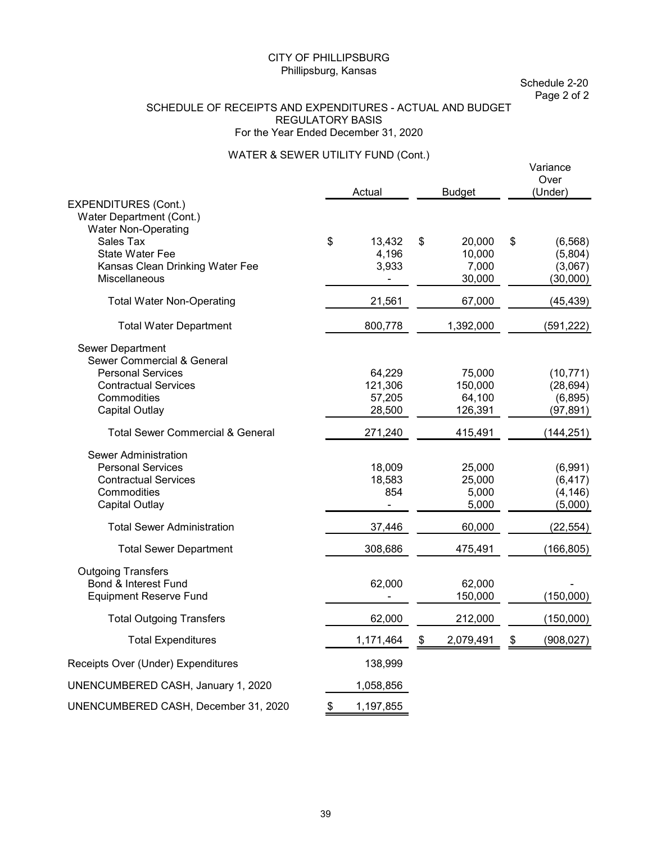Schedule 2-20 Page 2 of 2

#### SCHEDULE OF RECEIPTS AND EXPENDITURES - ACTUAL AND BUDGET REGULATORY BASIS For the Year Ended December 31, 2020

#### WATER & SEWER UTILITY FUND (Cont.)

|                                                                                                                                                   | Actual                                | <b>Budget</b>                             | Variance<br>Over<br>(Under)                      |
|---------------------------------------------------------------------------------------------------------------------------------------------------|---------------------------------------|-------------------------------------------|--------------------------------------------------|
| <b>EXPENDITURES (Cont.)</b><br>Water Department (Cont.)<br><b>Water Non-Operating</b>                                                             |                                       |                                           |                                                  |
| Sales Tax<br><b>State Water Fee</b><br>Kansas Clean Drinking Water Fee<br>Miscellaneous                                                           | \$<br>13,432<br>4,196<br>3,933        | \$<br>20,000<br>10,000<br>7,000<br>30,000 | \$<br>(6, 568)<br>(5,804)<br>(3,067)<br>(30,000) |
| <b>Total Water Non-Operating</b>                                                                                                                  | 21,561                                | 67,000                                    | (45, 439)                                        |
| <b>Total Water Department</b>                                                                                                                     | 800,778                               | 1,392,000                                 | (591, 222)                                       |
| Sewer Department<br>Sewer Commercial & General<br><b>Personal Services</b><br><b>Contractual Services</b><br>Commodities<br><b>Capital Outlay</b> | 64,229<br>121,306<br>57,205<br>28,500 | 75,000<br>150,000<br>64,100<br>126,391    | (10, 771)<br>(28, 694)<br>(6, 895)<br>(97, 891)  |
| <b>Total Sewer Commercial &amp; General</b>                                                                                                       | 271,240                               | 415,491                                   | (144, 251)                                       |
| <b>Sewer Administration</b><br><b>Personal Services</b><br><b>Contractual Services</b><br>Commodities<br>Capital Outlay                           | 18,009<br>18,583<br>854<br>÷,         | 25,000<br>25,000<br>5,000<br>5,000        | (6,991)<br>(6, 417)<br>(4, 146)<br>(5,000)       |
| <b>Total Sewer Administration</b>                                                                                                                 | 37,446                                | 60,000                                    | (22, 554)                                        |
| <b>Total Sewer Department</b>                                                                                                                     | 308,686                               | 475,491                                   | (166, 805)                                       |
| <b>Outgoing Transfers</b><br><b>Bond &amp; Interest Fund</b><br><b>Equipment Reserve Fund</b>                                                     | 62,000                                | 62,000<br>150,000                         | (150,000)                                        |
| <b>Total Outgoing Transfers</b>                                                                                                                   | 62,000                                | 212,000                                   | (150,000)                                        |
| <b>Total Expenditures</b>                                                                                                                         | 1,171,464                             | \$<br>2,079,491                           | \$<br>(908, 027)                                 |
| Receipts Over (Under) Expenditures                                                                                                                | 138,999                               |                                           |                                                  |
| UNENCUMBERED CASH, January 1, 2020                                                                                                                | 1,058,856                             |                                           |                                                  |
| UNENCUMBERED CASH, December 31, 2020                                                                                                              | \$<br>1,197,855                       |                                           |                                                  |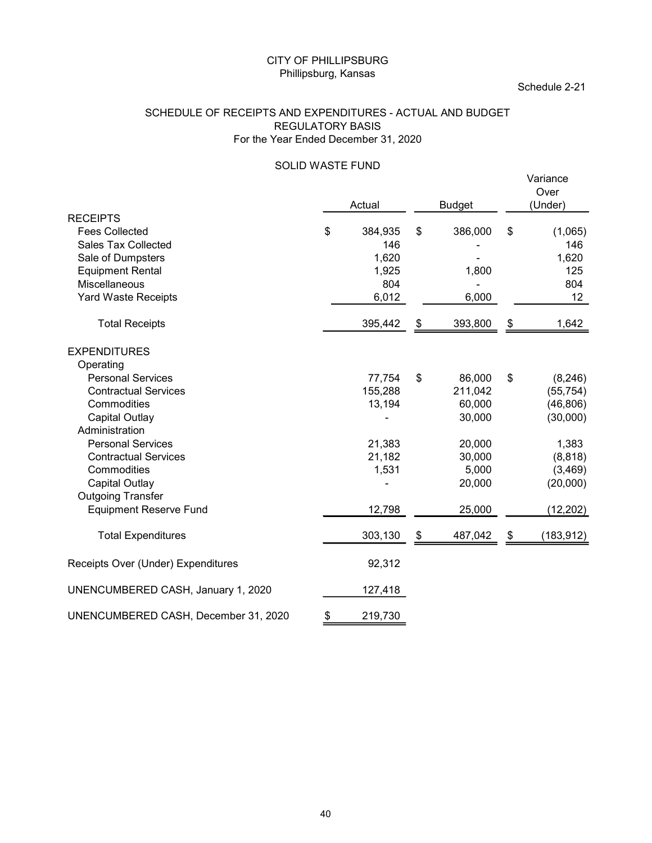#### SCHEDULE OF RECEIPTS AND EXPENDITURES - ACTUAL AND BUDGET REGULATORY BASIS For the Year Ended December 31, 2020

# SOLID WASTE FUND<br>
Variance

|                                                                                                                                                                                   | <b>CITY OF PHILLIPSBURG</b><br>Phillipsburg, Kansas             |                                                            |                            |                                                              |                         | Schedule 2-21                                           |
|-----------------------------------------------------------------------------------------------------------------------------------------------------------------------------------|-----------------------------------------------------------------|------------------------------------------------------------|----------------------------|--------------------------------------------------------------|-------------------------|---------------------------------------------------------|
| SCHEDULE OF RECEIPTS AND EXPENDITURES - ACTUAL AND BUDGET                                                                                                                         | <b>REGULATORY BASIS</b><br>For the Year Ended December 31, 2020 |                                                            |                            |                                                              |                         |                                                         |
|                                                                                                                                                                                   | SOLID WASTE FUND                                                |                                                            |                            |                                                              |                         | Variance<br>Over                                        |
| <b>RECEIPTS</b><br><b>Fees Collected</b><br><b>Sales Tax Collected</b><br>Sale of Dumpsters<br><b>Equipment Rental</b><br>Miscellaneous<br>Yard Waste Receipts                    | \$                                                              | Actual<br>384,935<br>146<br>1,620<br>1,925<br>804<br>6,012 | \$                         | <b>Budget</b><br>386,000<br>1,800<br>$\blacksquare$<br>6,000 | \$                      | (Under)<br>(1,065)<br>146<br>1,620<br>125<br>804<br>12  |
| <b>Total Receipts</b>                                                                                                                                                             |                                                                 | 395,442                                                    | \$                         | 393,800                                                      | \$                      | 1,642                                                   |
| <b>EXPENDITURES</b><br>Operating<br><b>Personal Services</b><br><b>Contractual Services</b><br>Commodities<br><b>Capital Outlay</b><br>Administration<br><b>Personal Services</b> |                                                                 | 77,754<br>155,288<br>13,194<br>21,383                      | $\boldsymbol{\mathcal{F}}$ | 86,000<br>211,042<br>60,000<br>30,000<br>20,000              | $\sqrt[6]{\frac{1}{2}}$ | (8, 246)<br>(55, 754)<br>(46, 806)<br>(30,000)<br>1,383 |
| <b>Contractual Services</b><br>Commodities<br><b>Capital Outlay</b><br><b>Outgoing Transfer</b><br><b>Equipment Reserve Fund</b>                                                  |                                                                 | 21,182<br>1,531<br>12,798                                  |                            | 30,000<br>5,000<br>20,000<br>25,000                          |                         | (8, 818)<br>(3, 469)<br>(20,000)<br>(12, 202)           |
| <b>Total Expenditures</b>                                                                                                                                                         |                                                                 | 303,130                                                    | \$                         | 487,042                                                      | \$                      | (183, 912)                                              |
| Receipts Over (Under) Expenditures                                                                                                                                                |                                                                 | 92,312                                                     |                            |                                                              |                         |                                                         |
| UNENCUMBERED CASH, January 1, 2020                                                                                                                                                |                                                                 | 127,418                                                    |                            |                                                              |                         |                                                         |
| UNENCUMBERED CASH, December 31, 2020                                                                                                                                              |                                                                 | 219,730                                                    |                            |                                                              |                         |                                                         |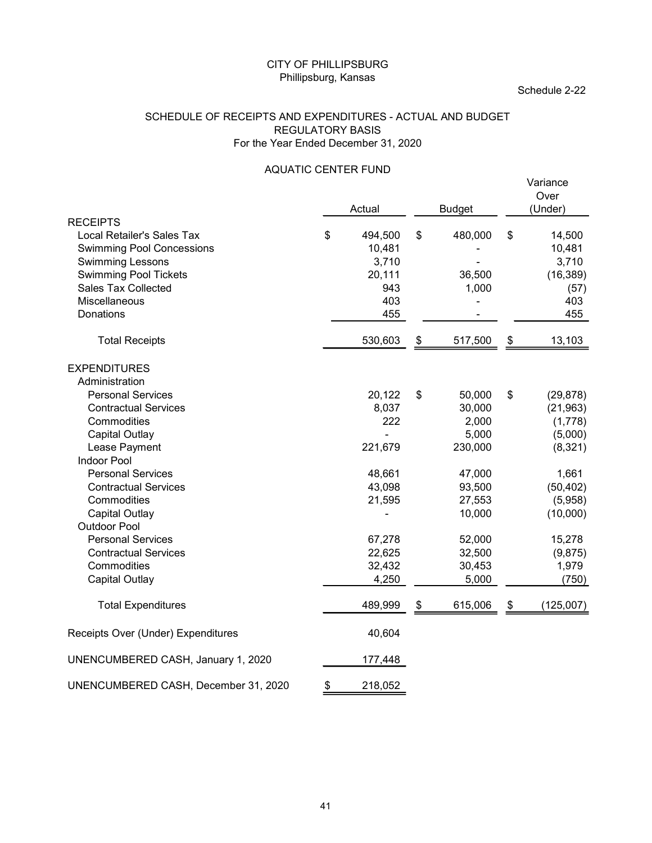#### SCHEDULE OF RECEIPTS AND EXPENDITURES - ACTUAL AND BUDGET REGULATORY BASIS For the Year Ended December 31, 2020

#### AQUATIC CENTER FUND

|                                                                                                                                                                                                   | <b>CITY OF PHILLIPSBURG</b><br>Phillipsburg, Kansas |                                                           |                                  |            | Schedule 2-22                                                |
|---------------------------------------------------------------------------------------------------------------------------------------------------------------------------------------------------|-----------------------------------------------------|-----------------------------------------------------------|----------------------------------|------------|--------------------------------------------------------------|
| SCHEDULE OF RECEIPTS AND EXPENDITURES - ACTUAL AND BUDGET                                                                                                                                         | <b>REGULATORY BASIS</b>                             | For the Year Ended December 31, 2020                      |                                  |            |                                                              |
|                                                                                                                                                                                                   | <b>AQUATIC CENTER FUND</b>                          |                                                           |                                  |            | Variance                                                     |
|                                                                                                                                                                                                   |                                                     | Actual                                                    | <b>Budget</b>                    |            | Over<br>(Under)                                              |
| <b>RECEIPTS</b><br>Local Retailer's Sales Tax<br><b>Swimming Pool Concessions</b><br>Swimming Lessons<br><b>Swimming Pool Tickets</b><br><b>Sales Tax Collected</b><br>Miscellaneous<br>Donations | \$                                                  | 494,500<br>10,481<br>3,710<br>20,111<br>943<br>403<br>455 | \$<br>480,000<br>36,500<br>1,000 | \$         | 14,500<br>10,481<br>3,710<br>(16, 389)<br>(57)<br>403<br>455 |
| <b>Total Receipts</b>                                                                                                                                                                             |                                                     | 530,603                                                   | \$<br>517,500                    | \$         | 13,103                                                       |
|                                                                                                                                                                                                   |                                                     |                                                           |                                  |            |                                                              |
| <b>EXPENDITURES</b><br>Administration                                                                                                                                                             |                                                     |                                                           |                                  |            |                                                              |
| <b>Personal Services</b><br><b>Contractual Services</b>                                                                                                                                           |                                                     | 20,122<br>8,037                                           | \$<br>50,000<br>30,000           | $\sqrt{3}$ | (29, 878)<br>(21, 963)                                       |
| Commodities                                                                                                                                                                                       |                                                     | 222                                                       | 2,000                            |            | (1,778)                                                      |
| <b>Capital Outlay</b>                                                                                                                                                                             |                                                     | ÷.                                                        | 5,000                            |            | (5,000)                                                      |
| Lease Payment<br>Indoor Pool                                                                                                                                                                      |                                                     | 221,679                                                   | 230,000                          |            | (8,321)                                                      |
| <b>Personal Services</b>                                                                                                                                                                          |                                                     | 48,661                                                    | 47,000                           |            | 1,661                                                        |
| <b>Contractual Services</b>                                                                                                                                                                       |                                                     | 43,098                                                    | 93,500                           |            | (50, 402)                                                    |
| Commodities                                                                                                                                                                                       |                                                     | 21,595                                                    | 27,553                           |            | (5,958)                                                      |
| <b>Capital Outlay</b>                                                                                                                                                                             |                                                     |                                                           | 10,000                           |            | (10,000)                                                     |
| <b>Outdoor Pool</b>                                                                                                                                                                               |                                                     |                                                           |                                  |            |                                                              |
| <b>Personal Services</b><br><b>Contractual Services</b>                                                                                                                                           |                                                     | 67,278<br>22,625                                          | 52,000<br>32,500                 |            | 15,278<br>(9,875)                                            |
| Commodities                                                                                                                                                                                       |                                                     | 32,432                                                    | 30,453                           |            | 1,979                                                        |
| <b>Capital Outlay</b>                                                                                                                                                                             |                                                     | 4,250                                                     | 5,000                            |            | (750)                                                        |
| <b>Total Expenditures</b>                                                                                                                                                                         |                                                     | 489,999                                                   | \$<br>615,006                    | \$         | (125,007)                                                    |
| Receipts Over (Under) Expenditures                                                                                                                                                                |                                                     | 40,604                                                    |                                  |            |                                                              |
| UNENCUMBERED CASH, January 1, 2020                                                                                                                                                                |                                                     | 177,448                                                   |                                  |            |                                                              |
| UNENCUMBERED CASH, December 31, 2020                                                                                                                                                              | P.                                                  | 218,052                                                   |                                  |            |                                                              |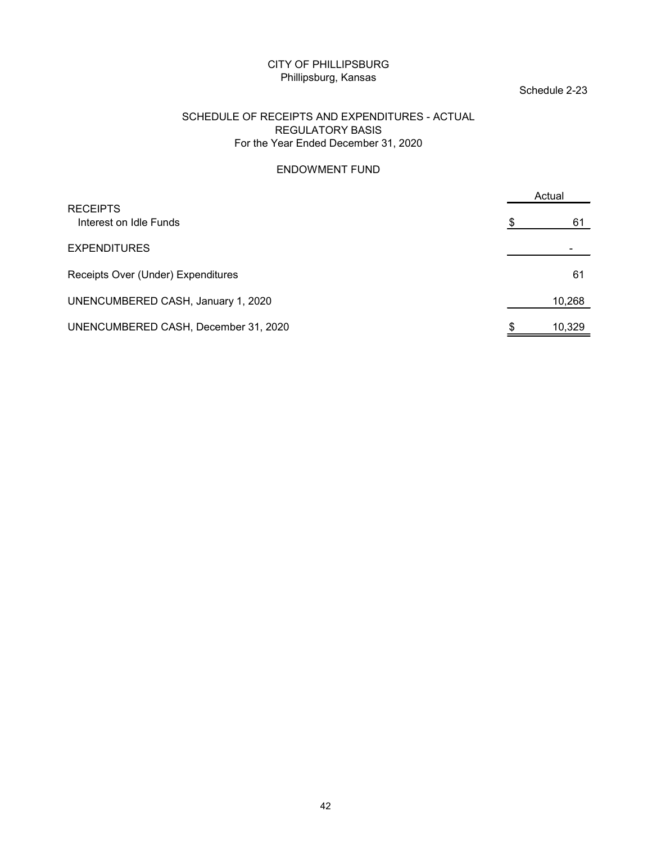#### Schedule 2-23

#### SCHEDULE OF RECEIPTS AND EXPENDITURES - ACTUAL REGULATORY BASIS For the Year Ended December 31, 2020

#### ENDOWMENT FUND

| <b>CITY OF PHILLIPSBURG</b><br>Phillipsburg, Kansas                                                               |               |  |
|-------------------------------------------------------------------------------------------------------------------|---------------|--|
|                                                                                                                   | Schedule 2-23 |  |
| SCHEDULE OF RECEIPTS AND EXPENDITURES - ACTUAL<br><b>REGULATORY BASIS</b><br>For the Year Ended December 31, 2020 |               |  |
| <b>ENDOWMENT FUND</b>                                                                                             |               |  |
|                                                                                                                   | Actual        |  |
| <b>RECEIPTS</b><br>Interest on Idle Funds                                                                         | 61            |  |
| <b>EXPENDITURES</b>                                                                                               |               |  |
| Receipts Over (Under) Expenditures                                                                                | 61            |  |
| UNENCUMBERED CASH, January 1, 2020                                                                                | 10,268        |  |
| UNENCUMBERED CASH, December 31, 2020                                                                              | 10,329        |  |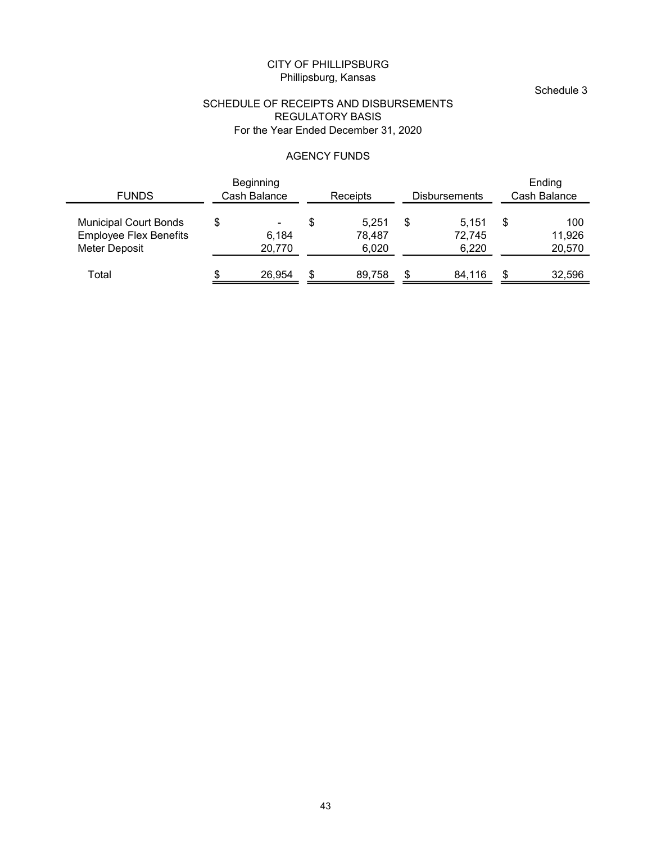#### Schedule 3

#### SCHEDULE OF RECEIPTS AND DISBURSEMENTS REGULATORY BASIS For the Year Ended December 31, 2020

#### AGENCY FUNDS

|                                                                                |               |                                   |                           | CITY OF PHILLIPSBURG<br>Phillipsburg, Kansas                                                              |                           |                          |      | Schedule 3              |
|--------------------------------------------------------------------------------|---------------|-----------------------------------|---------------------------|-----------------------------------------------------------------------------------------------------------|---------------------------|--------------------------|------|-------------------------|
|                                                                                |               |                                   |                           | SCHEDULE OF RECEIPTS AND DISBURSEMENTS<br><b>REGULATORY BASIS</b><br>For the Year Ended December 31, 2020 |                           |                          |      |                         |
|                                                                                |               |                                   |                           | <b>AGENCY FUNDS</b>                                                                                       |                           |                          |      |                         |
| <b>FUNDS</b>                                                                   |               | Beginning<br>Cash Balance         |                           | Receipts                                                                                                  |                           | Disbursements            |      | Ending<br>Cash Balance  |
| <b>Municipal Court Bonds</b><br><b>Employee Flex Benefits</b><br>Meter Deposit | $\frac{1}{2}$ | $\blacksquare$<br>6,184<br>20,770 | $\boldsymbol{\mathsf{S}}$ | 5,251<br>78,487<br>6,020                                                                                  | $\boldsymbol{\mathsf{S}}$ | 5,151<br>72,745<br>6,220 | - \$ | 100<br>11,926<br>20,570 |
| Total                                                                          |               | 26,954                            | \$                        | 89,758                                                                                                    | \$                        | 84,116                   | -S   | 32,596                  |
|                                                                                |               |                                   |                           |                                                                                                           |                           |                          |      |                         |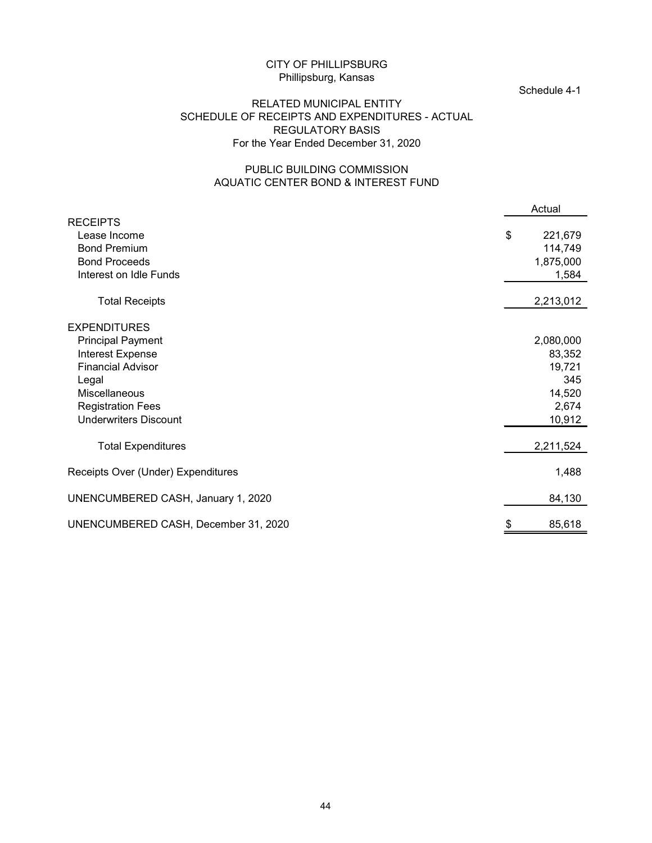#### Schedule 4-1

#### RELATED MUNICIPAL ENTITY SCHEDULE OF RECEIPTS AND EXPENDITURES - ACTUAL REGULATORY BASIS For the Year Ended December 31, 2020

#### PUBLIC BUILDING COMMISSION AQUATIC CENTER BOND & INTEREST FUND

| CITY OF PHILLIPSBURG<br>Phillipsburg, Kansas<br>RELATED MUNICIPAL ENTITY<br>SCHEDULE OF RECEIPTS AND EXPENDITURES - ACTUAL<br><b>REGULATORY BASIS</b><br>For the Year Ended December 31, 2020 | Schedule 4-1                                                      |
|-----------------------------------------------------------------------------------------------------------------------------------------------------------------------------------------------|-------------------------------------------------------------------|
| PUBLIC BUILDING COMMISSION<br>AQUATIC CENTER BOND & INTEREST FUND                                                                                                                             |                                                                   |
|                                                                                                                                                                                               | Actual                                                            |
| <b>RECEIPTS</b><br>Lease Income<br><b>Bond Premium</b><br><b>Bond Proceeds</b><br>Interest on Idle Funds                                                                                      | \$<br>221,679<br>114,749<br>1,875,000<br>1,584                    |
| <b>Total Receipts</b>                                                                                                                                                                         | 2,213,012                                                         |
|                                                                                                                                                                                               |                                                                   |
| <b>EXPENDITURES</b><br><b>Principal Payment</b><br>Interest Expense<br><b>Financial Advisor</b><br>Legal<br>Miscellaneous<br><b>Registration Fees</b><br><b>Underwriters Discount</b>         | 2,080,000<br>83,352<br>19,721<br>345<br>14,520<br>2,674<br>10,912 |
| <b>Total Expenditures</b>                                                                                                                                                                     | 2,211,524                                                         |
| Receipts Over (Under) Expenditures                                                                                                                                                            | 1,488                                                             |
| UNENCUMBERED CASH, January 1, 2020                                                                                                                                                            | 84,130                                                            |
| UNENCUMBERED CASH, December 31, 2020                                                                                                                                                          | 85,618                                                            |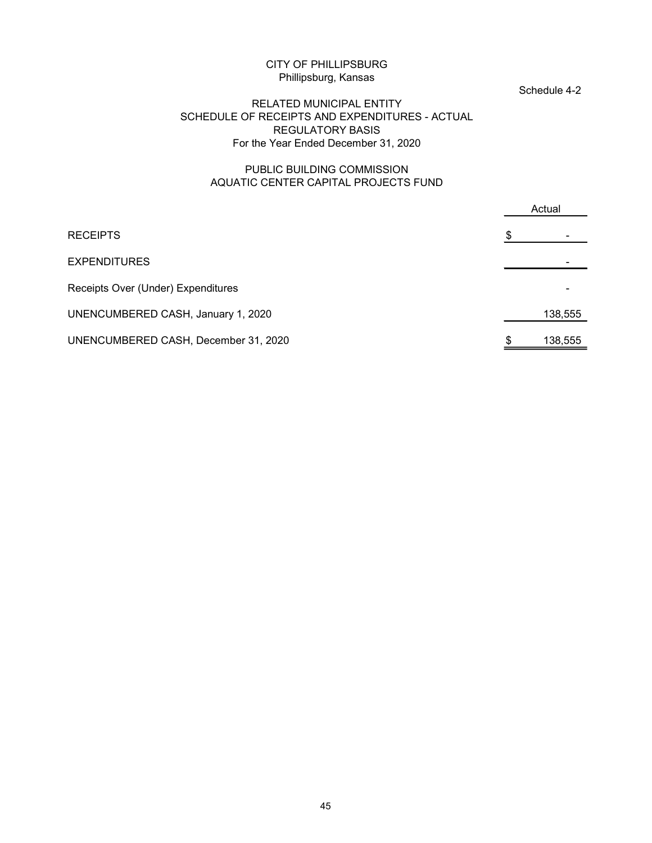#### Schedule 4-2

#### RELATED MUNICIPAL ENTITY SCHEDULE OF RECEIPTS AND EXPENDITURES - ACTUAL REGULATORY BASIS For the Year Ended December 31, 2020

#### PUBLIC BUILDING COMMISSION AQUATIC CENTER CAPITAL PROJECTS FUND

|   | Schedule 4-2 |
|---|--------------|
|   | Actual       |
| S |              |
|   |              |
|   |              |
|   | 138,555      |
|   | 138,555      |
|   |              |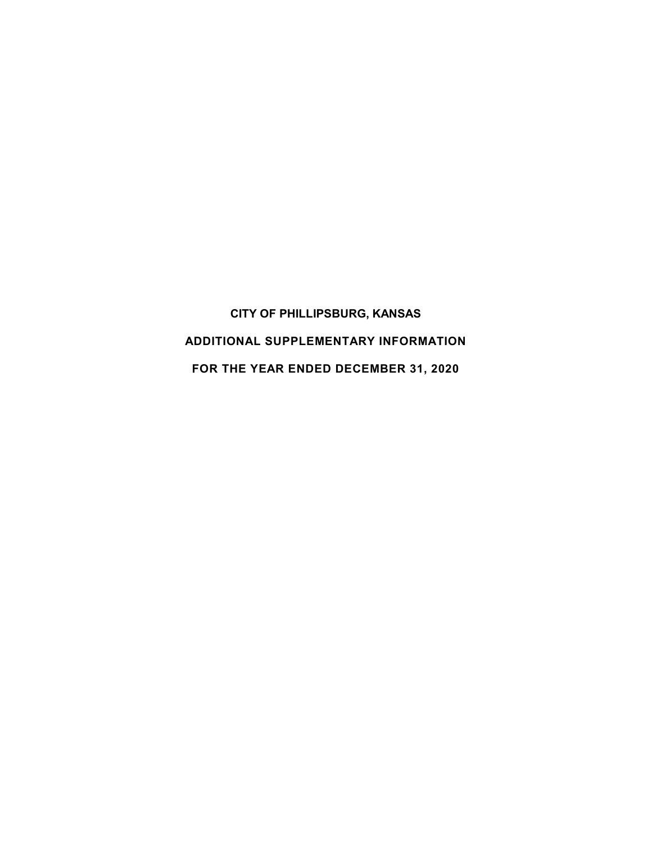CITY OF PHILLIPSBURG, KANSAS ADDITIONAL SUPPLEMENTARY INFORMATION FOR THE YEAR ENDED DECEMBER 31, 2020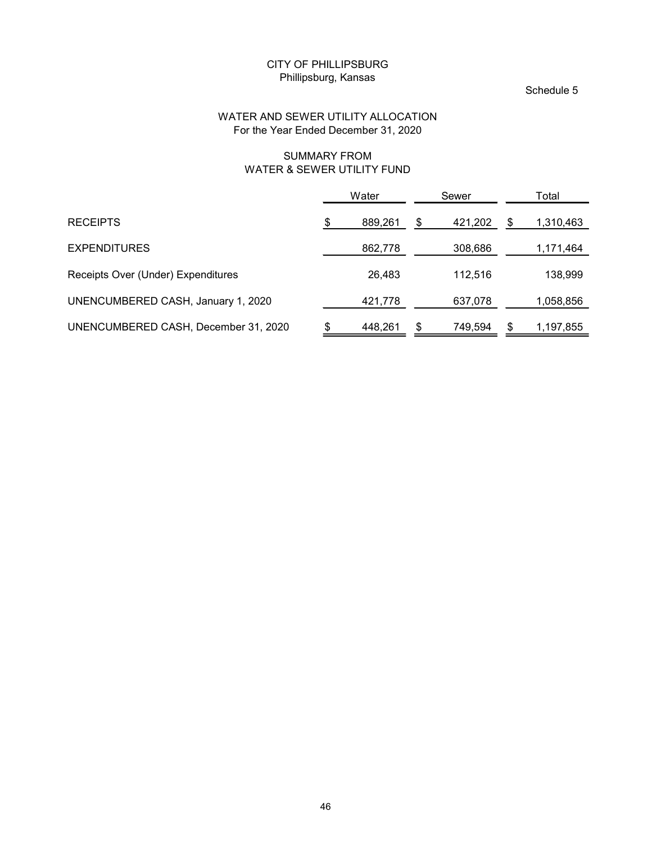#### Schedule 5

#### WATER AND SEWER UTILITY ALLOCATION For the Year Ended December 31, 2020

#### SUMMARY FROM WATER & SEWER UTILITY FUND

|                                                                            | Phillipsburg, Kansas | <b>CITY OF PHILLIPSBURG</b> |               |         |                 |
|----------------------------------------------------------------------------|----------------------|-----------------------------|---------------|---------|-----------------|
|                                                                            |                      |                             |               |         | Schedule 5      |
| WATER AND SEWER UTILITY ALLOCATION<br>For the Year Ended December 31, 2020 |                      |                             |               |         |                 |
|                                                                            | <b>SUMMARY FROM</b>  | WATER & SEWER UTILITY FUND  |               |         |                 |
|                                                                            |                      | Water                       |               | Sewer   | Total           |
| <b>RECEIPTS</b>                                                            | S.                   | 889,261                     | $\frac{1}{2}$ | 421,202 | \$<br>1,310,463 |
| <b>EXPENDITURES</b>                                                        |                      | 862,778                     |               | 308,686 | 1,171,464       |
| Receipts Over (Under) Expenditures                                         |                      | 26,483                      |               | 112,516 | 138,999         |
| UNENCUMBERED CASH, January 1, 2020                                         |                      | 421,778                     |               | 637,078 | 1,058,856       |
| UNENCUMBERED CASH, December 31, 2020                                       |                      | 448,261                     | \$            | 749,594 | \$<br>1,197,855 |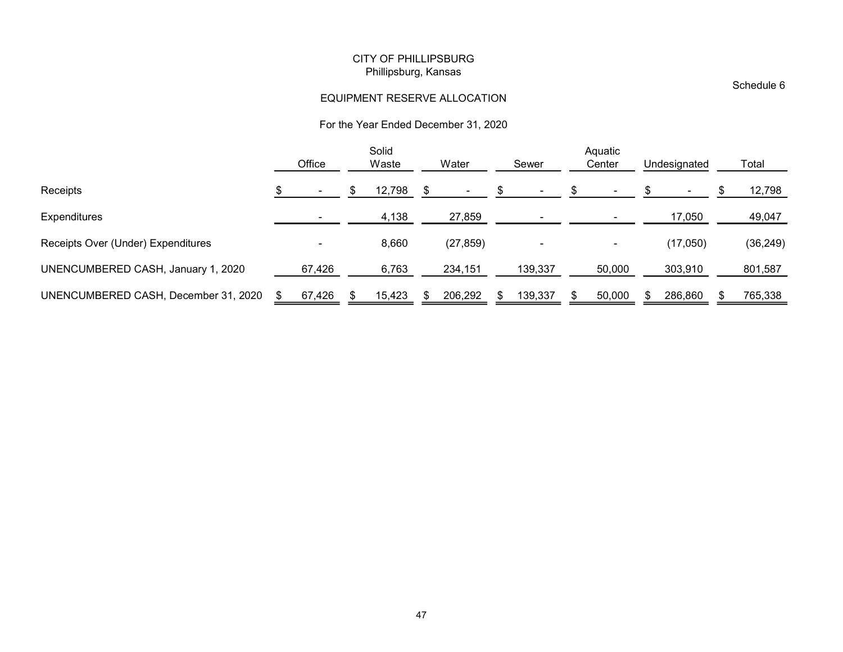#### EQUIPMENT RESERVE ALLOCATION

#### For the Year Ended December 31, 2020

|                                      |                |                           | <b>CITY OF PHILLIPSBURG</b> |                            |                                      |                |                   |                      |      |            |
|--------------------------------------|----------------|---------------------------|-----------------------------|----------------------------|--------------------------------------|----------------|-------------------|----------------------|------|------------|
|                                      |                |                           | Phillipsburg, Kansas        |                            |                                      |                |                   |                      |      | Schedule 6 |
|                                      |                |                           |                             |                            | EQUIPMENT RESERVE ALLOCATION         |                |                   |                      |      |            |
|                                      |                |                           |                             |                            | For the Year Ended December 31, 2020 |                |                   |                      |      |            |
|                                      | Office         |                           | Solid<br>Waste              |                            | Water                                | Sewer          | Aquatic<br>Center | Undesignated         |      | Total      |
| Receipts                             | $\blacksquare$ | $\boldsymbol{\mathsf{S}}$ | 12,798                      | $\boldsymbol{\mathsf{\$}}$ | $\sim$                               | \$             |                   | \$<br>$\blacksquare$ |      | 12,798     |
| Expenditures                         | $\sim$         |                           | 4,138                       |                            | 27,859                               | $\blacksquare$ | $\blacksquare$    | 17,050               |      | 49,047     |
| Receipts Over (Under) Expenditures   | $\blacksquare$ |                           | 8,660                       |                            | (27, 859)                            |                | $\blacksquare$    | (17,050)             |      | (36, 249)  |
| UNENCUMBERED CASH, January 1, 2020   | 67,426         |                           | 6,763                       |                            | 234,151                              | 139,337        | 50,000            | 303,910              |      | 801,587    |
| UNENCUMBERED CASH, December 31, 2020 | \$<br>67,426   | \$                        | 15,423                      | \$                         | 206,292                              | \$<br>139,337  | \$<br>50,000      | \$<br>286,860        | - 35 | 765,338    |
|                                      |                |                           |                             |                            |                                      |                |                   |                      |      |            |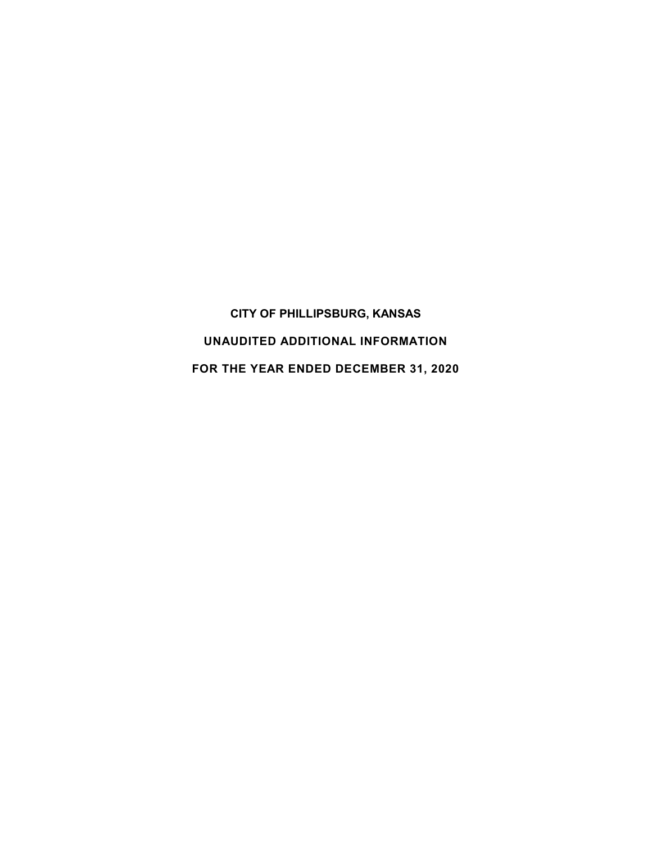CITY OF PHILLIPSBURG, KANSAS UNAUDITED ADDITIONAL INFORMATION FOR THE YEAR ENDED DECEMBER 31, 2020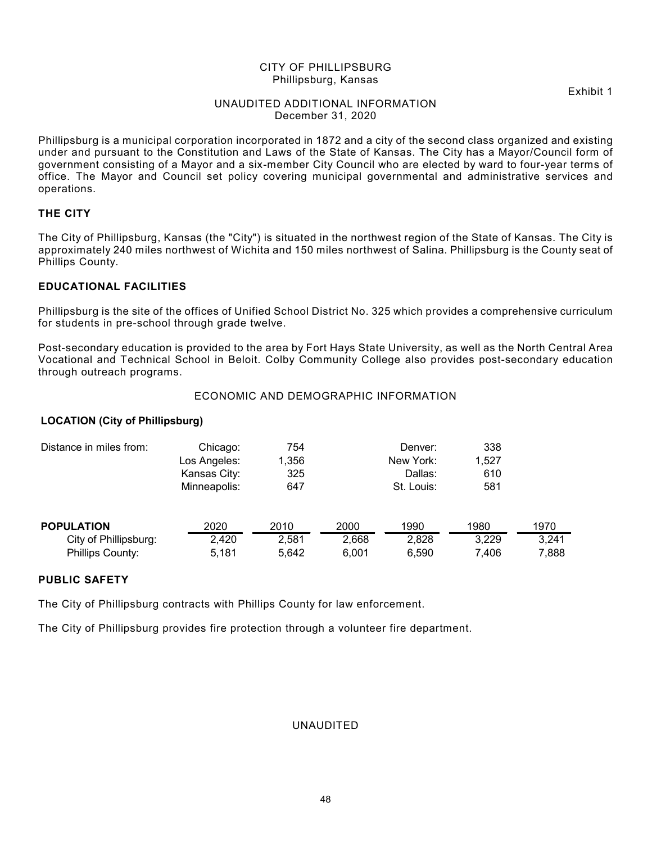Exhibit 1

#### UNAUDITED ADDITIONAL INFORMATION December 31, 2020

Phillipsburg is a municipal corporation incorporated in 1872 and a city of the second class organized and existing under and pursuant to the Constitution and Laws of the State of Kansas. The City has a Mayor/Council form of government consisting of a Mayor and a six-member City Council who are elected by ward to four-year terms of office. The Mayor and Council set policy covering municipal governmental and administrative services and operations.

#### THE CITY

#### EDUCATIONAL FACILITIES

#### ECONOMIC AND DEMOGRAPHIC INFORMATION

#### LOCATION (City of Phillipsburg)

| office. The Mayor and Council set policy covering municipal governmental and administrative services and<br>operations.                                                                                                                                         |                                                          |                            |       |                                               |                            |       |
|-----------------------------------------------------------------------------------------------------------------------------------------------------------------------------------------------------------------------------------------------------------------|----------------------------------------------------------|----------------------------|-------|-----------------------------------------------|----------------------------|-------|
| THE CITY                                                                                                                                                                                                                                                        |                                                          |                            |       |                                               |                            |       |
| The City of Phillipsburg, Kansas (the "City") is situated in the northwest region of the State of Kansas. The City is<br>approximately 240 miles northwest of Wichita and 150 miles northwest of Salina. Phillipsburg is the County seat of<br>Phillips County. |                                                          |                            |       |                                               |                            |       |
| <b>EDUCATIONAL FACILITIES</b>                                                                                                                                                                                                                                   |                                                          |                            |       |                                               |                            |       |
| Phillipsburg is the site of the offices of Unified School District No. 325 which provides a comprehensive curriculum<br>for students in pre-school through grade twelve.                                                                                        |                                                          |                            |       |                                               |                            |       |
| Post-secondary education is provided to the area by Fort Hays State University, as well as the North Central Area<br>Vocational and Technical School in Beloit. Colby Community College also provides post-secondary education<br>through outreach programs.    |                                                          |                            |       |                                               |                            |       |
|                                                                                                                                                                                                                                                                 |                                                          |                            |       | ECONOMIC AND DEMOGRAPHIC INFORMATION          |                            |       |
| <b>LOCATION (City of Phillipsburg)</b>                                                                                                                                                                                                                          |                                                          |                            |       |                                               |                            |       |
| Distance in miles from:                                                                                                                                                                                                                                         | Chicago:<br>Los Angeles:<br>Kansas City:<br>Minneapolis: | 754<br>1,356<br>325<br>647 |       | Denver:<br>New York:<br>Dallas:<br>St. Louis: | 338<br>1,527<br>610<br>581 |       |
| <b>POPULATION</b>                                                                                                                                                                                                                                               | 2020                                                     | 2010                       | 2000  | 1990                                          | 1980                       | 1970  |
| City of Phillipsburg:                                                                                                                                                                                                                                           | 2,420                                                    | 2,581                      | 2,668 | 2,828                                         | 3,229                      | 3,241 |
| Phillips County:                                                                                                                                                                                                                                                | 5,181                                                    | 5,642                      | 6,001 | 6,590                                         | 7,406                      | 7,888 |
| <b>PUBLIC SAFETY</b>                                                                                                                                                                                                                                            |                                                          |                            |       |                                               |                            |       |
| The City of Phillipsburg contracts with Phillips County for law enforcement.                                                                                                                                                                                    |                                                          |                            |       |                                               |                            |       |
|                                                                                                                                                                                                                                                                 |                                                          |                            |       |                                               |                            |       |

#### PUBLIC SAFETY

The City of Phillipsburg provides fire protection through a volunteer fire department.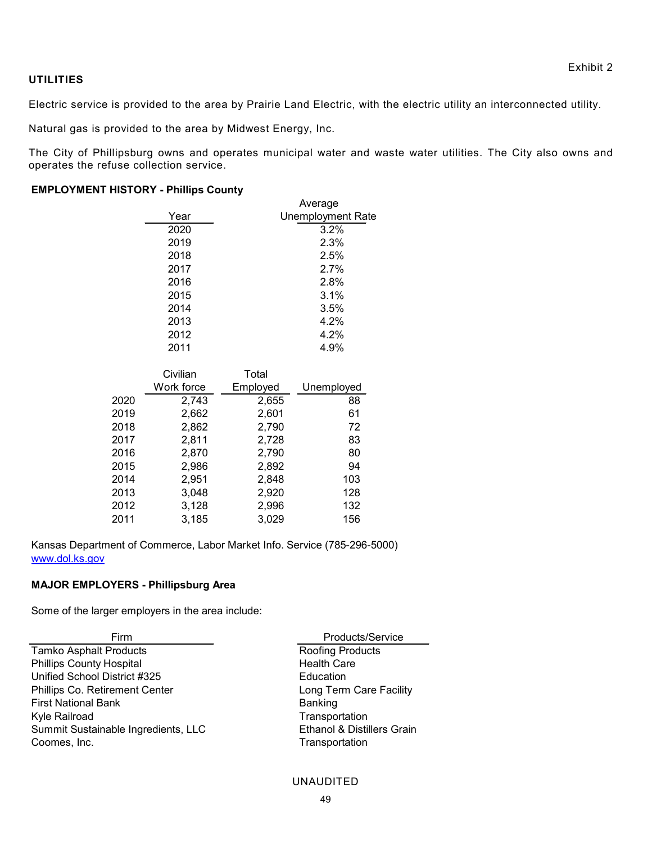#### **UTILITIES**

Electric service is provided to the area by Prairie Land Electric, with the electric utility an interconnected utility.

Natural gas is provided to the area by Midwest Energy, Inc.

The City of Phillipsburg owns and operates municipal water and waste water utilities. The City also owns and operates the refuse collection service.

#### EMPLOYMENT HISTORY - Phillips County

|      |                                             |          |                          | Exhibit 2                                                                                              |
|------|---------------------------------------------|----------|--------------------------|--------------------------------------------------------------------------------------------------------|
|      |                                             |          |                          |                                                                                                        |
|      |                                             |          |                          | is provided to the area by Prairie Land Electric, with the electric utility an interconnected utility. |
|      | rovided to the area by Midwest Energy, Inc. |          |                          |                                                                                                        |
|      |                                             |          |                          | lipsburg owns and operates municipal water and waste water utilities. The City also owns and           |
|      | use collection service.                     |          |                          |                                                                                                        |
|      | <b>HISTORY - Phillips County</b>            |          |                          |                                                                                                        |
|      |                                             |          | Average                  |                                                                                                        |
|      | Year                                        |          | <b>Unemployment Rate</b> |                                                                                                        |
|      | 2020                                        |          | 3.2%                     |                                                                                                        |
|      | 2019                                        |          | 2.3%                     |                                                                                                        |
|      | 2018                                        |          | 2.5%                     |                                                                                                        |
|      | 2017                                        |          | 2.7%                     |                                                                                                        |
|      | 2016                                        |          | 2.8%                     |                                                                                                        |
|      | 2015                                        |          | 3.1%                     |                                                                                                        |
|      | 2014                                        |          | 3.5%                     |                                                                                                        |
|      | 2013                                        |          | 4.2%                     |                                                                                                        |
|      | 2012                                        |          | 4.2%                     |                                                                                                        |
|      | 2011                                        |          | 4.9%                     |                                                                                                        |
|      | Civilian                                    | Total    |                          |                                                                                                        |
|      | Work force                                  | Employed | Unemployed               |                                                                                                        |
| 2020 | 2,743                                       | 2,655    | 88                       |                                                                                                        |
| 2019 | 2,662                                       | 2,601    | 61                       |                                                                                                        |
| 2018 | 2,862                                       | 2,790    | 72                       |                                                                                                        |
| 2017 | 2,811                                       | 2,728    | 83                       |                                                                                                        |
| 2016 | 2,870                                       | 2,790    | 80                       |                                                                                                        |
| 2015 | 2,986                                       | 2,892    | 94                       |                                                                                                        |
|      |                                             |          |                          |                                                                                                        |
| 2014 | 2,951                                       | 2,848    | 103                      |                                                                                                        |

| <b>EMPLOYMENT HISTORY - Phillips County</b>                                                |            |          |                                       |
|--------------------------------------------------------------------------------------------|------------|----------|---------------------------------------|
|                                                                                            |            |          | Average                               |
|                                                                                            | Year       |          | <b>Unemployment Rate</b>              |
|                                                                                            | 2020       |          | 3.2%                                  |
|                                                                                            | 2019       |          | 2.3%                                  |
|                                                                                            | 2018       |          | 2.5%                                  |
|                                                                                            | 2017       |          | 2.7%                                  |
|                                                                                            | 2016       |          | 2.8%                                  |
|                                                                                            | 2015       |          | 3.1%                                  |
|                                                                                            | 2014       |          | 3.5%                                  |
|                                                                                            | 2013       |          | 4.2%                                  |
|                                                                                            | 2012       |          | 4.2%                                  |
|                                                                                            | 2011       |          | 4.9%                                  |
|                                                                                            | Civilian   | Total    |                                       |
|                                                                                            | Work force | Employed | Unemployed                            |
| 2020                                                                                       | 2,743      | 2,655    | 88                                    |
| 2019                                                                                       | 2,662      | 2,601    | 61                                    |
| 2018                                                                                       | 2,862      | 2,790    | 72                                    |
| 2017                                                                                       | 2,811      | 2,728    | 83                                    |
| 2016                                                                                       | 2,870      | 2,790    | 80                                    |
| 2015                                                                                       | 2,986      | 2,892    | 94                                    |
| 2014                                                                                       | 2,951      | 2,848    | 103                                   |
| 2013                                                                                       | 3,048      | 2,920    | 128                                   |
| 2012                                                                                       | 3,128      | 2,996    | 132                                   |
| 2011                                                                                       | 3,185      | 3,029    | 156                                   |
| Kansas Department of Commerce, Labor Market Info. Service (785-296-5000)<br>www.dol.ks.gov |            |          |                                       |
|                                                                                            |            |          |                                       |
| <b>MAJOR EMPLOYERS - Phillipsburg Area</b>                                                 |            |          |                                       |
| Some of the larger employers in the area include:                                          |            |          |                                       |
| Firm                                                                                       |            |          | Products/Service                      |
| <b>Tamko Asphalt Products</b>                                                              |            |          | Roofing Products                      |
| <b>Phillips County Hospital</b>                                                            |            |          | <b>Health Care</b>                    |
| Unified School District #325                                                               |            |          | Education                             |
| Phillips Co. Retirement Center                                                             |            |          | Long Term Care Facility               |
| <b>First National Bank</b>                                                                 |            |          | Banking                               |
| Kyle Railroad                                                                              |            |          | Transportation                        |
| Summit Sustainable Ingredients, LLC                                                        |            |          | <b>Ethanol &amp; Distillers Grain</b> |
| Coomes, Inc.                                                                               |            |          | Transportation                        |
|                                                                                            |            |          |                                       |
|                                                                                            |            |          | <b>UNAUDITED</b>                      |
|                                                                                            |            |          |                                       |

#### MAJOR EMPLOYERS - Phillipsburg Area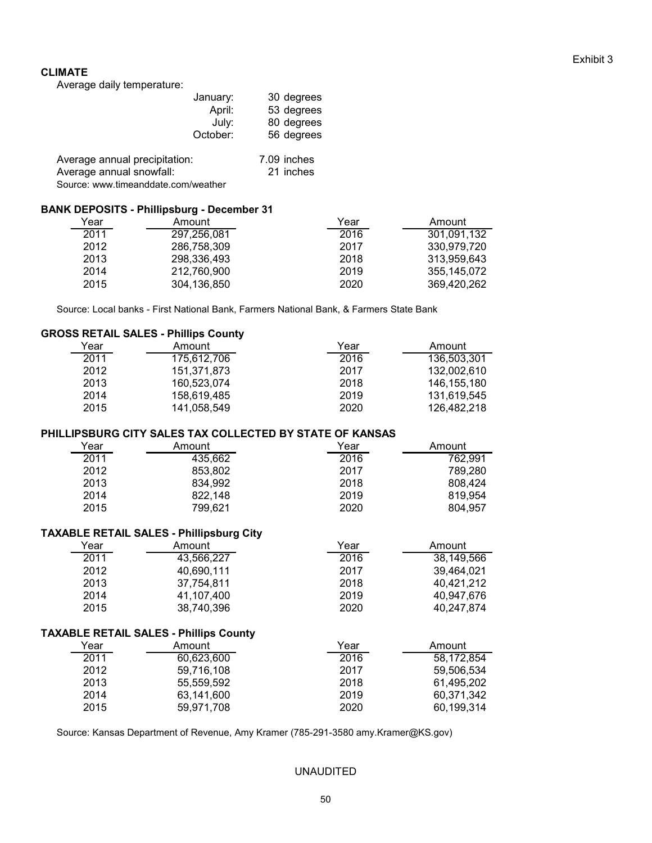#### Exhibit 3

#### CLIMATE

Average daily temperature:

| January:                      | 30 degrees  |  |
|-------------------------------|-------------|--|
| April:                        | 53 degrees  |  |
| Julv:                         | 80 degrees  |  |
| October:                      | 56 degrees  |  |
| Average annual precipitation: | 7.09 inches |  |
| Average annual snowfall:      | 21 inches   |  |

Source: www.timeanddate.com/weather

#### BANK DEPOSITS - Phillipsburg - December 31

| Year | Amount      | Year | Amount      |
|------|-------------|------|-------------|
| 2011 | 297,256,081 | 2016 | 301,091,132 |
| 2012 | 286,758,309 | 2017 | 330.979.720 |
| 2013 | 298,336,493 | 2018 | 313.959.643 |
| 2014 | 212.760.900 | 2019 | 355.145.072 |
| 2015 | 304,136,850 | 2020 | 369.420.262 |

Source: Local banks - First National Bank, Farmers National Bank, & Farmers State Bank

#### GROSS RETAIL SALES - Phillips County

| Year | Amount      | Year | Amount        |
|------|-------------|------|---------------|
| 2011 | 175,612,706 | 2016 | 136,503,301   |
| 2012 | 151.371.873 | 2017 | 132.002.610   |
| 2013 | 160.523.074 | 2018 | 146, 155, 180 |
| 2014 | 158,619,485 | 2019 | 131.619.545   |
| 2015 | 141,058,549 | 2020 | 126,482,218   |

#### PHILLIPSBURG CITY SALES TAX COLLECTED BY STATE OF KANSAS

| Year | Amount  | Year | Amount  |
|------|---------|------|---------|
| 2011 | 435,662 | 2016 | 762,991 |
| 2012 | 853,802 | 2017 | 789,280 |
| 2013 | 834,992 | 2018 | 808,424 |
| 2014 | 822,148 | 2019 | 819,954 |
| 2015 | 799,621 | 2020 | 804,957 |

#### TAXABLE RETAIL SALES - Phillipsburg City

| Year | Amount     | Year | Amount     |
|------|------------|------|------------|
| 2011 | 43,566,227 | 2016 | 38,149,566 |
| 2012 | 40,690,111 | 2017 | 39,464,021 |
| 2013 | 37.754.811 | 2018 | 40.421.212 |
| 2014 | 41,107,400 | 2019 | 40.947.676 |
| 2015 | 38,740,396 | 2020 | 40,247,874 |
|      |            |      |            |

#### TAXABLE RETAIL SALES - Phillips County

| Year | Amount     | Year | Amount     |
|------|------------|------|------------|
| 2011 | 60,623,600 | 2016 | 58.172.854 |
| 2012 | 59,716,108 | 2017 | 59,506,534 |
| 2013 | 55,559,592 | 2018 | 61.495.202 |
| 2014 | 63,141,600 | 2019 | 60,371,342 |
| 2015 | 59.971.708 | 2020 | 60,199,314 |

Source: Kansas Department of Revenue, Amy Kramer (785-291-3580 amy.Kramer@KS.gov)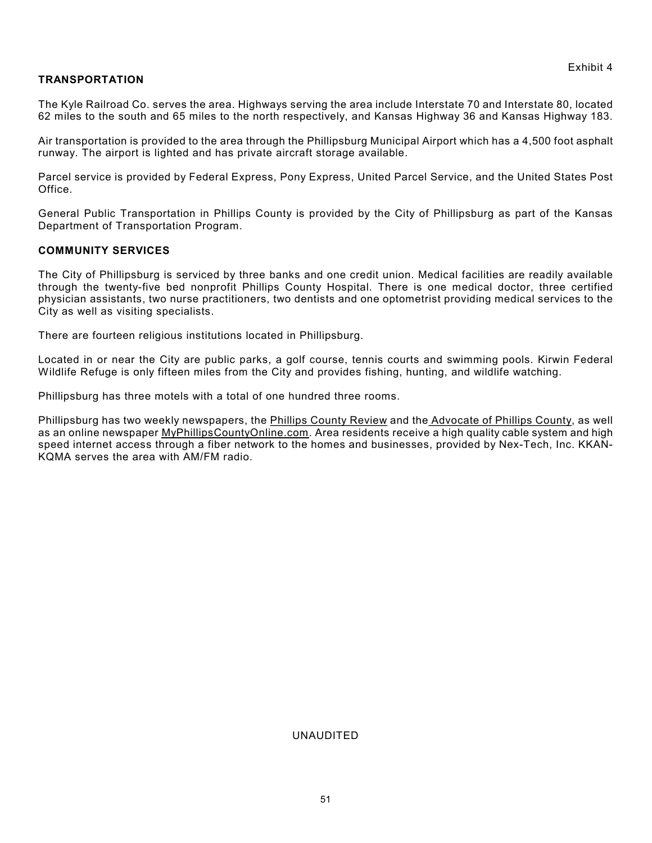#### TRANSPORTATION

The Kyle Railroad Co. serves the area. Highways serving the area include Interstate 70 and Interstate 80, located 62 miles to the south and 65 miles to the north respectively, and Kansas Highway 36 and Kansas Highway 183.

Air transportation is provided to the area through the Phillipsburg Municipal Airport which has a 4,500 foot asphalt runway. The airport is lighted and has private aircraft storage available.

Parcel service is provided by Federal Express, Pony Express, United Parcel Service, and the United States Post Office.

General Public Transportation in Phillips County is provided by the City of Phillipsburg as part of the Kansas Department of Transportation Program.

#### COMMUNITY SERVICES

The City of Phillipsburg is serviced by three banks and one credit union. Medical facilities are readily available through the twenty-five bed nonprofit Phillips County Hospital. There is one medical doctor, three certified physician assistants, two nurse practitioners, two dentists and one optometrist providing medical services to the City as well as visiting specialists.

There are fourteen religious institutions located in Phillipsburg.

Located in or near the City are public parks, a golf course, tennis courts and swimming pools. Kirwin Federal Wildlife Refuge is only fifteen miles from the City and provides fishing, hunting, and wildlife watching.

Phillipsburg has three motels with a total of one hundred three rooms.

Phillipsburg has two weekly newspapers, the Phillips County Review and the Advocate of Phillips County, as well as an online newspaper MyPhillipsCountyOnline.com. Area residents receive a high quality cable system and high speed internet access through a fiber network to the homes and businesses, provided by Nex-Tech, Inc. KKAN-KQMA serves the area with AM/FM radio.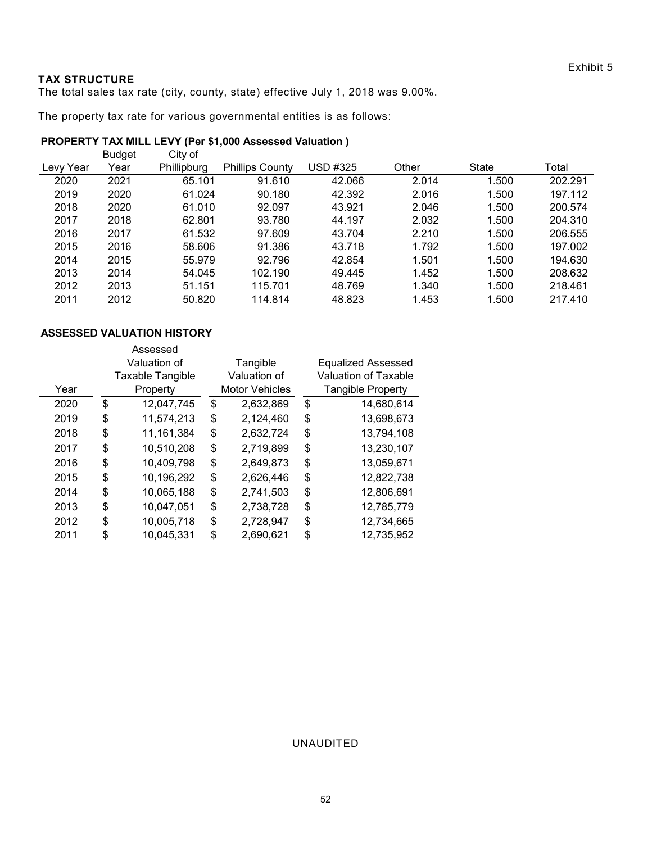#### TAX STRUCTURE

#### PROPERTY TAX MILL LEVY (Per \$1,000 Assessed Valuation )

| <b>TAX STRUCTURE</b> |               |                                   |                                                                                  |                            |                |                | Exhibit 5          |
|----------------------|---------------|-----------------------------------|----------------------------------------------------------------------------------|----------------------------|----------------|----------------|--------------------|
|                      |               |                                   | The total sales tax rate (city, county, state) effective July 1, 2018 was 9.00%. |                            |                |                |                    |
|                      |               |                                   | The property tax rate for various governmental entities is as follows:           |                            |                |                |                    |
|                      |               |                                   | PROPERTY TAX MILL LEVY (Per \$1,000 Assessed Valuation)                          |                            |                |                |                    |
|                      | <b>Budget</b> | City of                           |                                                                                  |                            |                |                |                    |
| Levy Year            | Year          | Phillipburg                       | <b>Phillips County</b>                                                           | <b>USD #325</b>            | Other          | State          | Total              |
| 2020                 | 2021          | 65.101                            | 91.610                                                                           | 42.066                     | 2.014          | 1.500          | 202.291            |
| 2019                 | 2020          | 61.024                            | 90.180                                                                           | 42.392                     | 2.016          | 1.500          | 197.112            |
| 2018                 | 2020          | 61.010                            | 92.097                                                                           | 43.921                     | 2.046          | 1.500          | 200.574            |
| 2017                 | 2018          | 62.801                            | 93.780                                                                           | 44.197                     | 2.032          | 1.500          | 204.310            |
| 2016                 | 2017          | 61.532                            | 97.609                                                                           | 43.704                     | 2.210          | 1.500          | 206.555            |
| 2015                 | 2016          | 58.606                            | 91.386                                                                           | 43.718                     | 1.792          | 1.500          | 197.002            |
| 2014<br>2013         | 2015<br>2014  | 55.979<br>54.045                  | 92.796<br>102.190                                                                | 42.854<br>49.445           | 1.501<br>1.452 | 1.500<br>1.500 | 194.630<br>208.632 |
| 2012                 | 2013          | 51.151                            | 115.701                                                                          | 48.769                     | 1.340          | 1.500          | 218.461            |
| 2011                 | 2012          | 50.820                            | 114.814                                                                          | 48.823                     | 1.453          | 1.500          | 217.410            |
|                      |               | <b>ASSESSED VALUATION HISTORY</b> |                                                                                  |                            |                |                |                    |
|                      |               | Assessed                          |                                                                                  |                            |                |                |                    |
|                      |               | Valuation of                      | Tangible                                                                         | <b>Equalized Assessed</b>  |                |                |                    |
|                      |               | Taxable Tangible                  | Valuation of                                                                     | Valuation of Taxable       |                |                |                    |
| Year                 |               | Property                          | Motor Vehicles                                                                   | <b>Tangible Property</b>   |                |                |                    |
| 2020                 | \$            | 12,047,745                        | \$<br>2,632,869                                                                  | $\boldsymbol{\mathsf{\$}}$ | 14,680,614     |                |                    |
| 2019                 | \$            | 11,574,213                        | 2,124,460<br>\$                                                                  | \$                         | 13,698,673     |                |                    |
| 2018                 | \$            | 11, 161, 384                      | 2,632,724<br>\$                                                                  | \$                         | 13,794,108     |                |                    |
| 2017                 | \$            | 10,510,208                        | 2,719,899<br>\$                                                                  | \$                         | 13,230,107     |                |                    |
| 2016                 | \$            | 10,409,798                        | 2,649,873<br>\$                                                                  | \$                         | 13,059,671     |                |                    |
|                      |               |                                   |                                                                                  |                            |                |                |                    |
| 2015                 | \$            | 10,196,292                        | 2,626,446<br>\$                                                                  | \$                         | 12,822,738     |                |                    |
| 2014                 | \$            | 10,065,188                        | 2,741,503<br>\$                                                                  | \$                         | 12,806,691     |                |                    |
| 2013                 | \$            | 10,047,051                        | 2,738,728<br>\$                                                                  | \$                         | 12,785,779     |                |                    |
| 2012                 | \$            | 10,005,718                        | 2,728,947<br>\$                                                                  | \$                         | 12,734,665     |                |                    |

| 2018 | 2020 | 61.010                            | 92.097          | 43.921                    | 2.046 | 1.500 | 200.574 |  |
|------|------|-----------------------------------|-----------------|---------------------------|-------|-------|---------|--|
| 2017 | 2018 | 62.801                            | 93.780          | 44.197                    | 2.032 | 1.500 | 204.310 |  |
| 2016 | 2017 | 61.532                            | 97.609          | 43.704                    | 2.210 | 1.500 | 206.555 |  |
| 2015 | 2016 | 58.606                            | 91.386          | 43.718                    | 1.792 | 1.500 | 197.002 |  |
| 2014 | 2015 | 55.979                            | 92.796          | 42.854                    | 1.501 | 1.500 | 194.630 |  |
| 2013 | 2014 | 54.045                            | 102.190         | 49.445                    | 1.452 | 1.500 | 208.632 |  |
| 2012 | 2013 | 51.151                            | 115.701         | 48.769                    | 1.340 | 1.500 | 218.461 |  |
| 2011 | 2012 | 50.820                            | 114.814         | 48.823                    | 1.453 | 1.500 | 217.410 |  |
|      |      |                                   |                 |                           |       |       |         |  |
|      |      | <b>ASSESSED VALUATION HISTORY</b> |                 |                           |       |       |         |  |
|      |      | Assessed                          |                 |                           |       |       |         |  |
|      |      | Valuation of                      | Tangible        | <b>Equalized Assessed</b> |       |       |         |  |
|      |      | Taxable Tangible                  | Valuation of    | Valuation of Taxable      |       |       |         |  |
| Year |      | Property                          | Motor Vehicles  | Tangible Property         |       |       |         |  |
| 2020 | \$   | 12,047,745                        | \$<br>2,632,869 | \$<br>14,680,614          |       |       |         |  |
| 2019 | \$   | 11,574,213                        | \$<br>2,124,460 | \$<br>13,698,673          |       |       |         |  |
| 2018 | \$   | 11,161,384                        | \$<br>2,632,724 | \$<br>13,794,108          |       |       |         |  |
| 2017 | \$   | 10,510,208                        | \$<br>2,719,899 | \$<br>13,230,107          |       |       |         |  |
| 2016 | \$   | 10,409,798                        | \$<br>2,649,873 | \$<br>13,059,671          |       |       |         |  |
| 2015 | \$   | 10,196,292                        | \$<br>2,626,446 | \$<br>12,822,738          |       |       |         |  |
| 2014 | \$   | 10,065,188                        | \$<br>2,741,503 | \$<br>12,806,691          |       |       |         |  |
| 2013 | \$   | 10,047,051                        | \$<br>2,738,728 | \$<br>12,785,779          |       |       |         |  |
| 2012 | \$   | 10,005,718                        | \$<br>2,728,947 | \$<br>12,734,665          |       |       |         |  |
| 2011 | \$   | 10,045,331                        | \$<br>2,690,621 | \$<br>12,735,952          |       |       |         |  |
|      |      |                                   |                 |                           |       |       |         |  |
|      |      |                                   |                 |                           |       |       |         |  |
|      |      |                                   |                 |                           |       |       |         |  |
|      |      |                                   |                 |                           |       |       |         |  |
|      |      |                                   |                 |                           |       |       |         |  |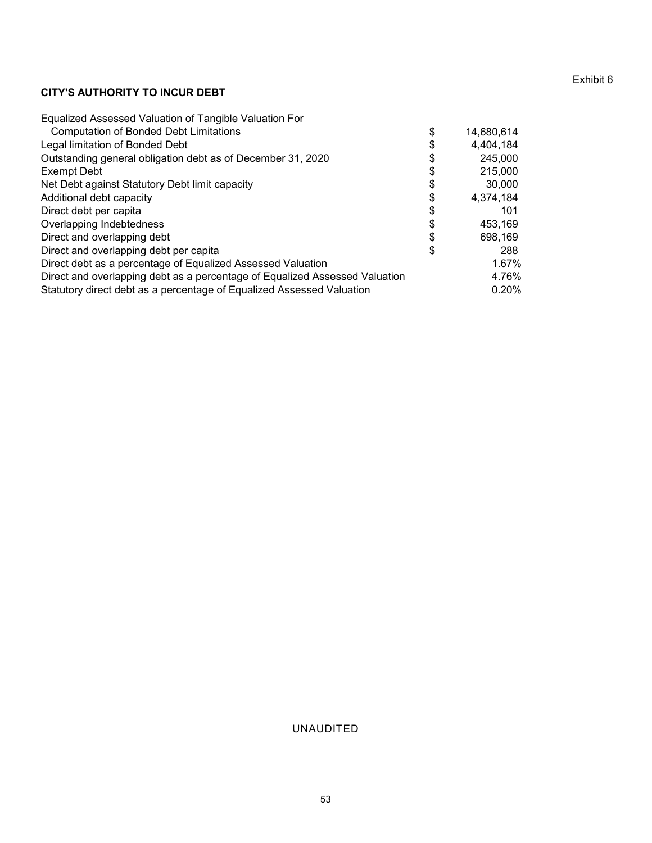#### Exhibit 6

#### CITY'S AUTHORITY TO INCUR DEBT

|                                                                                                                                                      |          |                | Exhibit 6 |
|------------------------------------------------------------------------------------------------------------------------------------------------------|----------|----------------|-----------|
| <b>CITY'S AUTHORITY TO INCUR DEBT</b>                                                                                                                |          |                |           |
| Equalized Assessed Valuation of Tangible Valuation For                                                                                               |          |                |           |
| <b>Computation of Bonded Debt Limitations</b>                                                                                                        | \$       | 14,680,614     |           |
| Legal limitation of Bonded Debt                                                                                                                      | \$       | 4,404,184      |           |
| Outstanding general obligation debt as of December 31, 2020                                                                                          | \$       | 245,000        |           |
| <b>Exempt Debt</b>                                                                                                                                   | \$       | 215,000        |           |
| Net Debt against Statutory Debt limit capacity                                                                                                       | \$       | 30,000         |           |
| Additional debt capacity                                                                                                                             | \$       | 4,374,184      |           |
| Direct debt per capita                                                                                                                               | \$       | 101            |           |
| Overlapping Indebtedness                                                                                                                             | \$       | 453,169        |           |
| Direct and overlapping debt<br>Direct and overlapping debt per capita                                                                                | \$<br>\$ | 698,169<br>288 |           |
| Direct debt as a percentage of Equalized Assessed Valuation                                                                                          |          | 1.67%          |           |
|                                                                                                                                                      |          | 4.76%          |           |
|                                                                                                                                                      |          |                |           |
| Direct and overlapping debt as a percentage of Equalized Assessed Valuation<br>Statutory direct debt as a percentage of Equalized Assessed Valuation |          | 0.20%          |           |